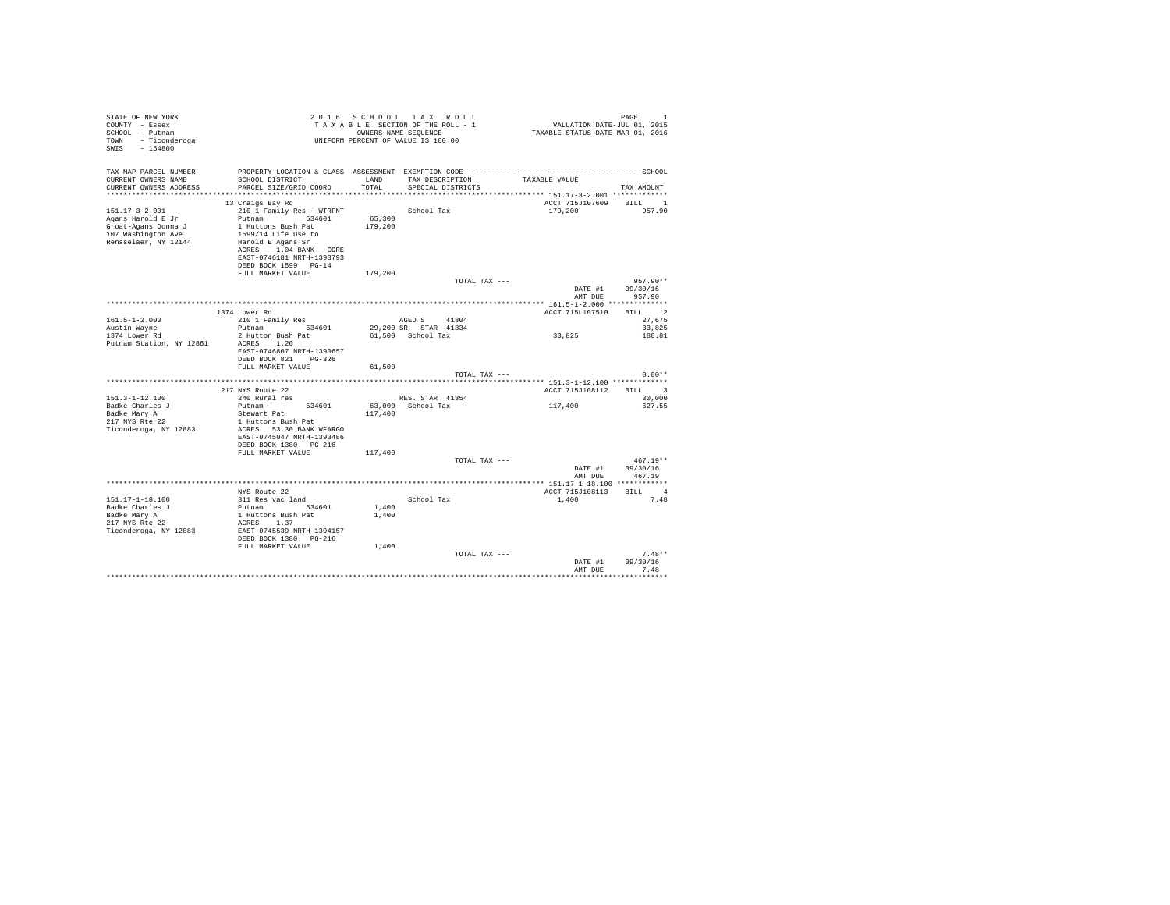| TAX MAP PARCEL NUMBER<br>TAX DESCRIPTION<br>CURRENT OWNERS NAME<br>SCHOOL DISTRICT<br>LAND<br>TAXABLE VALUE<br>PARCEL SIZE/GRID COORD<br>TOTAL<br>SPECIAL DISTRICTS<br>CURRENT OWNERS ADDRESS<br>TAX AMOUNT<br>$\begin{tabular}{lllll} \multicolumn{2}{c} \texttt{BILL} & \multicolumn{2}{c} \texttt{1} \end{tabular}$<br>ACCT 715J107609<br>13 Craigs Bay Rd<br>School Tax<br>$151.17 - 3 - 2.001$<br>210 1 Family Res - WTRFNT<br>179,200<br>957.90<br>65,300<br>Putnam 534601<br>Agans Harold E Jr<br>1 Huttons Bush Pat<br>179,200<br>Groat-Agans Donna J<br>107 Washington Ave<br>1599/14 Life Use to<br>Rensselaer, NY 12144<br>Harold E Agans Sr<br>ACRES 1.04 BANK CORE<br>EAST-0746181 NRTH-1393793<br>DEED BOOK 1599 PG-14<br>FULL MARKET VALUE<br>179,200<br>$957.90**$<br>TOTAL TAX ---<br>DATE #1<br>09/30/16<br>AMT DUE<br>957.90<br>BILL 2<br>1374 Lower Rd<br>ACCT 715L107510<br>AGED S 41804<br>$161.5 - 1 - 2.000$<br>210 1 Family Res<br>27.675<br>Putnam 534601<br>29,200 SR STAR 41834<br>33,825<br>Austin Wayne<br>2 Hutton Bush Pat<br>61.500 School Tax<br>33,825<br>180.81<br>1374 Lower Rd<br>ACRES 1.20<br>Putnam Station, NY 12861<br>EAST-0746807 NRTH-1390657<br>DEED BOOK 821 PG-326<br>FULL MARKET VALUE<br>61,500<br>$0.00**$<br>TOTAL TAX ---<br>217 NYS Route 22<br>ACCT 715J108112 BILL 3<br>$151.3 - 1 - 12.100$<br>240 Rural res<br>RES. STAR 41854<br>30,000<br>117,400<br>Badke Charles J<br>Putnam<br>534601<br>63,000 School Tax<br>627.55<br>117,400<br>Badke Mary A<br>Stewart Pat<br>217 NYS Rte 22<br>1 Huttons Bush Pat<br>Ticonderoga, NY 12883<br>ACRES 53.30 BANK WFARGO<br>EAST-0745047 NRTH-1393486<br>DEED BOOK 1380 PG-216<br>FULL MARKET VALUE<br>117,400<br>$467.19**$<br>TOTAL TAX ---<br>DATE #1<br>09/30/16<br>AMT DUE<br>467.19<br>BILL 4<br>ACCT 715J108113<br>NYS Route 22<br>151.17-1-18.100<br>311 Res vac land<br>School Tax<br>1,400<br>7.48<br>Putnam 534601<br>1,400<br>Badke Charles J<br>1 Huttons Bush Pat<br>1,400<br>Badke Mary A<br>217 NYS Rte 22<br>ACRES 1.37<br>Ticonderoga, NY 12883<br>EAST-0745539 NRTH-1394157<br>DEED BOOK 1380 PG-216<br>FULL MARKET VALUE<br>1,400<br>$7.48**$<br>TOTAL TAX ---<br>DATE #1<br>09/30/16<br>7.48<br>AMT DUR | STATE OF NEW YORK<br>COUNTY - Essex<br>SCHOOL - Putnam<br>TOWN - Ticonderoga<br>SWIS - 154800 | UNIFORM PERCENT OF VALUE IS 100.00 | 2016 SCHOOL TAX ROLL<br>2016 SCHOOL TAX ROLL<br>TAXABLE SECTION OF THE ROLL - 1 WALUATION DATE-JUL 01, 2015<br>OWNERS NAME SEQUENCE - 1 TAXABLE STATUS DATE-MAR 01, 2016<br>OWNERS NAME SEQUENCE | PAGE<br>$\overline{1}$ |
|--------------------------------------------------------------------------------------------------------------------------------------------------------------------------------------------------------------------------------------------------------------------------------------------------------------------------------------------------------------------------------------------------------------------------------------------------------------------------------------------------------------------------------------------------------------------------------------------------------------------------------------------------------------------------------------------------------------------------------------------------------------------------------------------------------------------------------------------------------------------------------------------------------------------------------------------------------------------------------------------------------------------------------------------------------------------------------------------------------------------------------------------------------------------------------------------------------------------------------------------------------------------------------------------------------------------------------------------------------------------------------------------------------------------------------------------------------------------------------------------------------------------------------------------------------------------------------------------------------------------------------------------------------------------------------------------------------------------------------------------------------------------------------------------------------------------------------------------------------------------------------------------------------------------------------------------------------------------------------------------------------------------------------------------------------------------------------------------------------------------------------------------------------------------------------------------------------------------------------|-----------------------------------------------------------------------------------------------|------------------------------------|--------------------------------------------------------------------------------------------------------------------------------------------------------------------------------------------------|------------------------|
|                                                                                                                                                                                                                                                                                                                                                                                                                                                                                                                                                                                                                                                                                                                                                                                                                                                                                                                                                                                                                                                                                                                                                                                                                                                                                                                                                                                                                                                                                                                                                                                                                                                                                                                                                                                                                                                                                                                                                                                                                                                                                                                                                                                                                                |                                                                                               |                                    |                                                                                                                                                                                                  |                        |
|                                                                                                                                                                                                                                                                                                                                                                                                                                                                                                                                                                                                                                                                                                                                                                                                                                                                                                                                                                                                                                                                                                                                                                                                                                                                                                                                                                                                                                                                                                                                                                                                                                                                                                                                                                                                                                                                                                                                                                                                                                                                                                                                                                                                                                |                                                                                               |                                    |                                                                                                                                                                                                  |                        |
|                                                                                                                                                                                                                                                                                                                                                                                                                                                                                                                                                                                                                                                                                                                                                                                                                                                                                                                                                                                                                                                                                                                                                                                                                                                                                                                                                                                                                                                                                                                                                                                                                                                                                                                                                                                                                                                                                                                                                                                                                                                                                                                                                                                                                                |                                                                                               |                                    |                                                                                                                                                                                                  |                        |
|                                                                                                                                                                                                                                                                                                                                                                                                                                                                                                                                                                                                                                                                                                                                                                                                                                                                                                                                                                                                                                                                                                                                                                                                                                                                                                                                                                                                                                                                                                                                                                                                                                                                                                                                                                                                                                                                                                                                                                                                                                                                                                                                                                                                                                |                                                                                               |                                    |                                                                                                                                                                                                  |                        |
|                                                                                                                                                                                                                                                                                                                                                                                                                                                                                                                                                                                                                                                                                                                                                                                                                                                                                                                                                                                                                                                                                                                                                                                                                                                                                                                                                                                                                                                                                                                                                                                                                                                                                                                                                                                                                                                                                                                                                                                                                                                                                                                                                                                                                                |                                                                                               |                                    |                                                                                                                                                                                                  |                        |
|                                                                                                                                                                                                                                                                                                                                                                                                                                                                                                                                                                                                                                                                                                                                                                                                                                                                                                                                                                                                                                                                                                                                                                                                                                                                                                                                                                                                                                                                                                                                                                                                                                                                                                                                                                                                                                                                                                                                                                                                                                                                                                                                                                                                                                |                                                                                               |                                    |                                                                                                                                                                                                  |                        |
|                                                                                                                                                                                                                                                                                                                                                                                                                                                                                                                                                                                                                                                                                                                                                                                                                                                                                                                                                                                                                                                                                                                                                                                                                                                                                                                                                                                                                                                                                                                                                                                                                                                                                                                                                                                                                                                                                                                                                                                                                                                                                                                                                                                                                                |                                                                                               |                                    |                                                                                                                                                                                                  |                        |
|                                                                                                                                                                                                                                                                                                                                                                                                                                                                                                                                                                                                                                                                                                                                                                                                                                                                                                                                                                                                                                                                                                                                                                                                                                                                                                                                                                                                                                                                                                                                                                                                                                                                                                                                                                                                                                                                                                                                                                                                                                                                                                                                                                                                                                |                                                                                               |                                    |                                                                                                                                                                                                  |                        |
|                                                                                                                                                                                                                                                                                                                                                                                                                                                                                                                                                                                                                                                                                                                                                                                                                                                                                                                                                                                                                                                                                                                                                                                                                                                                                                                                                                                                                                                                                                                                                                                                                                                                                                                                                                                                                                                                                                                                                                                                                                                                                                                                                                                                                                |                                                                                               |                                    |                                                                                                                                                                                                  |                        |
|                                                                                                                                                                                                                                                                                                                                                                                                                                                                                                                                                                                                                                                                                                                                                                                                                                                                                                                                                                                                                                                                                                                                                                                                                                                                                                                                                                                                                                                                                                                                                                                                                                                                                                                                                                                                                                                                                                                                                                                                                                                                                                                                                                                                                                |                                                                                               |                                    |                                                                                                                                                                                                  |                        |
|                                                                                                                                                                                                                                                                                                                                                                                                                                                                                                                                                                                                                                                                                                                                                                                                                                                                                                                                                                                                                                                                                                                                                                                                                                                                                                                                                                                                                                                                                                                                                                                                                                                                                                                                                                                                                                                                                                                                                                                                                                                                                                                                                                                                                                |                                                                                               |                                    |                                                                                                                                                                                                  |                        |
|                                                                                                                                                                                                                                                                                                                                                                                                                                                                                                                                                                                                                                                                                                                                                                                                                                                                                                                                                                                                                                                                                                                                                                                                                                                                                                                                                                                                                                                                                                                                                                                                                                                                                                                                                                                                                                                                                                                                                                                                                                                                                                                                                                                                                                |                                                                                               |                                    |                                                                                                                                                                                                  |                        |
|                                                                                                                                                                                                                                                                                                                                                                                                                                                                                                                                                                                                                                                                                                                                                                                                                                                                                                                                                                                                                                                                                                                                                                                                                                                                                                                                                                                                                                                                                                                                                                                                                                                                                                                                                                                                                                                                                                                                                                                                                                                                                                                                                                                                                                |                                                                                               |                                    |                                                                                                                                                                                                  |                        |
|                                                                                                                                                                                                                                                                                                                                                                                                                                                                                                                                                                                                                                                                                                                                                                                                                                                                                                                                                                                                                                                                                                                                                                                                                                                                                                                                                                                                                                                                                                                                                                                                                                                                                                                                                                                                                                                                                                                                                                                                                                                                                                                                                                                                                                |                                                                                               |                                    |                                                                                                                                                                                                  |                        |
|                                                                                                                                                                                                                                                                                                                                                                                                                                                                                                                                                                                                                                                                                                                                                                                                                                                                                                                                                                                                                                                                                                                                                                                                                                                                                                                                                                                                                                                                                                                                                                                                                                                                                                                                                                                                                                                                                                                                                                                                                                                                                                                                                                                                                                |                                                                                               |                                    |                                                                                                                                                                                                  |                        |
|                                                                                                                                                                                                                                                                                                                                                                                                                                                                                                                                                                                                                                                                                                                                                                                                                                                                                                                                                                                                                                                                                                                                                                                                                                                                                                                                                                                                                                                                                                                                                                                                                                                                                                                                                                                                                                                                                                                                                                                                                                                                                                                                                                                                                                |                                                                                               |                                    |                                                                                                                                                                                                  |                        |
|                                                                                                                                                                                                                                                                                                                                                                                                                                                                                                                                                                                                                                                                                                                                                                                                                                                                                                                                                                                                                                                                                                                                                                                                                                                                                                                                                                                                                                                                                                                                                                                                                                                                                                                                                                                                                                                                                                                                                                                                                                                                                                                                                                                                                                |                                                                                               |                                    |                                                                                                                                                                                                  |                        |
|                                                                                                                                                                                                                                                                                                                                                                                                                                                                                                                                                                                                                                                                                                                                                                                                                                                                                                                                                                                                                                                                                                                                                                                                                                                                                                                                                                                                                                                                                                                                                                                                                                                                                                                                                                                                                                                                                                                                                                                                                                                                                                                                                                                                                                |                                                                                               |                                    |                                                                                                                                                                                                  |                        |
|                                                                                                                                                                                                                                                                                                                                                                                                                                                                                                                                                                                                                                                                                                                                                                                                                                                                                                                                                                                                                                                                                                                                                                                                                                                                                                                                                                                                                                                                                                                                                                                                                                                                                                                                                                                                                                                                                                                                                                                                                                                                                                                                                                                                                                |                                                                                               |                                    |                                                                                                                                                                                                  |                        |
|                                                                                                                                                                                                                                                                                                                                                                                                                                                                                                                                                                                                                                                                                                                                                                                                                                                                                                                                                                                                                                                                                                                                                                                                                                                                                                                                                                                                                                                                                                                                                                                                                                                                                                                                                                                                                                                                                                                                                                                                                                                                                                                                                                                                                                |                                                                                               |                                    |                                                                                                                                                                                                  |                        |
|                                                                                                                                                                                                                                                                                                                                                                                                                                                                                                                                                                                                                                                                                                                                                                                                                                                                                                                                                                                                                                                                                                                                                                                                                                                                                                                                                                                                                                                                                                                                                                                                                                                                                                                                                                                                                                                                                                                                                                                                                                                                                                                                                                                                                                |                                                                                               |                                    |                                                                                                                                                                                                  |                        |
|                                                                                                                                                                                                                                                                                                                                                                                                                                                                                                                                                                                                                                                                                                                                                                                                                                                                                                                                                                                                                                                                                                                                                                                                                                                                                                                                                                                                                                                                                                                                                                                                                                                                                                                                                                                                                                                                                                                                                                                                                                                                                                                                                                                                                                |                                                                                               |                                    |                                                                                                                                                                                                  |                        |
|                                                                                                                                                                                                                                                                                                                                                                                                                                                                                                                                                                                                                                                                                                                                                                                                                                                                                                                                                                                                                                                                                                                                                                                                                                                                                                                                                                                                                                                                                                                                                                                                                                                                                                                                                                                                                                                                                                                                                                                                                                                                                                                                                                                                                                |                                                                                               |                                    |                                                                                                                                                                                                  |                        |
|                                                                                                                                                                                                                                                                                                                                                                                                                                                                                                                                                                                                                                                                                                                                                                                                                                                                                                                                                                                                                                                                                                                                                                                                                                                                                                                                                                                                                                                                                                                                                                                                                                                                                                                                                                                                                                                                                                                                                                                                                                                                                                                                                                                                                                |                                                                                               |                                    |                                                                                                                                                                                                  |                        |
|                                                                                                                                                                                                                                                                                                                                                                                                                                                                                                                                                                                                                                                                                                                                                                                                                                                                                                                                                                                                                                                                                                                                                                                                                                                                                                                                                                                                                                                                                                                                                                                                                                                                                                                                                                                                                                                                                                                                                                                                                                                                                                                                                                                                                                |                                                                                               |                                    |                                                                                                                                                                                                  |                        |
|                                                                                                                                                                                                                                                                                                                                                                                                                                                                                                                                                                                                                                                                                                                                                                                                                                                                                                                                                                                                                                                                                                                                                                                                                                                                                                                                                                                                                                                                                                                                                                                                                                                                                                                                                                                                                                                                                                                                                                                                                                                                                                                                                                                                                                |                                                                                               |                                    |                                                                                                                                                                                                  |                        |
|                                                                                                                                                                                                                                                                                                                                                                                                                                                                                                                                                                                                                                                                                                                                                                                                                                                                                                                                                                                                                                                                                                                                                                                                                                                                                                                                                                                                                                                                                                                                                                                                                                                                                                                                                                                                                                                                                                                                                                                                                                                                                                                                                                                                                                |                                                                                               |                                    |                                                                                                                                                                                                  |                        |
|                                                                                                                                                                                                                                                                                                                                                                                                                                                                                                                                                                                                                                                                                                                                                                                                                                                                                                                                                                                                                                                                                                                                                                                                                                                                                                                                                                                                                                                                                                                                                                                                                                                                                                                                                                                                                                                                                                                                                                                                                                                                                                                                                                                                                                |                                                                                               |                                    |                                                                                                                                                                                                  |                        |
|                                                                                                                                                                                                                                                                                                                                                                                                                                                                                                                                                                                                                                                                                                                                                                                                                                                                                                                                                                                                                                                                                                                                                                                                                                                                                                                                                                                                                                                                                                                                                                                                                                                                                                                                                                                                                                                                                                                                                                                                                                                                                                                                                                                                                                |                                                                                               |                                    |                                                                                                                                                                                                  |                        |
|                                                                                                                                                                                                                                                                                                                                                                                                                                                                                                                                                                                                                                                                                                                                                                                                                                                                                                                                                                                                                                                                                                                                                                                                                                                                                                                                                                                                                                                                                                                                                                                                                                                                                                                                                                                                                                                                                                                                                                                                                                                                                                                                                                                                                                |                                                                                               |                                    |                                                                                                                                                                                                  |                        |
|                                                                                                                                                                                                                                                                                                                                                                                                                                                                                                                                                                                                                                                                                                                                                                                                                                                                                                                                                                                                                                                                                                                                                                                                                                                                                                                                                                                                                                                                                                                                                                                                                                                                                                                                                                                                                                                                                                                                                                                                                                                                                                                                                                                                                                |                                                                                               |                                    |                                                                                                                                                                                                  |                        |
|                                                                                                                                                                                                                                                                                                                                                                                                                                                                                                                                                                                                                                                                                                                                                                                                                                                                                                                                                                                                                                                                                                                                                                                                                                                                                                                                                                                                                                                                                                                                                                                                                                                                                                                                                                                                                                                                                                                                                                                                                                                                                                                                                                                                                                |                                                                                               |                                    |                                                                                                                                                                                                  |                        |
|                                                                                                                                                                                                                                                                                                                                                                                                                                                                                                                                                                                                                                                                                                                                                                                                                                                                                                                                                                                                                                                                                                                                                                                                                                                                                                                                                                                                                                                                                                                                                                                                                                                                                                                                                                                                                                                                                                                                                                                                                                                                                                                                                                                                                                |                                                                                               |                                    |                                                                                                                                                                                                  |                        |
|                                                                                                                                                                                                                                                                                                                                                                                                                                                                                                                                                                                                                                                                                                                                                                                                                                                                                                                                                                                                                                                                                                                                                                                                                                                                                                                                                                                                                                                                                                                                                                                                                                                                                                                                                                                                                                                                                                                                                                                                                                                                                                                                                                                                                                |                                                                                               |                                    |                                                                                                                                                                                                  |                        |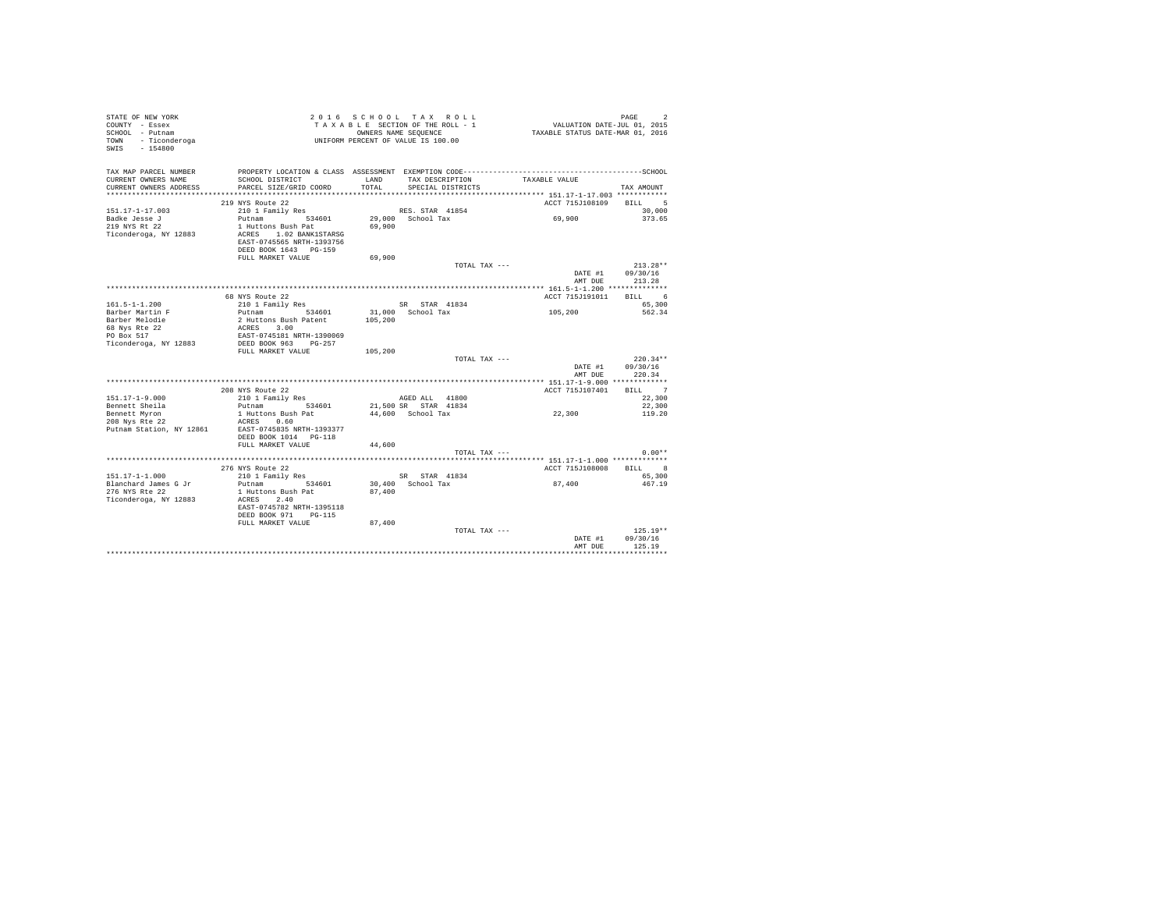| STATE OF NEW YORK        |                           |         | 2016 SCHOOL TAX ROLL               |                                                                                              | PAGE             |
|--------------------------|---------------------------|---------|------------------------------------|----------------------------------------------------------------------------------------------|------------------|
| COUNTY - Essex           |                           |         | TAXABLE SECTION OF THE ROLL - 1    | د موجع<br>VALUATION DATE-JUL 01, 2015                                                        |                  |
| SCHOOL - Putnam          |                           |         | OWNERS NAME SEQUENCE               | TAXABLE STATUS DATE-MAR 01, 2016                                                             |                  |
| TOWN - Ticonderoga       |                           |         | UNIFORM PERCENT OF VALUE IS 100.00 |                                                                                              |                  |
| SWIS - 154800            |                           |         |                                    |                                                                                              |                  |
|                          |                           |         |                                    |                                                                                              |                  |
|                          |                           |         |                                    |                                                                                              |                  |
| TAX MAP PARCEL NUMBER    |                           |         |                                    | PROPERTY LOCATION & CLASS ASSESSMENT EXEMPTION CODE-----------------------------------SCHOOL |                  |
| CURRENT OWNERS NAME      | SCHOOL DISTRICT           | LAND    | TAX DESCRIPTION                    | TAXABLE VALUE                                                                                |                  |
| CURRENT OWNERS ADDRESS   | PARCEL SIZE/GRID COORD    | TOTAL   | SPECIAL DISTRICTS                  |                                                                                              | TAX AMOUNT       |
|                          |                           |         |                                    |                                                                                              |                  |
|                          |                           |         |                                    |                                                                                              |                  |
|                          | 219 NYS Route 22          |         |                                    | ACCT 715J108109                                                                              | BILL 5           |
| $151.17 - 1 - 17.003$    | 210 1 Family Res          |         | RES. STAR 41854                    |                                                                                              | 30,000           |
| Badke Jesse J            | Putnam 534601             |         | 29,000 School Tax                  | 69,900                                                                                       | 373.65           |
| 219 NYS Rt 22            | 1 Huttons Bush Pat        | 69,900  |                                    |                                                                                              |                  |
| Ticonderoga, NY 12883    | ACRES 1.02 BANK1STARSG    |         |                                    |                                                                                              |                  |
|                          | EAST-0745565 NRTH-1393756 |         |                                    |                                                                                              |                  |
|                          | DEED BOOK 1643 PG-159     |         |                                    |                                                                                              |                  |
|                          | FULL MARKET VALUE         | 69,900  |                                    |                                                                                              |                  |
|                          |                           |         | TOTAL TAX ---                      |                                                                                              | $213.28**$       |
|                          |                           |         |                                    | DATE #1                                                                                      | 09/30/16         |
|                          |                           |         |                                    | AMT DUE                                                                                      | 213.28           |
|                          |                           |         |                                    |                                                                                              |                  |
|                          | 68 NYS Route 22           |         |                                    | ACCT 715J191011                                                                              | BILL 6           |
|                          |                           |         |                                    |                                                                                              |                  |
| $161.5 - 1 - 1.200$      | 210 1 Family Res          |         | SR STAR 41834                      |                                                                                              | 65,300           |
| Barber Martin F          | 534601<br>Putnam          |         | 31,000 School Tax                  | 105,200                                                                                      | 562.34           |
| Barber Melodie           | 2 Huttons Bush Patent     | 105,200 |                                    |                                                                                              |                  |
| 68 Nys Rte 22            | ACRES 3.00                |         |                                    |                                                                                              |                  |
| PO Box 517               | EAST-0745181 NRTH-1390069 |         |                                    |                                                                                              |                  |
| Ticonderoga, NY 12883    | DEED BOOK 963 PG-257      |         |                                    |                                                                                              |                  |
|                          | FULL MARKET VALUE         | 105,200 |                                    |                                                                                              |                  |
|                          |                           |         | TOTAL TAX ---                      |                                                                                              | $220.34**$       |
|                          |                           |         |                                    | DATE #1                                                                                      | 09/30/16         |
|                          |                           |         |                                    | AMT DUE                                                                                      | 220.34           |
|                          |                           |         |                                    |                                                                                              |                  |
|                          | 208 NYS Route 22          |         |                                    | ACCT 715J107401                                                                              | BILL 7           |
|                          | 210 1 Family Res          |         |                                    |                                                                                              |                  |
| $151.17 - 1 - 9.000$     |                           |         | AGED ALL 41800                     |                                                                                              | 22,300           |
| Bennett Sheila           | Putnam 534601             |         | 21,500 SR STAR 41834               |                                                                                              | 22,300           |
| Bennett Myron            | 1 Huttons Bush Pat        |         | 44,600 School Tax                  | 22,300                                                                                       | 119.20           |
| 208 Nys Rte 22           | ACRES 0.60                |         |                                    |                                                                                              |                  |
| Putnam Station, NY 12861 | EAST-0745835 NRTH-1393377 |         |                                    |                                                                                              |                  |
|                          | DEED BOOK 1014 PG-118     |         |                                    |                                                                                              |                  |
|                          | FULL MARKET VALUE         | 44,600  |                                    |                                                                                              |                  |
|                          |                           |         | TOTAL TAX ---                      |                                                                                              | $0.00**$         |
|                          |                           |         |                                    |                                                                                              |                  |
|                          | 276 NYS Route 22          |         |                                    | ACCT 715J108008                                                                              | <b>BILL</b><br>8 |
| $151.17 - 1 - 1.000$     | 210 1 Family Res          |         | SR STAR 41834                      |                                                                                              | 65,300           |
| Blanchard James G Jr     |                           |         |                                    | 87,400                                                                                       | 467.19           |
|                          | Putnam 534601             |         | 30,400 School Tax                  |                                                                                              |                  |
| 276 NYS Rte 22           | 1 Huttons Bush Pat        | 87,400  |                                    |                                                                                              |                  |
| Ticonderoga, NY 12883    | ACRES 2.40                |         |                                    |                                                                                              |                  |
|                          | EAST-0745782 NRTH-1395118 |         |                                    |                                                                                              |                  |
|                          | DEED BOOK 971 PG-115      |         |                                    |                                                                                              |                  |
|                          | FULL MARKET VALUE         | 87,400  |                                    |                                                                                              |                  |
|                          |                           |         | TOTAL TAX $---$                    |                                                                                              | $125.19**$       |
|                          |                           |         |                                    | DATE #1                                                                                      | 09/30/16         |
|                          |                           |         |                                    | AMT DUE                                                                                      | 125.19           |
|                          |                           |         |                                    |                                                                                              |                  |
|                          |                           |         |                                    |                                                                                              |                  |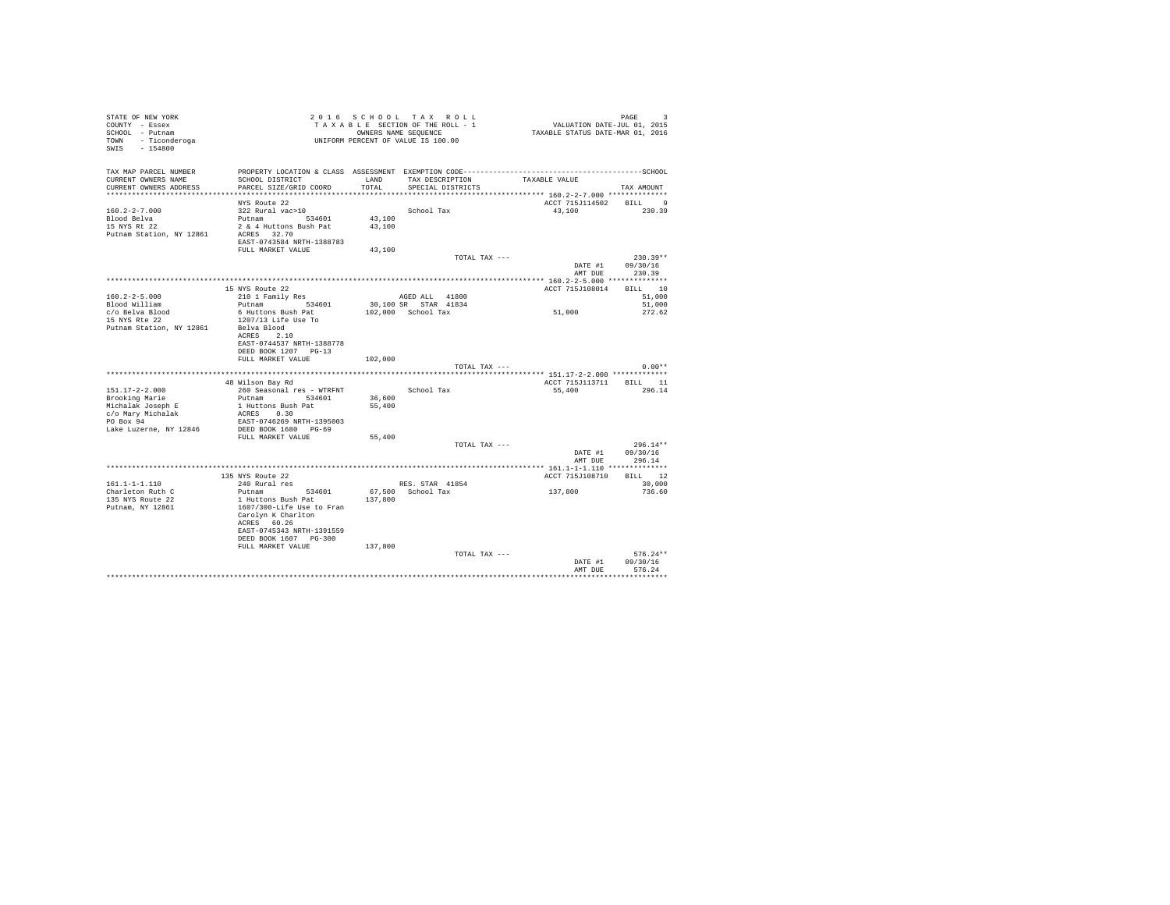| STATE OF NEW YORK<br>COUNTY - Essex<br>SCHOOL - Putnam<br>TOWN - Ticonderoga<br>SWIS - 154800 |                                                                                                                 |         | 2016 SCHOOL TAX ROLL<br>ZUI 6 SCHUUL TAA KULL<br>TAXABLE SECTION OF THE ROLL - 1<br>OWNERS NAME SEQUENCE<br>UNIFORM PERCENT OF VALUE IS 100.00 | PAGE 9<br>101, VALUATION DATE-JUL 01, 2015<br>2016 TAXABLE STATUS DATE-MAR | PAGE<br>$\mathbf{R}$ |  |
|-----------------------------------------------------------------------------------------------|-----------------------------------------------------------------------------------------------------------------|---------|------------------------------------------------------------------------------------------------------------------------------------------------|----------------------------------------------------------------------------|----------------------|--|
| TAX MAP PARCEL NUMBER<br>CURRENT OWNERS NAME                                                  | PROPERTY LOCATION & CLASS ASSESSMENT EXEMPTION CODE-----------------------------------SCHOOL<br>SCHOOL DISTRICT | LAND    | TAX DESCRIPTION                                                                                                                                | TAXABLE VALUE                                                              |                      |  |
| CURRENT OWNERS ADDRESS                                                                        | PARCEL SIZE/GRID COORD                                                                                          | TOTAL   | SPECIAL DISTRICTS                                                                                                                              |                                                                            | TAX AMOUNT           |  |
|                                                                                               | NYS Route 22                                                                                                    |         |                                                                                                                                                | ACCT 715J114502 BILL 9                                                     |                      |  |
| $160.2 - 2 - 7.000$                                                                           | 322 Rural vac>10                                                                                                |         | School Tax                                                                                                                                     | 43.100 230.39                                                              |                      |  |
| Blood Belva                                                                                   | Putnam 534601                                                                                                   | 43,100  |                                                                                                                                                |                                                                            |                      |  |
| 15 NYS Rt 22                                                                                  | 2 & 4 Huttons Bush Pat                                                                                          | 43,100  |                                                                                                                                                |                                                                            |                      |  |
| Putnam Station, NY 12861                                                                      | ACRES 32.70<br>EAST-0743584 NRTH-1388783                                                                        |         |                                                                                                                                                |                                                                            |                      |  |
|                                                                                               | FULL MARKET VALUE                                                                                               | 43,100  |                                                                                                                                                |                                                                            |                      |  |
|                                                                                               |                                                                                                                 |         | TOTAL TAX ---                                                                                                                                  |                                                                            | $230.39**$           |  |
|                                                                                               |                                                                                                                 |         |                                                                                                                                                | DATE #1                                                                    | 09/30/16             |  |
|                                                                                               |                                                                                                                 |         |                                                                                                                                                | AMT DUR                                                                    | 230.39               |  |
|                                                                                               |                                                                                                                 |         |                                                                                                                                                |                                                                            |                      |  |
|                                                                                               | 15 NYS Route 22                                                                                                 |         |                                                                                                                                                | ACCT 715J108014 BILL 10                                                    |                      |  |
| $160.2 - 2 - 5.000$                                                                           | 210 1 Family Res                                                                                                |         | AGED ALL 41800                                                                                                                                 |                                                                            | 51,000               |  |
| Blood William                                                                                 | Putnam 534601                                                                                                   |         | 30,100 SR STAR 41834                                                                                                                           |                                                                            | 51,000               |  |
| c/o Belva Blood                                                                               | 6 Huttons Bush Pat                                                                                              |         | $102.000$ School Tax                                                                                                                           | 51,000                                                                     | 272.62               |  |
| 15 NYS Rte 22                                                                                 | 1207/13 Life Use To                                                                                             |         |                                                                                                                                                |                                                                            |                      |  |
| Putnam Station, NY 12861                                                                      | Belva Blood<br>ACRES 2.10                                                                                       |         |                                                                                                                                                |                                                                            |                      |  |
|                                                                                               | EAST-0744537 NRTH-1388778                                                                                       |         |                                                                                                                                                |                                                                            |                      |  |
|                                                                                               | DEED BOOK 1207 PG-13                                                                                            |         |                                                                                                                                                |                                                                            |                      |  |
|                                                                                               | FULL MARKET VALUE                                                                                               | 102,000 |                                                                                                                                                |                                                                            |                      |  |
|                                                                                               |                                                                                                                 |         | TOTAL TAX ---                                                                                                                                  |                                                                            | $0.00**$             |  |
|                                                                                               |                                                                                                                 |         |                                                                                                                                                |                                                                            |                      |  |
|                                                                                               | 48 Wilson Bay Rd                                                                                                |         |                                                                                                                                                | ACCT 715J113711 BILL 11                                                    |                      |  |
| $151.17 - 2 - 2.000$                                                                          | 260 Seasonal res - WTRFNT                                                                                       |         | School Tax                                                                                                                                     | 55,400                                                                     | 296.14               |  |
| Brooking Marie                                                                                | Putnam 534601                                                                                                   | 36,600  |                                                                                                                                                |                                                                            |                      |  |
| Michalak Joseph E                                                                             | 1 Huttons Bush Pat                                                                                              | 55,400  |                                                                                                                                                |                                                                            |                      |  |
| c/o Marv Michalak                                                                             | ACRES 0.30                                                                                                      |         |                                                                                                                                                |                                                                            |                      |  |
| PO Box 94                                                                                     | EAST-0746269 NRTH-1395003                                                                                       |         |                                                                                                                                                |                                                                            |                      |  |
| Lake Luzerne, NY 12846                                                                        | DEED BOOK 1680 PG-69                                                                                            |         |                                                                                                                                                |                                                                            |                      |  |
|                                                                                               | FULL MARKET VALUE                                                                                               | 55,400  | TOTAL TAX ---                                                                                                                                  |                                                                            | $296.14**$           |  |
|                                                                                               |                                                                                                                 |         |                                                                                                                                                |                                                                            | DATE #1 09/30/16     |  |
|                                                                                               |                                                                                                                 |         |                                                                                                                                                | AMT DUE                                                                    | 296.14               |  |
|                                                                                               |                                                                                                                 |         |                                                                                                                                                |                                                                            |                      |  |
|                                                                                               | 135 NYS Route 22                                                                                                |         |                                                                                                                                                | ACCT 715J108710 BILL 12                                                    |                      |  |
| $161.1 - 1 - 1.110$                                                                           | 240 Rural res                                                                                                   |         | RES. STAR 41854                                                                                                                                |                                                                            | 30,000               |  |
| Charleton Ruth C                                                                              | Putnam 534601                                                                                                   |         | 67,500 School Tax                                                                                                                              | 137,800                                                                    | 736.60               |  |
| 135 NYS Route 22                                                                              | 1 Huttons Bush Pat                                                                                              | 137,800 |                                                                                                                                                |                                                                            |                      |  |
| Putnam, NY 12861                                                                              | 1607/300-Life Use to Fran                                                                                       |         |                                                                                                                                                |                                                                            |                      |  |
|                                                                                               | Carolyn K Charlton                                                                                              |         |                                                                                                                                                |                                                                            |                      |  |
|                                                                                               | ACRES 60.26                                                                                                     |         |                                                                                                                                                |                                                                            |                      |  |
|                                                                                               | EAST-0745343 NRTH-1391559<br>DEED BOOK 1607 PG-300                                                              |         |                                                                                                                                                |                                                                            |                      |  |
|                                                                                               | FULL MARKET VALUE                                                                                               | 137,800 |                                                                                                                                                |                                                                            |                      |  |
|                                                                                               |                                                                                                                 |         | TOTAL TAX ---                                                                                                                                  |                                                                            | $576.24**$           |  |
|                                                                                               |                                                                                                                 |         |                                                                                                                                                | DATE #1                                                                    | 09/30/16             |  |
|                                                                                               |                                                                                                                 |         |                                                                                                                                                | AMT DUE                                                                    | 576.24               |  |
|                                                                                               |                                                                                                                 |         |                                                                                                                                                |                                                                            |                      |  |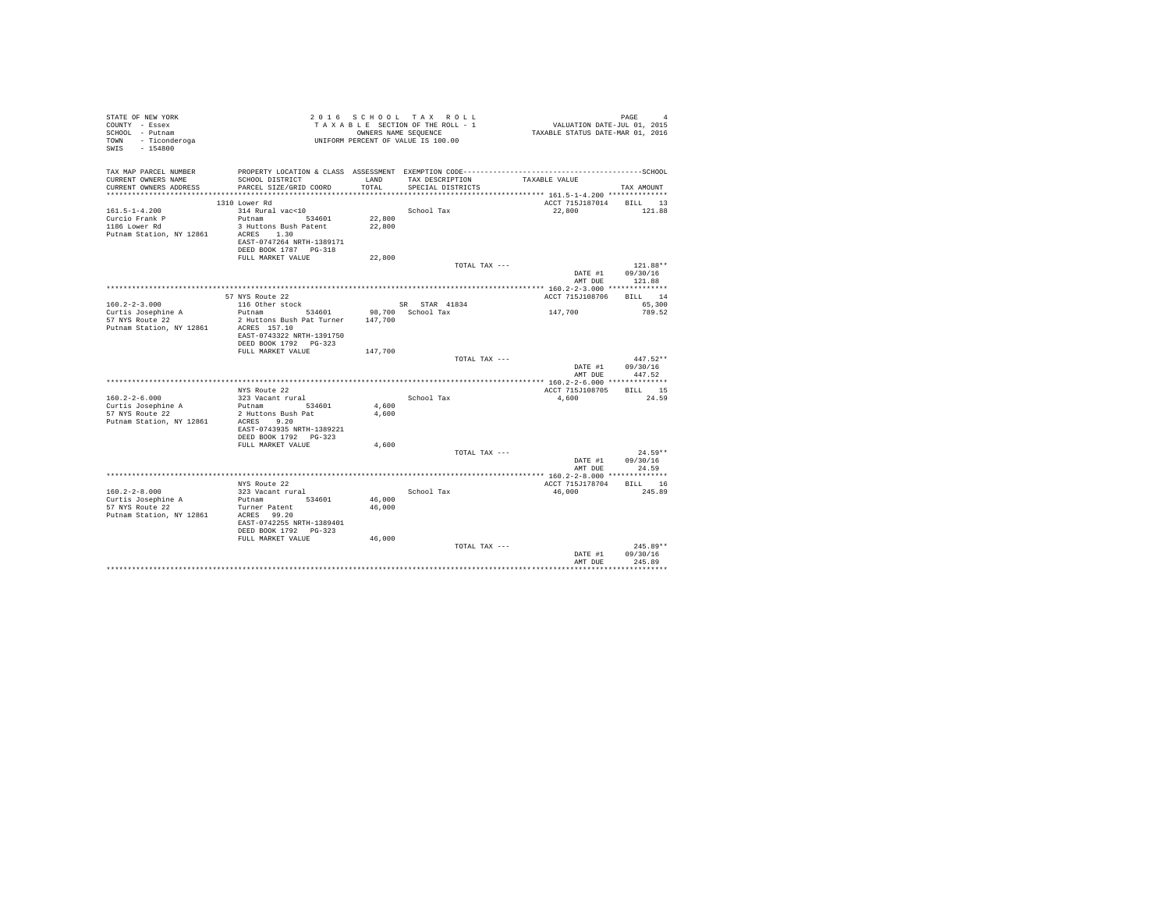| PROPERTY LOCATION & CLASS ASSESSMENT EXEMPTION CODE-----------------------------------SCHOOL<br>TAX DESCRIPTION<br>CURRENT OWNERS NAME<br>SCHOOL DISTRICT<br>LAND<br>TAXABLE VALUE<br>CURRENT OWNERS ADDRESS<br>PARCEL SIZE/GRID COORD<br>TOTAL<br>SPECIAL DISTRICTS<br>TAX AMOUNT<br>************************** 161.5-1-4.200 **************<br>ACCT 715J187014 BILL 13<br>1310 Lower Rd<br>314 Rural vac<10<br>School Tax<br>22.800<br>121.88<br>Putnam 534601<br>22,800<br>3 Huttons Bush Patent<br>1186 Lower Rd<br>22,800<br>ACRES 1.30<br>EAST-0747264 NRTH-1389171<br>DEED BOOK 1787 PG-318<br>FULL MARKET VALUE<br>22,800<br>TOTAL TAX ---<br>$121.88**$<br>DATE #1<br>09/30/16<br>AMT DUE<br>121.88<br>BILL 14<br>57 NYS Route 22<br>ACCT 715J108706<br>116 Other stock<br>SR STAR 41834<br>65,300<br>Putnam 534601<br>147,700<br>Curtis Josephine A<br>98,700 School Tax<br>789.52<br>2 Huttons Bush Pat Turner 147,700<br>ACRES 157.10<br>EAST-0743322 NRTH-1391750<br>DEED BOOK 1792 PG-323<br>FULL MARKET VALUE<br>147,700<br>$447.52**$<br>TOTAL TAX ---<br>DATE #1<br>09/30/16<br>447.52<br>AMT DUE<br>BILL 15<br>NYS Route 22<br>ACCT 715J108705<br>$160.2 - 2 - 6.000$<br>24.59<br>323 Vacant rural<br>School Tax<br>4,600<br>Curtis Josephine A<br>Putnam 534601<br>4,600<br>2 Huttons Bush Pat<br>4,600<br>ACRES 9.20<br>EAST-0743935 NRTH-1389221<br>DEED BOOK 1792 PG-323<br>FULL MARKET VALUE<br>4,600<br>$24.59**$<br>TOTAL TAX ---<br>DATE #1<br>09/30/16<br>24.59<br>AMT DUE<br>BILL 16<br>NYS Route 22<br>ACCT 715J178704<br>$160.2 - 2 - 8.000$<br>323 Vacant rural<br>46,000<br>245.89<br>School Tax<br>Curtis Josephine A<br>Putnam 534601<br>46,000<br>57 NYS Route 22<br>46,000<br>Turner Patent<br>ACRES 99.20<br>EAST-0742255 NRTH-1389401<br>DEED BOOK 1792 PG-323<br>46,000<br>FULL MARKET VALUE<br>$245.89**$<br>TOTAL TAX ---<br>09/30/16<br>DATE #1<br>245.89<br>AMT DUE | STATE OF NEW YORK<br>COUNTY - Essex<br>SCHOOL - Putnam<br>TOWN - Ticonderoga<br>SWIS - 154800 |  | 2016 SCHOOL TAX ROLL<br>TAXABLE SECTION OF THE ROLL - 1<br>OWNERS NAME SEQUENCE<br>UNIFORM PERCENT OF VALUE IS 100.00 | 4<br>11, VALUATION DATE-JUL 01, 2015<br>2016 TAXABLE STATUS DATE-MAR | PAGE<br>$\Delta$ |
|----------------------------------------------------------------------------------------------------------------------------------------------------------------------------------------------------------------------------------------------------------------------------------------------------------------------------------------------------------------------------------------------------------------------------------------------------------------------------------------------------------------------------------------------------------------------------------------------------------------------------------------------------------------------------------------------------------------------------------------------------------------------------------------------------------------------------------------------------------------------------------------------------------------------------------------------------------------------------------------------------------------------------------------------------------------------------------------------------------------------------------------------------------------------------------------------------------------------------------------------------------------------------------------------------------------------------------------------------------------------------------------------------------------------------------------------------------------------------------------------------------------------------------------------------------------------------------------------------------------------------------------------------------------------------------------------------------------------------------------------------------------------------------------------------------------------------------------------------------------------------------------------------------------|-----------------------------------------------------------------------------------------------|--|-----------------------------------------------------------------------------------------------------------------------|----------------------------------------------------------------------|------------------|
|                                                                                                                                                                                                                                                                                                                                                                                                                                                                                                                                                                                                                                                                                                                                                                                                                                                                                                                                                                                                                                                                                                                                                                                                                                                                                                                                                                                                                                                                                                                                                                                                                                                                                                                                                                                                                                                                                                                | TAX MAP PARCEL NUMBER                                                                         |  |                                                                                                                       |                                                                      |                  |
|                                                                                                                                                                                                                                                                                                                                                                                                                                                                                                                                                                                                                                                                                                                                                                                                                                                                                                                                                                                                                                                                                                                                                                                                                                                                                                                                                                                                                                                                                                                                                                                                                                                                                                                                                                                                                                                                                                                |                                                                                               |  |                                                                                                                       |                                                                      |                  |
|                                                                                                                                                                                                                                                                                                                                                                                                                                                                                                                                                                                                                                                                                                                                                                                                                                                                                                                                                                                                                                                                                                                                                                                                                                                                                                                                                                                                                                                                                                                                                                                                                                                                                                                                                                                                                                                                                                                |                                                                                               |  |                                                                                                                       |                                                                      |                  |
|                                                                                                                                                                                                                                                                                                                                                                                                                                                                                                                                                                                                                                                                                                                                                                                                                                                                                                                                                                                                                                                                                                                                                                                                                                                                                                                                                                                                                                                                                                                                                                                                                                                                                                                                                                                                                                                                                                                |                                                                                               |  |                                                                                                                       |                                                                      |                  |
|                                                                                                                                                                                                                                                                                                                                                                                                                                                                                                                                                                                                                                                                                                                                                                                                                                                                                                                                                                                                                                                                                                                                                                                                                                                                                                                                                                                                                                                                                                                                                                                                                                                                                                                                                                                                                                                                                                                | $161.5 - 1 - 4.200$                                                                           |  |                                                                                                                       |                                                                      |                  |
|                                                                                                                                                                                                                                                                                                                                                                                                                                                                                                                                                                                                                                                                                                                                                                                                                                                                                                                                                                                                                                                                                                                                                                                                                                                                                                                                                                                                                                                                                                                                                                                                                                                                                                                                                                                                                                                                                                                | Curcio Frank P                                                                                |  |                                                                                                                       |                                                                      |                  |
|                                                                                                                                                                                                                                                                                                                                                                                                                                                                                                                                                                                                                                                                                                                                                                                                                                                                                                                                                                                                                                                                                                                                                                                                                                                                                                                                                                                                                                                                                                                                                                                                                                                                                                                                                                                                                                                                                                                | Putnam Station, NY 12861                                                                      |  |                                                                                                                       |                                                                      |                  |
|                                                                                                                                                                                                                                                                                                                                                                                                                                                                                                                                                                                                                                                                                                                                                                                                                                                                                                                                                                                                                                                                                                                                                                                                                                                                                                                                                                                                                                                                                                                                                                                                                                                                                                                                                                                                                                                                                                                |                                                                                               |  |                                                                                                                       |                                                                      |                  |
|                                                                                                                                                                                                                                                                                                                                                                                                                                                                                                                                                                                                                                                                                                                                                                                                                                                                                                                                                                                                                                                                                                                                                                                                                                                                                                                                                                                                                                                                                                                                                                                                                                                                                                                                                                                                                                                                                                                |                                                                                               |  |                                                                                                                       |                                                                      |                  |
|                                                                                                                                                                                                                                                                                                                                                                                                                                                                                                                                                                                                                                                                                                                                                                                                                                                                                                                                                                                                                                                                                                                                                                                                                                                                                                                                                                                                                                                                                                                                                                                                                                                                                                                                                                                                                                                                                                                |                                                                                               |  |                                                                                                                       |                                                                      |                  |
|                                                                                                                                                                                                                                                                                                                                                                                                                                                                                                                                                                                                                                                                                                                                                                                                                                                                                                                                                                                                                                                                                                                                                                                                                                                                                                                                                                                                                                                                                                                                                                                                                                                                                                                                                                                                                                                                                                                |                                                                                               |  |                                                                                                                       |                                                                      |                  |
|                                                                                                                                                                                                                                                                                                                                                                                                                                                                                                                                                                                                                                                                                                                                                                                                                                                                                                                                                                                                                                                                                                                                                                                                                                                                                                                                                                                                                                                                                                                                                                                                                                                                                                                                                                                                                                                                                                                |                                                                                               |  |                                                                                                                       |                                                                      |                  |
|                                                                                                                                                                                                                                                                                                                                                                                                                                                                                                                                                                                                                                                                                                                                                                                                                                                                                                                                                                                                                                                                                                                                                                                                                                                                                                                                                                                                                                                                                                                                                                                                                                                                                                                                                                                                                                                                                                                |                                                                                               |  |                                                                                                                       |                                                                      |                  |
|                                                                                                                                                                                                                                                                                                                                                                                                                                                                                                                                                                                                                                                                                                                                                                                                                                                                                                                                                                                                                                                                                                                                                                                                                                                                                                                                                                                                                                                                                                                                                                                                                                                                                                                                                                                                                                                                                                                | $160.2 - 2 - 3.000$                                                                           |  |                                                                                                                       |                                                                      |                  |
|                                                                                                                                                                                                                                                                                                                                                                                                                                                                                                                                                                                                                                                                                                                                                                                                                                                                                                                                                                                                                                                                                                                                                                                                                                                                                                                                                                                                                                                                                                                                                                                                                                                                                                                                                                                                                                                                                                                | 57 NYS Route 22<br>Putnam Station, NY 12861                                                   |  |                                                                                                                       |                                                                      |                  |
|                                                                                                                                                                                                                                                                                                                                                                                                                                                                                                                                                                                                                                                                                                                                                                                                                                                                                                                                                                                                                                                                                                                                                                                                                                                                                                                                                                                                                                                                                                                                                                                                                                                                                                                                                                                                                                                                                                                |                                                                                               |  |                                                                                                                       |                                                                      |                  |
|                                                                                                                                                                                                                                                                                                                                                                                                                                                                                                                                                                                                                                                                                                                                                                                                                                                                                                                                                                                                                                                                                                                                                                                                                                                                                                                                                                                                                                                                                                                                                                                                                                                                                                                                                                                                                                                                                                                |                                                                                               |  |                                                                                                                       |                                                                      |                  |
|                                                                                                                                                                                                                                                                                                                                                                                                                                                                                                                                                                                                                                                                                                                                                                                                                                                                                                                                                                                                                                                                                                                                                                                                                                                                                                                                                                                                                                                                                                                                                                                                                                                                                                                                                                                                                                                                                                                |                                                                                               |  |                                                                                                                       |                                                                      |                  |
|                                                                                                                                                                                                                                                                                                                                                                                                                                                                                                                                                                                                                                                                                                                                                                                                                                                                                                                                                                                                                                                                                                                                                                                                                                                                                                                                                                                                                                                                                                                                                                                                                                                                                                                                                                                                                                                                                                                |                                                                                               |  |                                                                                                                       |                                                                      |                  |
|                                                                                                                                                                                                                                                                                                                                                                                                                                                                                                                                                                                                                                                                                                                                                                                                                                                                                                                                                                                                                                                                                                                                                                                                                                                                                                                                                                                                                                                                                                                                                                                                                                                                                                                                                                                                                                                                                                                |                                                                                               |  |                                                                                                                       |                                                                      |                  |
|                                                                                                                                                                                                                                                                                                                                                                                                                                                                                                                                                                                                                                                                                                                                                                                                                                                                                                                                                                                                                                                                                                                                                                                                                                                                                                                                                                                                                                                                                                                                                                                                                                                                                                                                                                                                                                                                                                                | 57 NYS Route 22<br>Putnam Station, NY 12861                                                   |  |                                                                                                                       |                                                                      |                  |
|                                                                                                                                                                                                                                                                                                                                                                                                                                                                                                                                                                                                                                                                                                                                                                                                                                                                                                                                                                                                                                                                                                                                                                                                                                                                                                                                                                                                                                                                                                                                                                                                                                                                                                                                                                                                                                                                                                                |                                                                                               |  |                                                                                                                       |                                                                      |                  |
|                                                                                                                                                                                                                                                                                                                                                                                                                                                                                                                                                                                                                                                                                                                                                                                                                                                                                                                                                                                                                                                                                                                                                                                                                                                                                                                                                                                                                                                                                                                                                                                                                                                                                                                                                                                                                                                                                                                |                                                                                               |  |                                                                                                                       |                                                                      |                  |
|                                                                                                                                                                                                                                                                                                                                                                                                                                                                                                                                                                                                                                                                                                                                                                                                                                                                                                                                                                                                                                                                                                                                                                                                                                                                                                                                                                                                                                                                                                                                                                                                                                                                                                                                                                                                                                                                                                                |                                                                                               |  |                                                                                                                       |                                                                      |                  |
|                                                                                                                                                                                                                                                                                                                                                                                                                                                                                                                                                                                                                                                                                                                                                                                                                                                                                                                                                                                                                                                                                                                                                                                                                                                                                                                                                                                                                                                                                                                                                                                                                                                                                                                                                                                                                                                                                                                |                                                                                               |  |                                                                                                                       |                                                                      |                  |
|                                                                                                                                                                                                                                                                                                                                                                                                                                                                                                                                                                                                                                                                                                                                                                                                                                                                                                                                                                                                                                                                                                                                                                                                                                                                                                                                                                                                                                                                                                                                                                                                                                                                                                                                                                                                                                                                                                                |                                                                                               |  |                                                                                                                       |                                                                      |                  |
|                                                                                                                                                                                                                                                                                                                                                                                                                                                                                                                                                                                                                                                                                                                                                                                                                                                                                                                                                                                                                                                                                                                                                                                                                                                                                                                                                                                                                                                                                                                                                                                                                                                                                                                                                                                                                                                                                                                |                                                                                               |  |                                                                                                                       |                                                                      |                  |
|                                                                                                                                                                                                                                                                                                                                                                                                                                                                                                                                                                                                                                                                                                                                                                                                                                                                                                                                                                                                                                                                                                                                                                                                                                                                                                                                                                                                                                                                                                                                                                                                                                                                                                                                                                                                                                                                                                                |                                                                                               |  |                                                                                                                       |                                                                      |                  |
|                                                                                                                                                                                                                                                                                                                                                                                                                                                                                                                                                                                                                                                                                                                                                                                                                                                                                                                                                                                                                                                                                                                                                                                                                                                                                                                                                                                                                                                                                                                                                                                                                                                                                                                                                                                                                                                                                                                |                                                                                               |  |                                                                                                                       |                                                                      |                  |
|                                                                                                                                                                                                                                                                                                                                                                                                                                                                                                                                                                                                                                                                                                                                                                                                                                                                                                                                                                                                                                                                                                                                                                                                                                                                                                                                                                                                                                                                                                                                                                                                                                                                                                                                                                                                                                                                                                                | Putnam Station, NY 12861                                                                      |  |                                                                                                                       |                                                                      |                  |
|                                                                                                                                                                                                                                                                                                                                                                                                                                                                                                                                                                                                                                                                                                                                                                                                                                                                                                                                                                                                                                                                                                                                                                                                                                                                                                                                                                                                                                                                                                                                                                                                                                                                                                                                                                                                                                                                                                                |                                                                                               |  |                                                                                                                       |                                                                      |                  |
|                                                                                                                                                                                                                                                                                                                                                                                                                                                                                                                                                                                                                                                                                                                                                                                                                                                                                                                                                                                                                                                                                                                                                                                                                                                                                                                                                                                                                                                                                                                                                                                                                                                                                                                                                                                                                                                                                                                |                                                                                               |  |                                                                                                                       |                                                                      |                  |
|                                                                                                                                                                                                                                                                                                                                                                                                                                                                                                                                                                                                                                                                                                                                                                                                                                                                                                                                                                                                                                                                                                                                                                                                                                                                                                                                                                                                                                                                                                                                                                                                                                                                                                                                                                                                                                                                                                                |                                                                                               |  |                                                                                                                       |                                                                      |                  |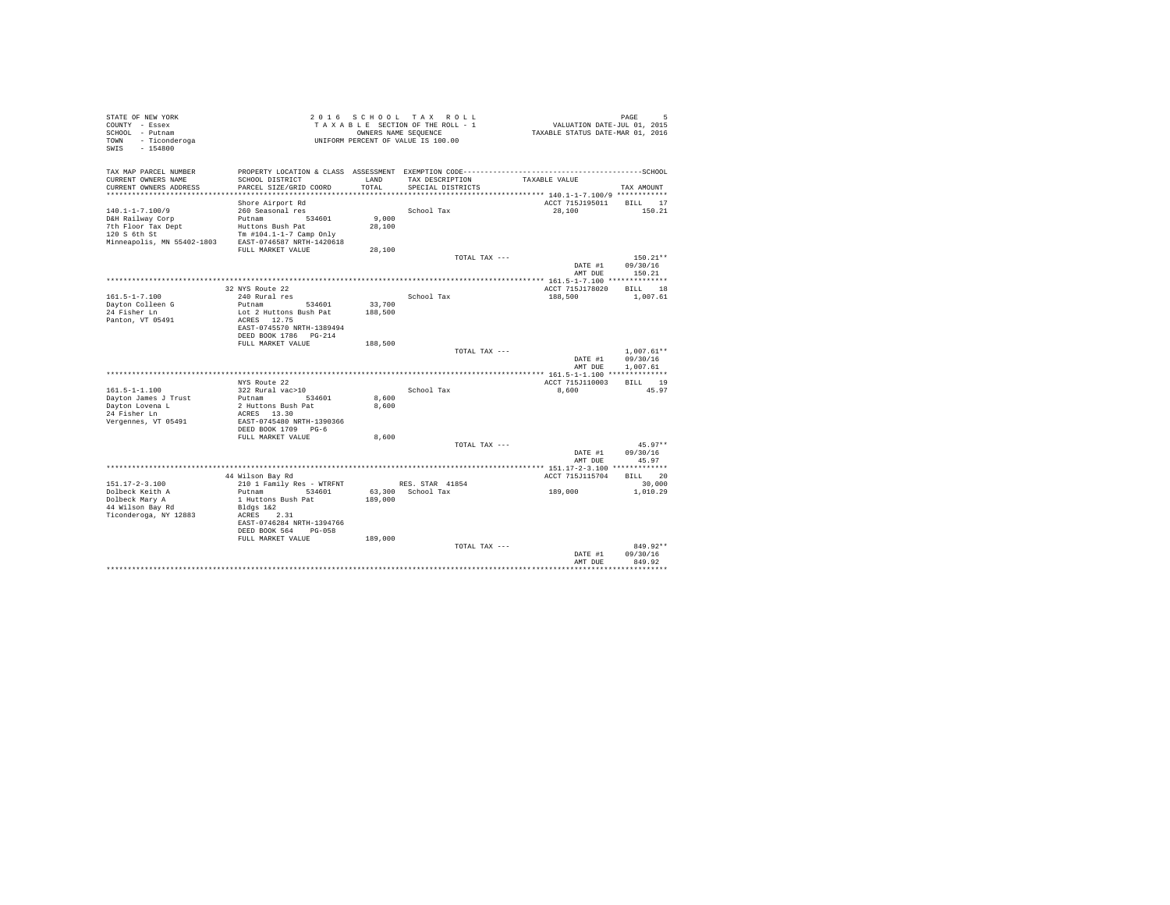| STATE OF NEW YORK                |                                            |         | 2016 SCHOOL TAX ROLL               |                                                        | PAGE<br>Б    |
|----------------------------------|--------------------------------------------|---------|------------------------------------|--------------------------------------------------------|--------------|
| COUNTY - Essex                   |                                            |         | TAXABLE SECTION OF THE ROLL - 1    | VALUATION DATE-JUL 01, 2015                            |              |
| SCHOOL - Putnam                  |                                            |         | OWNERS NAME SEQUENCE               | TAXABLE STATUS DATE-MAR 01, 2016                       |              |
| - Ticonderoga<br>TOWN            |                                            |         | UNIFORM PERCENT OF VALUE IS 100.00 |                                                        |              |
| SWIS<br>$-154800$                |                                            |         |                                    |                                                        |              |
|                                  |                                            |         |                                    |                                                        |              |
| TAX MAP PARCEL NUMBER            |                                            |         |                                    |                                                        |              |
| CURRENT OWNERS NAME              | SCHOOL DISTRICT                            | LAND    | TAX DESCRIPTION                    | TAXABLE VALUE                                          |              |
| CURRENT OWNERS ADDRESS           | PARCEL SIZE/GRID COORD                     | TOTAL   | SPECIAL DISTRICTS                  |                                                        | TAX AMOUNT   |
|                                  |                                            |         |                                    | ************************** 140.1-1-7.100/9 *********** |              |
|                                  | Shore Airport Rd                           |         |                                    | ACCT 715J195011                                        | BILL 17      |
| $140.1 - 1 - 7.100/9$            | 260 Seasonal res                           |         | School Tax                         | 28,100                                                 | 150.21       |
| D&H Railway Corp                 | Putnam<br>534601                           | 9.000   |                                    |                                                        |              |
| 7th Floor Tax Dept               | Huttons Bush Pat                           | 28,100  |                                    |                                                        |              |
| 120 S 6th St                     | Tm $#104.1 - 1 - 7$ Camp Only              |         |                                    |                                                        |              |
| Minneapolis, MN 55402-1803       | EAST-0746587 NRTH-1420618                  |         |                                    |                                                        |              |
|                                  | FULL MARKET VALUE                          | 28,100  |                                    |                                                        |              |
|                                  |                                            |         | TOTAL TAX ---                      |                                                        | $150.21**$   |
|                                  |                                            |         |                                    | DATE #1                                                | 09/30/16     |
|                                  |                                            |         |                                    | AMT DUE                                                | 150.21       |
|                                  |                                            |         |                                    |                                                        |              |
|                                  | 32 NYS Route 22                            |         |                                    | ACCT 715J178020                                        | BILL 18      |
| $161.5 - 1 - 7.100$              | 240 Rural res                              |         | School Tax                         | 188,500                                                | 1,007.61     |
| Dayton Colleen G<br>24 Fisher Ln | Putnam<br>534601<br>Lot 2 Huttons Bush Pat | 33,700  |                                    |                                                        |              |
| Panton, VT 05491                 | ACRES 12.75                                | 188,500 |                                    |                                                        |              |
|                                  | EAST-0745570 NRTH-1389494                  |         |                                    |                                                        |              |
|                                  | DEED BOOK 1786 PG-214                      |         |                                    |                                                        |              |
|                                  | FULL MARKET VALUE                          | 188,500 |                                    |                                                        |              |
|                                  |                                            |         | TOTAL TAX ---                      |                                                        | $1.007.61**$ |
|                                  |                                            |         |                                    | DATE #1                                                | 09/30/16     |
|                                  |                                            |         |                                    | AMT DUE                                                | 1,007.61     |
|                                  |                                            |         |                                    |                                                        |              |
|                                  | NYS Route 22                               |         |                                    | ACCT 715J110003                                        | BILL 19      |
| $161.5 - 1 - 1.100$              | 322 Rural vac>10                           |         | School Tax                         | 8,600                                                  | 45.97        |
| Dayton James J Trust             | Putnam<br>534601                           | 8,600   |                                    |                                                        |              |
| Dayton Lovena L                  | 2 Huttons Bush Pat                         | 8,600   |                                    |                                                        |              |
| 24 Fisher Ln                     | ACRES 13.30                                |         |                                    |                                                        |              |
| Vergennes, VT 05491              | EAST-0745480 NRTH-1390366                  |         |                                    |                                                        |              |
|                                  | DEED BOOK 1709 PG-6                        |         |                                    |                                                        |              |
|                                  | FULL MARKET VALUE                          | 8,600   |                                    |                                                        |              |
|                                  |                                            |         | TOTAL TAX ---                      |                                                        | $45.97**$    |
|                                  |                                            |         |                                    | DATE #1                                                | 09/30/16     |
|                                  |                                            |         |                                    | AMT DUE                                                | 45.97        |
|                                  |                                            |         |                                    |                                                        |              |
|                                  | 44 Wilson Bay Rd                           |         |                                    | ACCT 715J115704                                        | BILL 20      |
| $151.17 - 2 - 3.100$             | 210 1 Family Res - WTRFNT                  |         | RES. STAR 41854                    |                                                        | 30,000       |
| Dolbeck Keith A                  | Putnam<br>534601                           |         | 63.300 School Tax                  | 189,000                                                | 1,010.29     |
| Dolbeck Mary A                   | 1 Huttons Bush Pat                         | 189,000 |                                    |                                                        |              |
| 44 Wilson Bay Rd                 | Bldgs 1&2                                  |         |                                    |                                                        |              |
| Ticonderoga, NY 12883            | 2.31<br>ACRES                              |         |                                    |                                                        |              |
|                                  | EAST-0746284 NRTH-1394766                  |         |                                    |                                                        |              |
|                                  | DEED BOOK 564<br>$PG-058$                  |         |                                    |                                                        |              |
|                                  | FULL MARKET VALUE                          | 189,000 |                                    |                                                        |              |
|                                  |                                            |         | TOTAL TAX ---                      |                                                        | 849.92**     |
|                                  |                                            |         |                                    | DATE #1                                                | 09/30/16     |
|                                  |                                            |         |                                    | AMT DUE                                                | 849.92       |
|                                  |                                            |         |                                    |                                                        |              |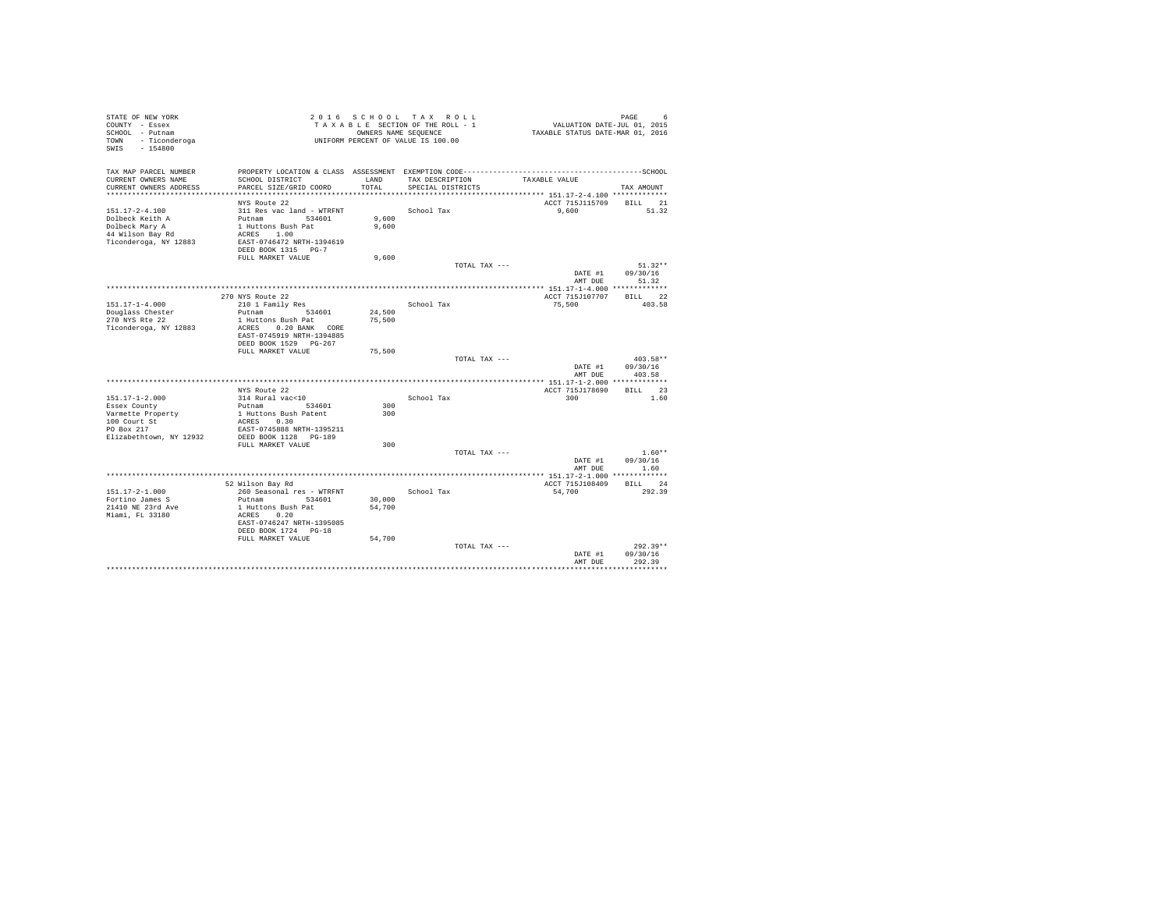| STATE OF NEW YORK<br>COUNTY - Essex<br>SCHOOL - Putnam<br>TOWN - Ticonderoga<br>$-154800$<br>SWIS |                                                    |        | 2016 SCHOOL TAX ROLL<br>TAXABLE SECTION OF THE ROLL - 1<br>OWNERS NAME SEQUENCE<br>UNIFORM PERCENT OF VALUE IS 100.00 | VALUATION DATE-JUL 01, 2015<br>TAXABLE STATUS DATE-MAR 01, 2016 | PAGE<br>6              |
|---------------------------------------------------------------------------------------------------|----------------------------------------------------|--------|-----------------------------------------------------------------------------------------------------------------------|-----------------------------------------------------------------|------------------------|
| TAX MAP PARCEL NUMBER                                                                             |                                                    |        |                                                                                                                       |                                                                 |                        |
| CURRENT OWNERS NAME                                                                               | SCHOOL DISTRICT                                    | LAND   | TAX DESCRIPTION                                                                                                       | TAXABLE VALUE                                                   |                        |
| CURRENT OWNERS ADDRESS                                                                            | PARCEL SIZE/GRID COORD                             | TOTAL  | SPECIAL DISTRICTS                                                                                                     |                                                                 | TAX AMOUNT             |
|                                                                                                   | NYS Route 22                                       |        |                                                                                                                       | ACCT 715J115709                                                 | BILL 21                |
| $151.17 - 2 - 4.100$                                                                              | 311 Res vac land - WTRFNT                          |        | School Tax                                                                                                            | 9,600                                                           | 51.32                  |
| Dolbeck Keith A                                                                                   | Putnam 534601                                      | 9,600  |                                                                                                                       |                                                                 |                        |
| Dolbeck Mary A                                                                                    | 1 Huttons Bush Pat                                 | 9,600  |                                                                                                                       |                                                                 |                        |
| 44 Wilson Bay Rd                                                                                  | ACRES 1.00                                         |        |                                                                                                                       |                                                                 |                        |
| Ticonderoga, NY 12883                                                                             | EAST-0746472 NRTH-1394619                          |        |                                                                                                                       |                                                                 |                        |
|                                                                                                   | DEED BOOK 1315 PG-7                                |        |                                                                                                                       |                                                                 |                        |
|                                                                                                   | FULL MARKET VALUE                                  | 9,600  |                                                                                                                       |                                                                 |                        |
|                                                                                                   |                                                    |        | TOTAL TAX ---                                                                                                         |                                                                 | $51.32**$              |
|                                                                                                   |                                                    |        |                                                                                                                       | DATE #1<br>AMT DUE                                              | 09/30/16<br>51.32      |
|                                                                                                   |                                                    |        |                                                                                                                       |                                                                 |                        |
|                                                                                                   | 270 NYS Route 22                                   |        |                                                                                                                       | ACCT 715J107707                                                 | BILL 22                |
| $151.17 - 1 - 4.000$                                                                              | 210 1 Family Res                                   |        | School Tax                                                                                                            | 75,500                                                          | 403.58                 |
| Douglass Chester                                                                                  | Putnam<br>534601                                   | 24,500 |                                                                                                                       |                                                                 |                        |
| 270 NYS Rte 22                                                                                    | 1 Huttons Bush Pat                                 | 75,500 |                                                                                                                       |                                                                 |                        |
| Ticonderoga, NY 12883                                                                             | ACRES 0.20 BANK CORE                               |        |                                                                                                                       |                                                                 |                        |
|                                                                                                   | EAST-0745919 NRTH-1394885                          |        |                                                                                                                       |                                                                 |                        |
|                                                                                                   | DEED BOOK 1529 PG-267                              |        |                                                                                                                       |                                                                 |                        |
|                                                                                                   | FULL MARKET VALUE                                  | 75,500 |                                                                                                                       |                                                                 |                        |
|                                                                                                   |                                                    |        | TOTAL TAX ---                                                                                                         | DATE #1                                                         | $403.58**$<br>09/30/16 |
|                                                                                                   |                                                    |        |                                                                                                                       | AMT DUR                                                         | 403.58                 |
|                                                                                                   |                                                    |        |                                                                                                                       |                                                                 |                        |
|                                                                                                   | NYS Route 22                                       |        |                                                                                                                       | ACCT 715J178690                                                 | BILL 23                |
| $151.17 - 1 - 2.000$                                                                              | 314 Rural vac<10                                   |        | School Tax                                                                                                            | 300                                                             | 1.60                   |
| Essex County                                                                                      | Putnam<br>534601                                   | 300    |                                                                                                                       |                                                                 |                        |
| Varmette Property                                                                                 | 1 Huttons Bush Patent                              | 300    |                                                                                                                       |                                                                 |                        |
| 100 Court St                                                                                      | ACRES 0.30                                         |        |                                                                                                                       |                                                                 |                        |
| PO Box 217<br>Elizabethtown, NY 12932                                                             | EAST-0745888 NRTH-1395211<br>DEED BOOK 1128 PG-189 |        |                                                                                                                       |                                                                 |                        |
|                                                                                                   | FULL MARKET VALUE                                  | 300    |                                                                                                                       |                                                                 |                        |
|                                                                                                   |                                                    |        | TOTAL TAX ---                                                                                                         |                                                                 | $1.60**$               |
|                                                                                                   |                                                    |        |                                                                                                                       | DATE #1                                                         | 09/30/16               |
|                                                                                                   |                                                    |        |                                                                                                                       | AMT DUE                                                         | 1.60                   |
|                                                                                                   |                                                    |        |                                                                                                                       |                                                                 |                        |
|                                                                                                   | 52 Wilson Bay Rd                                   |        |                                                                                                                       | ACCT 715J108409                                                 | BILL 24                |
| $151.17 - 2 - 1.000$                                                                              | 260 Seasonal res - WTRFNT                          |        | School Tax                                                                                                            | 54,700                                                          | 292.39                 |
| Fortino James S                                                                                   | Putnam 534601                                      | 30,000 |                                                                                                                       |                                                                 |                        |
| 21410 NE 23rd Ave<br>Miami, FL 33180                                                              | 1 Huttons Bush Pat<br>ACRES 0.20                   | 54,700 |                                                                                                                       |                                                                 |                        |
|                                                                                                   | EAST-0746247 NRTH-1395085                          |        |                                                                                                                       |                                                                 |                        |
|                                                                                                   | DEED BOOK 1724 PG-18                               |        |                                                                                                                       |                                                                 |                        |
|                                                                                                   | FULL MARKET VALUE                                  | 54,700 |                                                                                                                       |                                                                 |                        |
|                                                                                                   |                                                    |        | TOTAL TAX ---                                                                                                         |                                                                 | $292.39**$             |
|                                                                                                   |                                                    |        |                                                                                                                       | DATE #1                                                         | 09/30/16               |
|                                                                                                   |                                                    |        |                                                                                                                       | AMT DUE                                                         | 292.39                 |
|                                                                                                   |                                                    |        |                                                                                                                       |                                                                 |                        |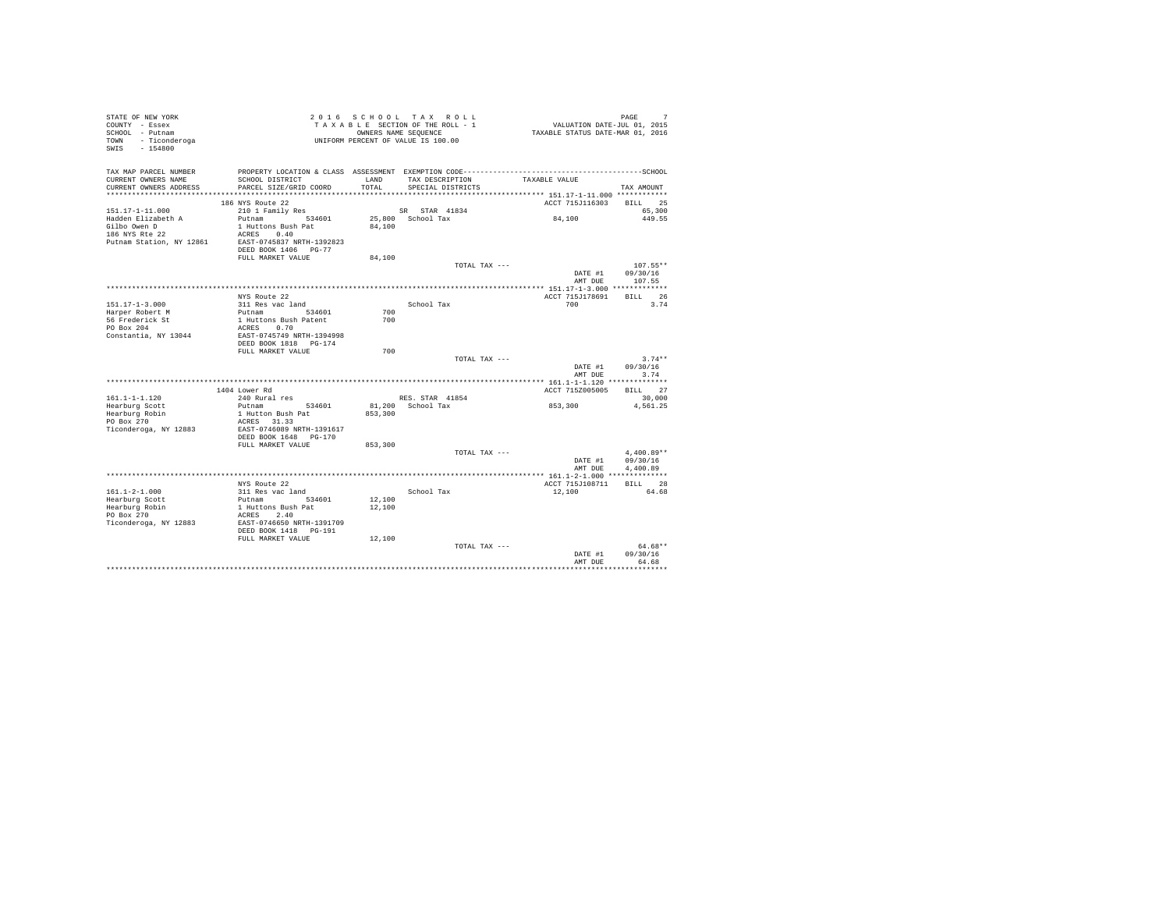| STATE OF NEW YORK<br>COUNTY - Essex<br>SCHOOL - Putnam<br>- Ticonderoga<br>TOWN<br>SWIS - 154800 |                                                                                                                 |            | 2016 SCHOOL TAX ROLL<br>TAXABLE SECTION OF THE ROLL - 1<br>OWNERS NAME SEOUENCE<br>UNIFORM PERCENT OF VALUE IS 100.00 | VALUATION DATE-JUL 01, 2015<br>TAXABLE STATUS DATE-MAR 01, 2016 | 7<br>PAGE        |
|--------------------------------------------------------------------------------------------------|-----------------------------------------------------------------------------------------------------------------|------------|-----------------------------------------------------------------------------------------------------------------------|-----------------------------------------------------------------|------------------|
| TAX MAP PARCEL NUMBER<br>CURRENT OWNERS NAME                                                     | PROPERTY LOCATION & CLASS ASSESSMENT EXEMPTION CODE-----------------------------------SCHOOL<br>SCHOOL DISTRICT | LAND       | TAX DESCRIPTION                                                                                                       | TAXABLE VALUE                                                   |                  |
| CURRENT OWNERS ADDRESS<br>***********************                                                | PARCEL SIZE/GRID COORD                                                                                          | TOTAL      | SPECIAL DISTRICTS                                                                                                     |                                                                 | TAX AMOUNT       |
|                                                                                                  | 186 NYS Route 22                                                                                                |            |                                                                                                                       | ACCT 715J116303                                                 | BILL 25          |
| $151.17 - 1 - 11.000$                                                                            | 210 1 Family Res                                                                                                |            | SR STAR 41834                                                                                                         |                                                                 | 65,300           |
| Hadden Elizabeth A                                                                               | Putnam<br>534601                                                                                                |            | 25,800 School Tax                                                                                                     | 84,100                                                          | 449.55           |
| Gilbo Owen D                                                                                     | 1 Huttons Bush Pat                                                                                              | 84,100     |                                                                                                                       |                                                                 |                  |
| 186 NYS Rte 22                                                                                   | ACRES 0.40                                                                                                      |            |                                                                                                                       |                                                                 |                  |
| Putnam Station, NY 12861                                                                         | EAST-0745837 NRTH-1392823<br>DEED BOOK 1406 PG-77                                                               |            |                                                                                                                       |                                                                 |                  |
|                                                                                                  | FULL MARKET VALUE                                                                                               | 84,100     |                                                                                                                       |                                                                 |                  |
|                                                                                                  |                                                                                                                 |            | TOTAL TAX ---                                                                                                         |                                                                 | $107.55**$       |
|                                                                                                  |                                                                                                                 |            |                                                                                                                       | DATE #1                                                         | 09/30/16         |
|                                                                                                  |                                                                                                                 |            |                                                                                                                       | AMT DUE                                                         | 107.55           |
|                                                                                                  |                                                                                                                 |            |                                                                                                                       |                                                                 |                  |
|                                                                                                  | NYS Route 22                                                                                                    |            |                                                                                                                       | ACCT 715J178691                                                 | RTLL 26          |
| $151.17 - 1 - 3.000$                                                                             | 311 Res vac land                                                                                                |            | School Tax                                                                                                            | 700                                                             | 3.74             |
| Harper Robert M<br>56 Frederick St                                                               | Putnam 534601<br>1 Huttons Bush Patent                                                                          | 700<br>700 |                                                                                                                       |                                                                 |                  |
| PO Box 204                                                                                       | ACRES 0.70                                                                                                      |            |                                                                                                                       |                                                                 |                  |
| Constantia, NY 13044                                                                             | EAST-0745749 NRTH-1394998                                                                                       |            |                                                                                                                       |                                                                 |                  |
|                                                                                                  | DEED BOOK 1818 PG-174                                                                                           |            |                                                                                                                       |                                                                 |                  |
|                                                                                                  | FULL MARKET VALUE                                                                                               | 700        |                                                                                                                       |                                                                 |                  |
|                                                                                                  |                                                                                                                 |            | TOTAL TAX ---                                                                                                         |                                                                 | $3.74**$         |
|                                                                                                  |                                                                                                                 |            |                                                                                                                       | DATE #1<br>AMT DUE                                              | 09/30/16<br>3.74 |
|                                                                                                  | 1404 Lower Rd                                                                                                   |            |                                                                                                                       | ACCT 715Z005005                                                 | BILL 27          |
| $161.1 - 1 - 1.120$                                                                              | 240 Rural res                                                                                                   |            | RES. STAR 41854                                                                                                       |                                                                 | 30,000           |
| Hearburg Scott                                                                                   | Putnam<br>534601                                                                                                |            | 81.200 School Tax                                                                                                     | 853,300                                                         | 4.561.25         |
| Hearburg Robin                                                                                   | 1 Hutton Bush Pat                                                                                               | 853,300    |                                                                                                                       |                                                                 |                  |
| PO Box 270                                                                                       | ACRES 31.33                                                                                                     |            |                                                                                                                       |                                                                 |                  |
| Ticonderoga, NY 12883                                                                            | EAST-0746089 NRTH-1391617                                                                                       |            |                                                                                                                       |                                                                 |                  |
|                                                                                                  | DEED BOOK 1648 PG-170                                                                                           |            |                                                                                                                       |                                                                 |                  |
|                                                                                                  | FULL MARKET VALUE                                                                                               | 853,300    | TOTAL TAX ---                                                                                                         |                                                                 | $4.400.89**$     |
|                                                                                                  |                                                                                                                 |            |                                                                                                                       | DATE #1                                                         | 09/30/16         |
|                                                                                                  |                                                                                                                 |            |                                                                                                                       | AMT DUE                                                         | 4,400.89         |
|                                                                                                  |                                                                                                                 |            |                                                                                                                       |                                                                 |                  |
|                                                                                                  | NYS Route 22                                                                                                    |            |                                                                                                                       | ACCT 715J108711                                                 | BILL 28          |
| $161.1 - 2 - 1.000$                                                                              | 311 Res vac land                                                                                                |            | School Tax                                                                                                            | 12,100                                                          | 64.68            |
| Hearburg Scott                                                                                   | Putnam 534601                                                                                                   | 12,100     |                                                                                                                       |                                                                 |                  |
| Hearburg Robin<br>PO Box 270                                                                     | 1 Huttons Bush Pat<br>ACRES 2.40                                                                                | 12,100     |                                                                                                                       |                                                                 |                  |
| Ticonderoga, NY 12883                                                                            | EAST-0746650 NRTH-1391709                                                                                       |            |                                                                                                                       |                                                                 |                  |
|                                                                                                  | DEED BOOK 1418  PG-191                                                                                          |            |                                                                                                                       |                                                                 |                  |
|                                                                                                  | FULL MARKET VALUE                                                                                               | 12,100     |                                                                                                                       |                                                                 |                  |
|                                                                                                  |                                                                                                                 |            | TOTAL TAX ---                                                                                                         |                                                                 | $64.68**$        |
|                                                                                                  |                                                                                                                 |            |                                                                                                                       | DATE #1                                                         | 09/30/16         |
|                                                                                                  |                                                                                                                 |            |                                                                                                                       | AMT DUE                                                         | 64.68            |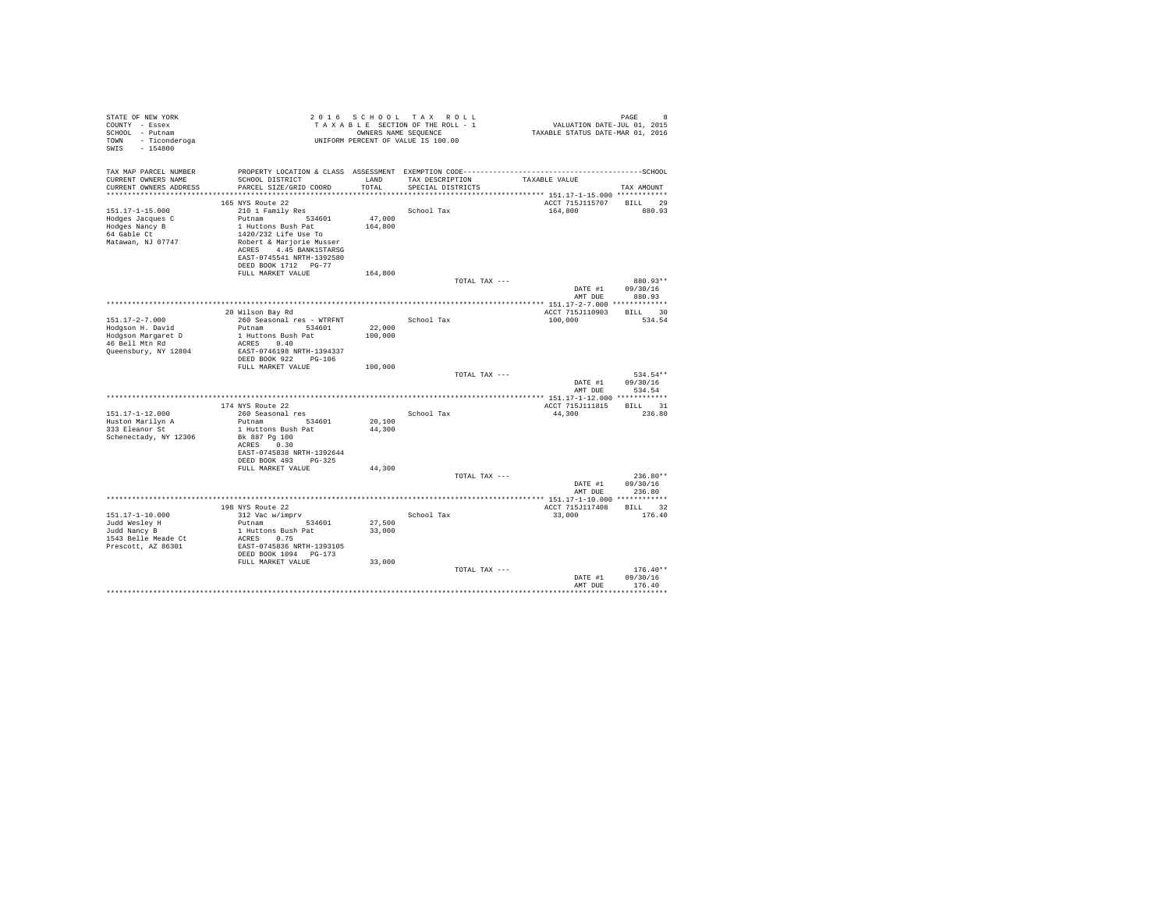| STATE OF NEW YORK<br>COUNTY - Essex<br>SCHOOL - Putnam |                                           |                   | 2016 SCHOOL TAX ROLL<br>TAXABLE SECTION OF THE ROLL - 1<br>OWNERS NAME SEQUENCE | VALUATION DATE-JUL 01, 2015<br>TAXABLE STATUS DATE-MAR 01, 2016 | PAGE<br>8              |
|--------------------------------------------------------|-------------------------------------------|-------------------|---------------------------------------------------------------------------------|-----------------------------------------------------------------|------------------------|
| TOWN<br>- Ticonderoga<br>$-154800$<br>SWIS             |                                           |                   | UNIFORM PERCENT OF VALUE IS 100.00                                              |                                                                 |                        |
| TAX MAP PARCEL NUMBER                                  |                                           |                   |                                                                                 |                                                                 |                        |
| CURRENT OWNERS NAME<br>CURRENT OWNERS ADDRESS          | SCHOOL DISTRICT<br>PARCEL SIZE/GRID COORD | LAND<br>TOTAL     | TAX DESCRIPTION<br>SPECIAL DISTRICTS                                            | TAXABLE VALUE                                                   | TAX AMOUNT             |
|                                                        |                                           |                   |                                                                                 |                                                                 |                        |
|                                                        | 165 NYS Route 22                          |                   |                                                                                 | ACCT 715J115707                                                 | BILL 29                |
| $151.17 - 1 - 15.000$                                  | 210 1 Family Res                          |                   | School Tax                                                                      | 164,800                                                         | 880.93                 |
| Hodges Jacques C<br>Hodges Nancy B                     | Putnam 534601<br>1 Huttons Bush Pat       | 47.000<br>164,800 |                                                                                 |                                                                 |                        |
| 64 Gable Ct                                            | 1420/232 Life Use To                      |                   |                                                                                 |                                                                 |                        |
| Matawan, NJ 07747                                      | Robert & Marjorie Musser                  |                   |                                                                                 |                                                                 |                        |
|                                                        | ACRES 4.45 BANK1STARSG                    |                   |                                                                                 |                                                                 |                        |
|                                                        | EAST-0745541 NRTH-1392580                 |                   |                                                                                 |                                                                 |                        |
|                                                        | DEED BOOK 1712 PG-77                      |                   |                                                                                 |                                                                 |                        |
|                                                        | FULL MARKET VALUE                         | 164,800           |                                                                                 |                                                                 |                        |
|                                                        |                                           |                   | TOTAL TAX ---                                                                   |                                                                 | 880.93**               |
|                                                        |                                           |                   |                                                                                 | DATE #1                                                         | 09/30/16               |
|                                                        |                                           |                   |                                                                                 | AMT DUE                                                         | 880.93                 |
|                                                        | 20 Wilson Bay Rd                          |                   |                                                                                 | ACCT 715J110903                                                 | BILL 30                |
| $151.17 - 2 - 7.000$                                   | 260 Seasonal res - WTRFNT                 |                   | School Tax                                                                      | 100,000                                                         | 534.54                 |
| Hodgson H. David                                       | Putnam 534601                             | 22,000            |                                                                                 |                                                                 |                        |
| Hodgson Margaret D                                     | 1 Huttons Bush Pat                        | 100,000           |                                                                                 |                                                                 |                        |
| 46 Bell Mtn Rd                                         | ACRES 0.40                                |                   |                                                                                 |                                                                 |                        |
| Queensbury, NY 12804                                   | EAST-0746198 NRTH-1394337                 |                   |                                                                                 |                                                                 |                        |
|                                                        | DEED BOOK 922 PG-106<br>FULL MARKET VALUE | 100,000           |                                                                                 |                                                                 |                        |
|                                                        |                                           |                   | TOTAL TAX ---                                                                   |                                                                 | 534.54**               |
|                                                        |                                           |                   |                                                                                 | DATE #1                                                         | 09/30/16               |
|                                                        |                                           |                   |                                                                                 | AMT DUE                                                         | 534.54                 |
|                                                        |                                           |                   |                                                                                 |                                                                 |                        |
|                                                        | 174 NYS Route 22                          |                   |                                                                                 | ACCT 715J111815                                                 | BILL 31                |
| 151.17-1-12.000                                        | 260 Seasonal res                          |                   | School Tax                                                                      | 44,300                                                          | 236.80                 |
| Huston Marilyn A                                       | Putnam<br>534601                          | 20,100            |                                                                                 |                                                                 |                        |
| 333 Eleanor St<br>Schenectady, NY 12306                | 1 Huttons Bush Pat<br>Bk 887 Pg 100       | 44,300            |                                                                                 |                                                                 |                        |
|                                                        | ACRES 0.30                                |                   |                                                                                 |                                                                 |                        |
|                                                        | EAST-0745838 NRTH-1392644                 |                   |                                                                                 |                                                                 |                        |
|                                                        | DEED BOOK 493 PG-325                      |                   |                                                                                 |                                                                 |                        |
|                                                        | FULL MARKET VALUE                         | 44,300            |                                                                                 |                                                                 |                        |
|                                                        |                                           |                   | TOTAL TAX ---                                                                   |                                                                 | $236.80**$             |
|                                                        |                                           |                   |                                                                                 | DATE #1                                                         | 09/30/16               |
|                                                        |                                           |                   |                                                                                 | AMT DUE                                                         | 236.80                 |
|                                                        |                                           |                   |                                                                                 |                                                                 | BILL 32                |
| 151.17-1-10.000                                        | 198 NYS Route 22<br>312 Vac w/imprv       |                   | School Tax                                                                      | ACCT 715J117408<br>33,000                                       | 176.40                 |
| Judd Wesley H                                          | Putnam 534601                             | 27,500            |                                                                                 |                                                                 |                        |
| Judd Nancy B                                           | 1 Huttons Bush Pat                        | 33,000            |                                                                                 |                                                                 |                        |
| 1543 Belle Meade Ct                                    | ACRES 0.75                                |                   |                                                                                 |                                                                 |                        |
| Prescott, AZ 86301                                     | EAST-0745836 NRTH-1393105                 |                   |                                                                                 |                                                                 |                        |
|                                                        | DEED BOOK 1094 PG-173                     |                   |                                                                                 |                                                                 |                        |
|                                                        | FULL MARKET VALUE                         | 33,000            |                                                                                 |                                                                 |                        |
|                                                        |                                           |                   | TOTAL TAX ---                                                                   | DATE #1                                                         | $176.40**$<br>09/30/16 |
|                                                        |                                           |                   |                                                                                 | AMT DUE                                                         | 176.40                 |
|                                                        |                                           |                   |                                                                                 |                                                                 |                        |
|                                                        |                                           |                   |                                                                                 |                                                                 |                        |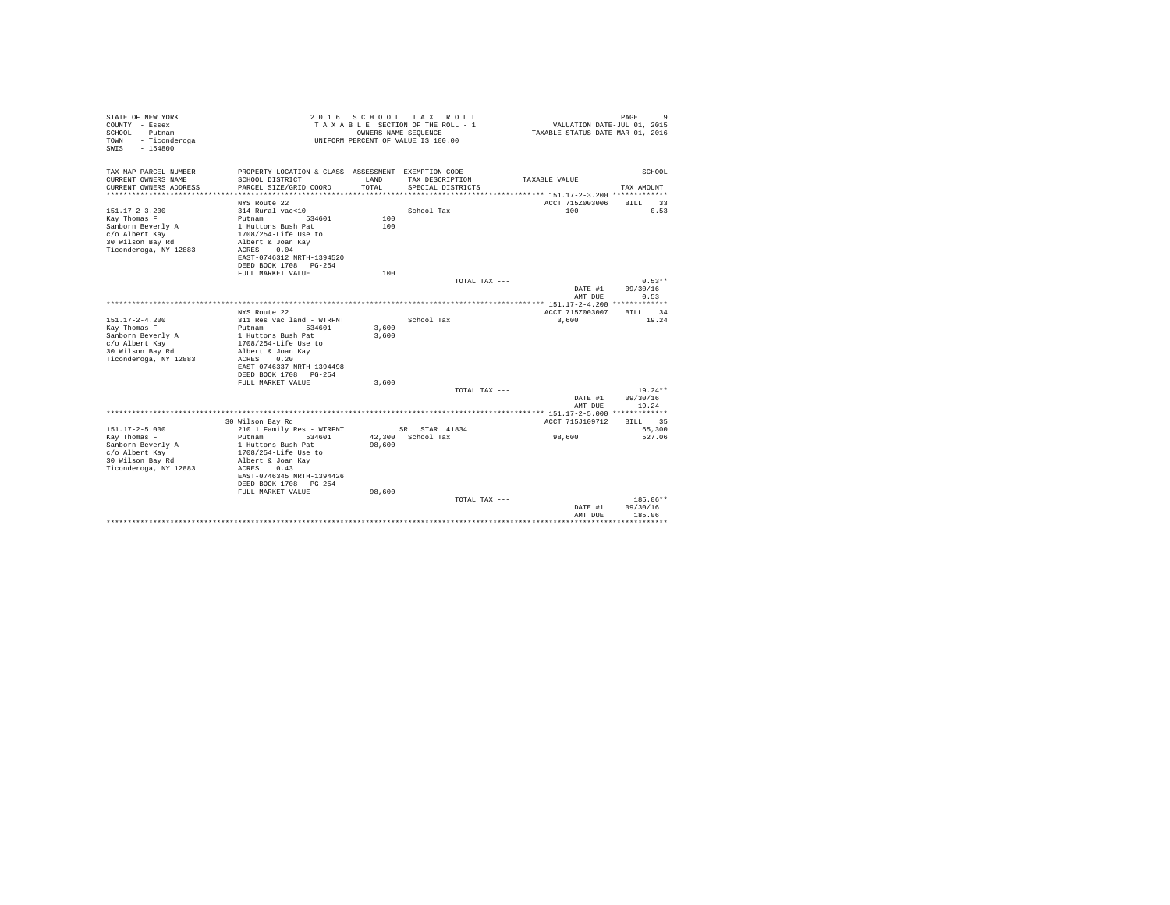| STATE OF NEW YORK<br>COUNTY - Essex<br>SCHOOL - Putnam<br>- Ticonderoga<br>TOWN<br>$-154800$<br>SWTS |                                                                   | OWNERS NAME SEQUENCE | 2016 SCHOOL TAX ROLL<br>TAXABLE SECTION OF THE ROLL - 1<br>UNIFORM PERCENT OF VALUE IS 100.00 | VALUATION DATE-JUL 01, 2015<br>TAXABLE STATUS DATE-MAR 01, 2016 | 9<br>PAGE                |
|------------------------------------------------------------------------------------------------------|-------------------------------------------------------------------|----------------------|-----------------------------------------------------------------------------------------------|-----------------------------------------------------------------|--------------------------|
| TAX MAP PARCEL NUMBER<br>CURRENT OWNERS NAME                                                         | PROPERTY LOCATION & CLASS ASSESSMENT EXEMPTION CODE-------------- |                      |                                                                                               |                                                                 | ------------------SCHOOL |
| CURRENT OWNERS ADDRESS                                                                               | SCHOOL DISTRICT<br>PARCEL SIZE/GRID COORD                         | LAND<br>TOTAL        | TAX DESCRIPTION<br>SPECIAL DISTRICTS                                                          | TAXABLE VALUE                                                   | TAX AMOUNT               |
|                                                                                                      |                                                                   |                      |                                                                                               |                                                                 |                          |
|                                                                                                      | NYS Route 22                                                      |                      |                                                                                               | ACCT 715Z003006                                                 | <b>BILL</b><br>33        |
| $151.17 - 2 - 3.200$                                                                                 | 314 Rural vac<10                                                  |                      | School Tax                                                                                    | 100                                                             | 0.53                     |
| Kay Thomas F                                                                                         | Putnam<br>534601                                                  | 100                  |                                                                                               |                                                                 |                          |
| Sanborn Beverly A<br>c/o Albert Kay                                                                  | 1 Huttons Bush Pat<br>1708/254-Life Use to                        | 100                  |                                                                                               |                                                                 |                          |
| 30 Wilson Bay Rd                                                                                     | Albert & Joan Kav                                                 |                      |                                                                                               |                                                                 |                          |
| Ticonderoga, NY 12883                                                                                | 0.04<br>ACRES                                                     |                      |                                                                                               |                                                                 |                          |
|                                                                                                      | EAST-0746312 NRTH-1394520                                         |                      |                                                                                               |                                                                 |                          |
|                                                                                                      | DEED BOOK 1708 PG-254                                             |                      |                                                                                               |                                                                 |                          |
|                                                                                                      | FULL MARKET VALUE                                                 | 100                  |                                                                                               |                                                                 |                          |
|                                                                                                      |                                                                   |                      | TOTAL TAX ---                                                                                 |                                                                 | $0.53**$                 |
|                                                                                                      |                                                                   |                      |                                                                                               | DATE #1                                                         | 09/30/16                 |
|                                                                                                      |                                                                   |                      |                                                                                               | AMT DUE                                                         | 0.53                     |
|                                                                                                      |                                                                   |                      |                                                                                               |                                                                 |                          |
|                                                                                                      | NYS Route 22                                                      |                      |                                                                                               | ACCT 715Z003007                                                 | 34<br><b>BILL</b>        |
| $151.17 - 2 - 4.200$                                                                                 | 311 Res vac land - WTRFNT                                         |                      | School Tax                                                                                    | 3,600                                                           | 19.24                    |
| Kay Thomas F                                                                                         | Putnam<br>534601                                                  | 3,600                |                                                                                               |                                                                 |                          |
| Sanborn Beverly A<br>c/o Albert Kay                                                                  | 1 Huttons Bush Pat<br>1708/254-Life Use to                        | 3,600                |                                                                                               |                                                                 |                          |
| 30 Wilson Bay Rd                                                                                     | Albert & Joan Kav                                                 |                      |                                                                                               |                                                                 |                          |
| Ticonderoga, NY 12883                                                                                | 0.20<br>ACRES                                                     |                      |                                                                                               |                                                                 |                          |
|                                                                                                      | EAST-0746337 NRTH-1394498                                         |                      |                                                                                               |                                                                 |                          |
|                                                                                                      | DEED BOOK 1708 PG-254                                             |                      |                                                                                               |                                                                 |                          |
|                                                                                                      | FULL MARKET VALUE                                                 | 3,600                |                                                                                               |                                                                 |                          |
|                                                                                                      |                                                                   |                      | TOTAL TAX ---                                                                                 |                                                                 | $19.24**$                |
|                                                                                                      |                                                                   |                      |                                                                                               | DATE #1                                                         | 09/30/16                 |
|                                                                                                      |                                                                   |                      |                                                                                               | AMT DUE                                                         | 19.24                    |
|                                                                                                      |                                                                   |                      |                                                                                               |                                                                 |                          |
|                                                                                                      | 30 Wilson Bay Rd                                                  |                      |                                                                                               | ACCT 715J109712                                                 | 35<br><b>BILL</b>        |
| $151.17 - 2 - 5.000$                                                                                 | 210 1 Family Res - WTRFNT                                         |                      | SR STAR 41834                                                                                 |                                                                 | 65,300                   |
| Kay Thomas F<br>Sanborn Beverly A                                                                    | Putnam<br>534601<br>1 Huttons Bush Pat                            | 98,600               | 42.300 School Tax                                                                             | 98,600                                                          | 527.06                   |
| c/o Albert Kay                                                                                       | 1708/254-Life Use to                                              |                      |                                                                                               |                                                                 |                          |
| 30 Wilson Bay Rd                                                                                     | Albert & Joan Kav                                                 |                      |                                                                                               |                                                                 |                          |
| Ticonderoga, NY 12883                                                                                | ACRES<br>0.43                                                     |                      |                                                                                               |                                                                 |                          |
|                                                                                                      | EAST-0746345 NRTH-1394426                                         |                      |                                                                                               |                                                                 |                          |
|                                                                                                      | DEED BOOK 1708 PG-254                                             |                      |                                                                                               |                                                                 |                          |
|                                                                                                      | FULL MARKET VALUE                                                 | 98,600               |                                                                                               |                                                                 |                          |
|                                                                                                      |                                                                   |                      | TOTAL TAX ---                                                                                 |                                                                 | 185.06**                 |
|                                                                                                      |                                                                   |                      |                                                                                               | DATE #1                                                         | 09/30/16                 |
|                                                                                                      |                                                                   |                      |                                                                                               | AMT DUE                                                         | 185.06                   |
|                                                                                                      |                                                                   |                      |                                                                                               |                                                                 |                          |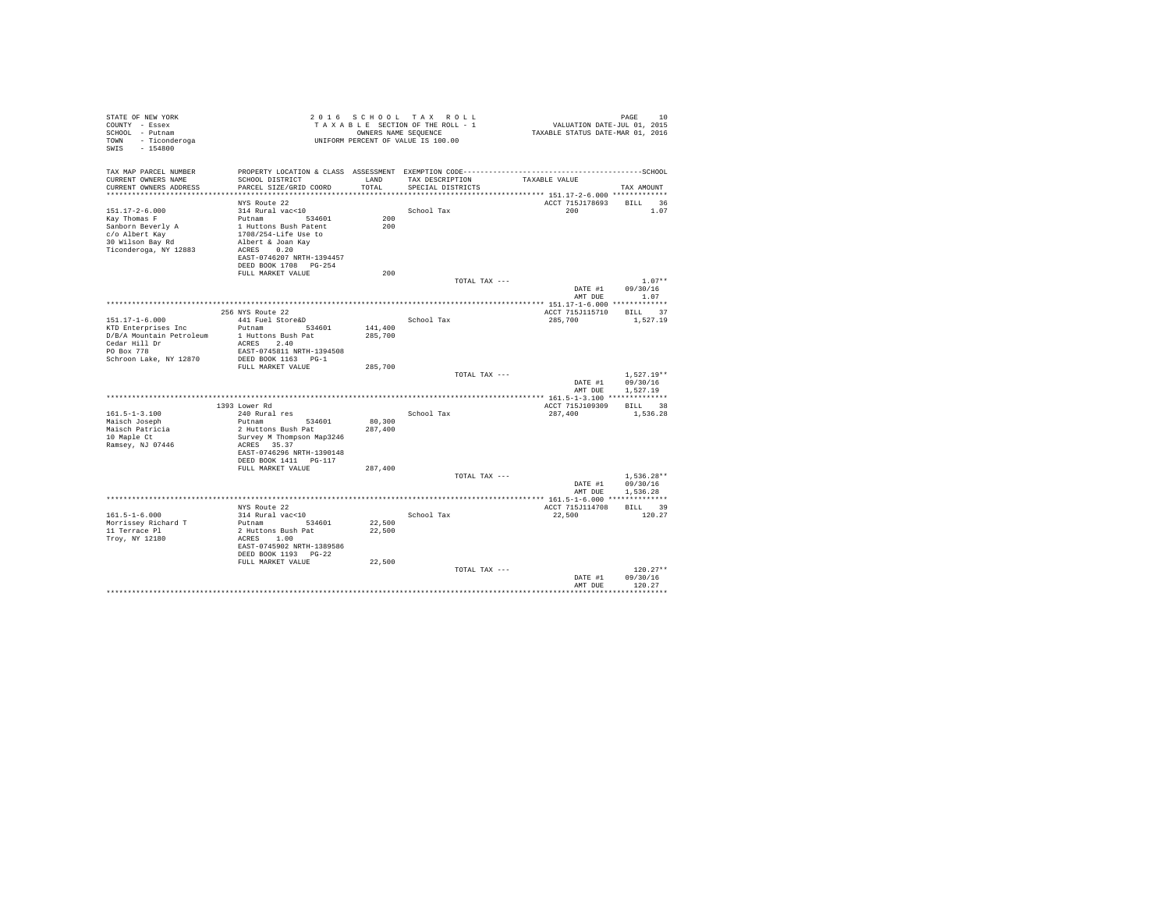| STATE OF NEW YORK<br>COUNTY - Essex<br>SCHOOL - Putnam<br>- Ticonderoga<br>TOWN<br>$-154800$<br>SWIS |                                         |         | 2016 SCHOOL TAX ROLL<br>TAXABLE SECTION OF THE ROLL - 1<br>OWNERS NAME SEQUENCE<br>UNIFORM PERCENT OF VALUE IS 100.00 | VALUATION DATE-JUL 01, 2015<br>TAXABLE STATUS DATE-MAR 01, 2016 | PAGE<br>10       |
|------------------------------------------------------------------------------------------------------|-----------------------------------------|---------|-----------------------------------------------------------------------------------------------------------------------|-----------------------------------------------------------------|------------------|
| TAX MAP PARCEL NUMBER<br>CURRENT OWNERS NAME                                                         | SCHOOL DISTRICT                         | LAND    | TAX DESCRIPTION                                                                                                       | TAXABLE VALUE                                                   |                  |
| CURRENT OWNERS ADDRESS                                                                               | PARCEL SIZE/GRID COORD                  | TOTAL   | SPECIAL DISTRICTS                                                                                                     |                                                                 | TAX AMOUNT       |
| ************************                                                                             |                                         |         |                                                                                                                       |                                                                 |                  |
|                                                                                                      | NYS Route 22                            |         |                                                                                                                       | ACCT 715J178693                                                 | BILL 36          |
| $151.17 - 2 - 6.000$                                                                                 | 314 Rural vac<10                        |         | School Tax                                                                                                            | 200                                                             | 1.07             |
| Kay Thomas F                                                                                         | Putnam 534601                           | 200     |                                                                                                                       |                                                                 |                  |
| Sanborn Beverly A                                                                                    | 1 Huttons Bush Patent                   | 200     |                                                                                                                       |                                                                 |                  |
| c/o Albert Kay                                                                                       | 1708/254-Life Use to                    |         |                                                                                                                       |                                                                 |                  |
| 30 Wilson Bay Rd<br>Ticonderoga, NY 12883                                                            | Albert & Joan Kay<br>ACRES 0.20         |         |                                                                                                                       |                                                                 |                  |
|                                                                                                      | EAST-0746207 NRTH-1394457               |         |                                                                                                                       |                                                                 |                  |
|                                                                                                      | DEED BOOK 1708 PG-254                   |         |                                                                                                                       |                                                                 |                  |
|                                                                                                      | FULL MARKET VALUE                       | 200     |                                                                                                                       |                                                                 |                  |
|                                                                                                      |                                         |         | TOTAL TAX ---                                                                                                         |                                                                 | $1.07**$         |
|                                                                                                      |                                         |         |                                                                                                                       | DATE #1                                                         | 09/30/16         |
|                                                                                                      |                                         |         |                                                                                                                       |                                                                 | AMT DUE 1.07     |
|                                                                                                      |                                         |         |                                                                                                                       |                                                                 |                  |
|                                                                                                      | 256 NYS Route 22                        |         |                                                                                                                       | ACCT 715J115710                                                 | BILL 37          |
| $151.17 - 1 - 6.000$<br>KTD Enterprises Inc                                                          | 441 Fuel Store&D<br>Putnam 534601       | 141,400 | School Tax                                                                                                            | 285,700                                                         | 1,527.19         |
| D/B/A Mountain Petroleum                                                                             | 1 Huttons Bush Pat                      | 285,700 |                                                                                                                       |                                                                 |                  |
| $\text{Cedar}$ Hill Dr                                                                               | ACRES 2.40                              |         |                                                                                                                       |                                                                 |                  |
| PO Box 778                                                                                           | EAST-0745811 NRTH-1394508               |         |                                                                                                                       |                                                                 |                  |
| Schroon Lake, NY 12870                                                                               | DEED BOOK 1163 PG-1                     |         |                                                                                                                       |                                                                 |                  |
|                                                                                                      | FULL MARKET VALUE                       | 285,700 |                                                                                                                       |                                                                 |                  |
|                                                                                                      |                                         |         | TOTAL TAX ---                                                                                                         |                                                                 | $1.527.19**$     |
|                                                                                                      |                                         |         |                                                                                                                       |                                                                 | DATE #1 09/30/16 |
|                                                                                                      |                                         |         |                                                                                                                       | AMT DUE                                                         | 1,527.19         |
|                                                                                                      | 1393 Lower Rd                           |         |                                                                                                                       | ACCT 715J109309                                                 | BILL 38          |
| $161.5 - 1 - 3.100$                                                                                  | 240 Rural res                           |         | School Tax                                                                                                            | 287,400                                                         | 1,536.28         |
| Maisch Joseph                                                                                        | Putnam 534601                           | 80,300  |                                                                                                                       |                                                                 |                  |
| Maisch Patricia                                                                                      | 2 Huttons Bush Pat                      | 287,400 |                                                                                                                       |                                                                 |                  |
| 10 Maple Ct                                                                                          | Survey M Thompson Map3246               |         |                                                                                                                       |                                                                 |                  |
| Ramsey, NJ 07446                                                                                     | ACRES 35.37                             |         |                                                                                                                       |                                                                 |                  |
|                                                                                                      | EAST-0746296 NRTH-1390148               |         |                                                                                                                       |                                                                 |                  |
|                                                                                                      | DEED BOOK 1411    PG-117                |         |                                                                                                                       |                                                                 |                  |
|                                                                                                      | FULL MARKET VALUE                       | 287,400 | TOTAL TAX ---                                                                                                         |                                                                 | $1.536.28**$     |
|                                                                                                      |                                         |         |                                                                                                                       | DATE #1                                                         | 09/30/16         |
|                                                                                                      |                                         |         |                                                                                                                       | AMT DUE                                                         | 1.536.28         |
|                                                                                                      |                                         |         |                                                                                                                       |                                                                 |                  |
|                                                                                                      | NYS Route 22                            |         |                                                                                                                       | ACCT 715J114708                                                 | BILL 39          |
| $161.5 - 1 - 6.000$                                                                                  | 314 Rural vac<10                        |         | School Tax                                                                                                            | 22,500                                                          | 120.27           |
| Morrissey Richard T                                                                                  | Putnam 534601                           | 22,500  |                                                                                                                       |                                                                 |                  |
| 11 Terrace Pl                                                                                        | 2 Huttons Bush Pat                      | 22,500  |                                                                                                                       |                                                                 |                  |
| Troy, NY 12180                                                                                       | ACRES 1.00<br>EAST-0745902 NRTH-1389586 |         |                                                                                                                       |                                                                 |                  |
|                                                                                                      | DEED BOOK 1193 PG-22                    |         |                                                                                                                       |                                                                 |                  |
|                                                                                                      | FULL MARKET VALUE                       | 22,500  |                                                                                                                       |                                                                 |                  |
|                                                                                                      |                                         |         | TOTAL TAX ---                                                                                                         |                                                                 | $120.27**$       |
|                                                                                                      |                                         |         |                                                                                                                       | DATE #1                                                         | 09/30/16         |
|                                                                                                      |                                         |         |                                                                                                                       | AMT DUE                                                         | 120.27           |
|                                                                                                      |                                         |         |                                                                                                                       |                                                                 |                  |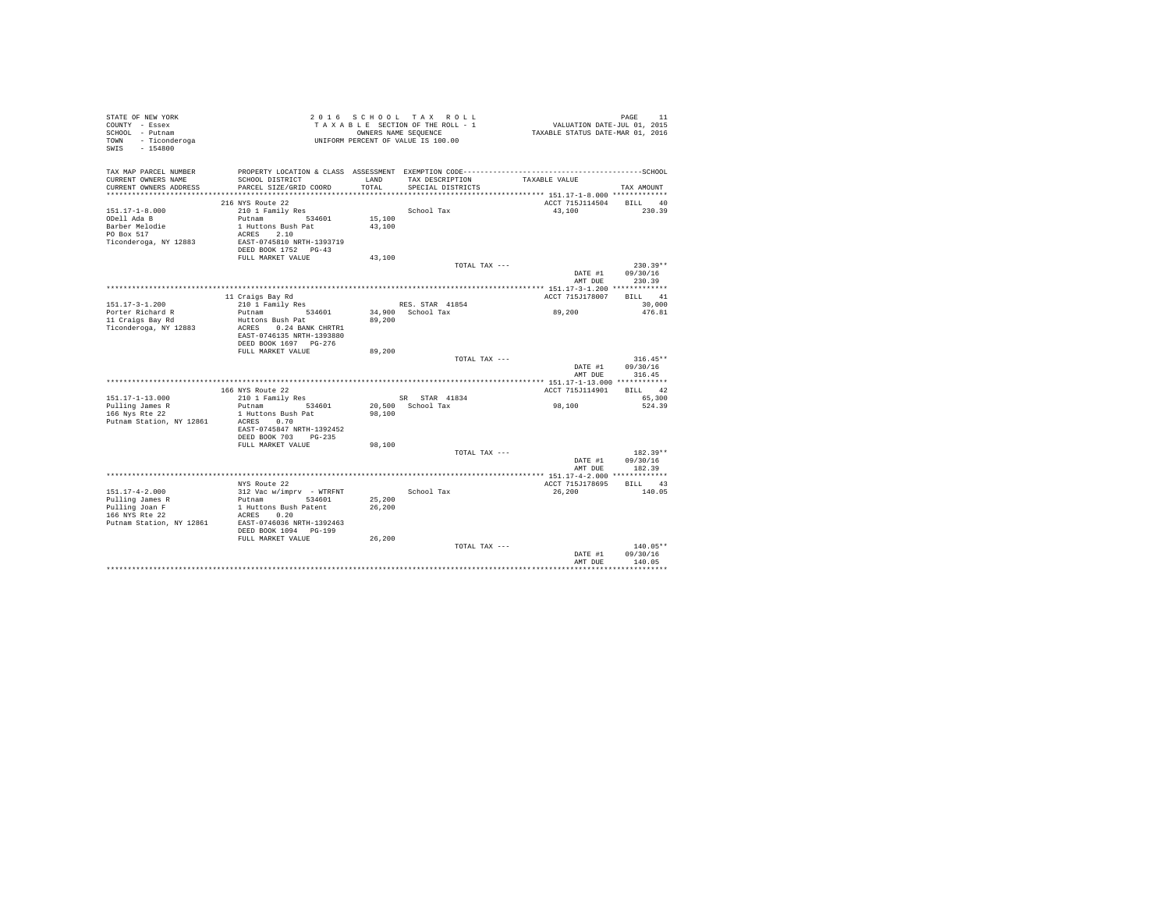| STATE OF NEW YORK<br>COUNTY - Essex<br>SCHOOL - Putnam<br>TOWN - Ticonderoga<br>$-154800$<br>SWIS |                                            |        | 2016 SCHOOL TAX ROLL<br>TAXABLE SECTION OF THE ROLL - 1<br>OWNERS NAME SEQUENCE<br>UNIFORM PERCENT OF VALUE IS 100.00 | PAGE 11<br>VALUATION DATE-JUL 01, 2015<br>TAXABLE STATUS DATE-MAR 01, 2016 |                  |
|---------------------------------------------------------------------------------------------------|--------------------------------------------|--------|-----------------------------------------------------------------------------------------------------------------------|----------------------------------------------------------------------------|------------------|
| TAX MAP PARCEL NUMBER<br>CURRENT OWNERS NAME                                                      | SCHOOL DISTRICT                            | LAND   | TAX DESCRIPTION                                                                                                       | TAXABLE VALUE                                                              |                  |
| CURRENT OWNERS ADDRESS                                                                            | PARCEL SIZE/GRID COORD                     | TOTAL  | SPECIAL DISTRICTS                                                                                                     |                                                                            | TAX AMOUNT       |
|                                                                                                   |                                            |        |                                                                                                                       |                                                                            |                  |
|                                                                                                   | 216 NYS Route 22                           |        |                                                                                                                       | ACCT 715J114504                                                            | BILL 40          |
| $151.17 - 1 - 8.000$                                                                              | 210 1 Family Res                           |        | School Tax                                                                                                            | 43,100                                                                     | 230.39           |
| ODell Ada B                                                                                       | Putnam 534601                              | 15,100 |                                                                                                                       |                                                                            |                  |
| Barber Melodie                                                                                    | 1 Huttons Bush Pat                         | 43,100 |                                                                                                                       |                                                                            |                  |
| PO Box 517                                                                                        | ACRES 2.10<br>EAST-0745810 NRTH-1393719    |        |                                                                                                                       |                                                                            |                  |
| Ticonderoga, NY 12883                                                                             | DEED BOOK 1752 PG-43                       |        |                                                                                                                       |                                                                            |                  |
|                                                                                                   | FULL MARKET VALUE                          | 43,100 |                                                                                                                       |                                                                            |                  |
|                                                                                                   |                                            |        | TOTAL TAX ---                                                                                                         |                                                                            | $230.39**$       |
|                                                                                                   |                                            |        |                                                                                                                       | DATE #1                                                                    | 09/30/16         |
|                                                                                                   |                                            |        |                                                                                                                       | AMT DUE                                                                    | 230.39           |
|                                                                                                   |                                            |        |                                                                                                                       |                                                                            |                  |
|                                                                                                   | 11 Craigs Bay Rd                           |        |                                                                                                                       | ACCT 715J178007                                                            | BILL 41          |
| $151.17 - 3 - 1.200$<br>Porter Richard R                                                          | 210 1 Family Res<br>Putnam 534601          |        | RES. STAR 41854<br>34,900 School Tax                                                                                  |                                                                            | 30,000<br>476.81 |
| 11 Craigs Bay Rd                                                                                  | Huttons Bush Pat                           | 89,200 |                                                                                                                       | 89,200                                                                     |                  |
| Ticonderoga, NY 12883                                                                             | ACRES 0.24 BANK CHRTR1                     |        |                                                                                                                       |                                                                            |                  |
|                                                                                                   | EAST-0746135 NRTH-1393880                  |        |                                                                                                                       |                                                                            |                  |
|                                                                                                   | DEED BOOK 1697 PG-276                      |        |                                                                                                                       |                                                                            |                  |
|                                                                                                   | FULL MARKET VALUE                          | 89,200 | TOTAL TAX ---                                                                                                         |                                                                            | $316.45**$       |
|                                                                                                   |                                            |        |                                                                                                                       | DATE #1                                                                    | 09/30/16         |
|                                                                                                   |                                            |        |                                                                                                                       | AMT DUE                                                                    | 316.45           |
|                                                                                                   |                                            |        |                                                                                                                       |                                                                            |                  |
|                                                                                                   | 166 NYS Route 22                           |        |                                                                                                                       | ACCT 715J114901                                                            | BILL 42          |
| 151.17-1-13.000<br>Pulling James R                                                                | 210 1 Family Res<br>Putnam<br>534601       |        | SR STAR 41834<br>20,500 School Tax                                                                                    | 98,100                                                                     | 65,300<br>524.39 |
| 166 Nys Rte 22                                                                                    | 1 Huttons Bush Pat                         | 98,100 |                                                                                                                       |                                                                            |                  |
| Putnam Station, NY 12861                                                                          | ACRES 0.70                                 |        |                                                                                                                       |                                                                            |                  |
|                                                                                                   | EAST-0745847 NRTH-1392452                  |        |                                                                                                                       |                                                                            |                  |
|                                                                                                   | DEED BOOK 703 PG-235                       |        |                                                                                                                       |                                                                            |                  |
|                                                                                                   | FULL MARKET VALUE                          | 98,100 |                                                                                                                       |                                                                            |                  |
|                                                                                                   |                                            |        | TOTAL TAX ---                                                                                                         |                                                                            | $182.39**$       |
|                                                                                                   |                                            |        |                                                                                                                       | DATE #1                                                                    | 09/30/16         |
|                                                                                                   |                                            |        |                                                                                                                       | AMT DUE                                                                    | 182.39           |
|                                                                                                   | NYS Route 22                               |        |                                                                                                                       | ACCT 715J178695                                                            | BILL 43          |
| $151.17 - 4 - 2.000$                                                                              | 312 Vac w/imprv - WTRFNT                   |        | School Tax                                                                                                            | 26,200                                                                     | 140.05           |
| Pulling James R                                                                                   | Putnam 534601                              | 25,200 |                                                                                                                       |                                                                            |                  |
| Pulling Joan F                                                                                    | 1 Huttons Bush Patent                      | 26,200 |                                                                                                                       |                                                                            |                  |
| 166 NYS Rte 22                                                                                    | ACRES 0.20                                 |        |                                                                                                                       |                                                                            |                  |
| Putnam Station, NY 12861                                                                          | EAST-0746036 NRTH-1392463                  |        |                                                                                                                       |                                                                            |                  |
|                                                                                                   | DEED BOOK 1094 PG-199<br>FULL MARKET VALUE |        |                                                                                                                       |                                                                            |                  |
|                                                                                                   |                                            | 26,200 | TOTAL TAX ---                                                                                                         |                                                                            | $140.05**$       |
|                                                                                                   |                                            |        |                                                                                                                       | DATE #1                                                                    | 09/30/16         |
|                                                                                                   |                                            |        |                                                                                                                       | AMT DUE                                                                    | 140.05           |
|                                                                                                   |                                            |        |                                                                                                                       |                                                                            |                  |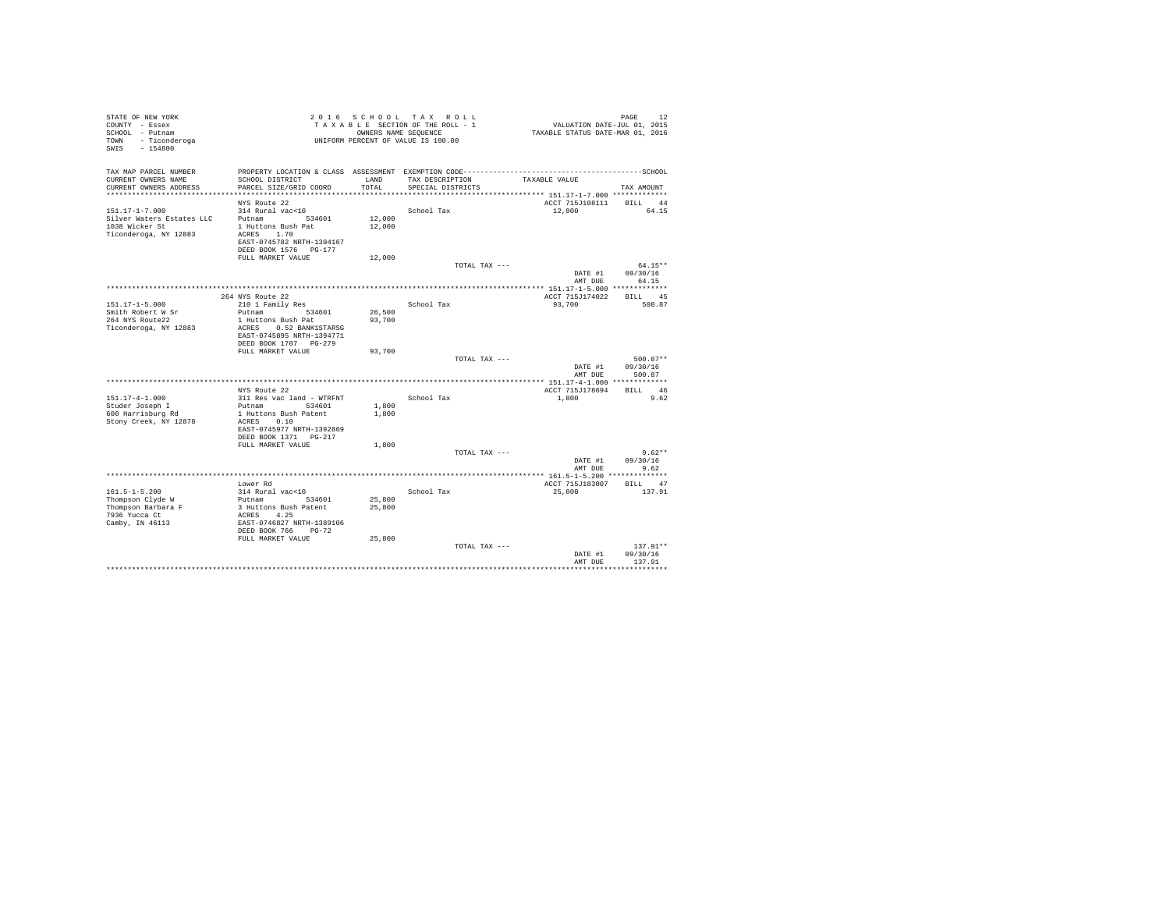| STATE OF NEW YORK<br>COUNTY - Essex<br>SCHOOL - Putnam<br>TOWN - Ticonderoga<br>SWIS - 154800 |                                                       |               | 2016 SCHOOL TAX ROLL<br>TAXABLE SECTION OF THE ROLL - 1<br>OWNERS NAME SEQUENCE<br>UNIFORM PERCENT OF VALUE IS 100.00 | VALUATION DATE-JUL 01, 2015<br>TAXABLE STATUS DATE-MAR 01, 2016 | PAGE<br>12        |  |
|-----------------------------------------------------------------------------------------------|-------------------------------------------------------|---------------|-----------------------------------------------------------------------------------------------------------------------|-----------------------------------------------------------------|-------------------|--|
| TAX MAP PARCEL NUMBER                                                                         |                                                       |               |                                                                                                                       |                                                                 |                   |  |
| CURRENT OWNERS NAME<br>CURRENT OWNERS ADDRESS                                                 | SCHOOL DISTRICT<br>PARCEL SIZE/GRID COORD             | LAND<br>TOTAL | TAX DESCRIPTION<br>SPECIAL DISTRICTS                                                                                  | TAXABLE VALUE                                                   | TAX AMOUNT        |  |
|                                                                                               |                                                       |               |                                                                                                                       | *************************** 151.17-1-7.000 *************        |                   |  |
|                                                                                               | NYS Route 22                                          |               |                                                                                                                       | ACCT 715J108111 BILL 44                                         |                   |  |
| $151.17 - 1 - 7.000$                                                                          | 314 Rural vac<10                                      |               | School Tax                                                                                                            | 12,000                                                          | 64.15             |  |
| Silver Waters Estates LLC                                                                     | Putnam<br>534601                                      | 12,000        |                                                                                                                       |                                                                 |                   |  |
| 1038 Wicker St<br>Ticonderoga, NY 12883                                                       | 1 Huttons Bush Pat<br>ACRES 1.70                      | 12,000        |                                                                                                                       |                                                                 |                   |  |
|                                                                                               | EAST-0745782 NRTH-1394167                             |               |                                                                                                                       |                                                                 |                   |  |
|                                                                                               | DEED BOOK 1576 PG-177                                 |               |                                                                                                                       |                                                                 |                   |  |
|                                                                                               | FULL MARKET VALUE                                     | 12,000        |                                                                                                                       |                                                                 |                   |  |
|                                                                                               |                                                       |               | TOTAL TAX ---                                                                                                         |                                                                 | $64.15**$         |  |
|                                                                                               |                                                       |               |                                                                                                                       | DATE #1<br>AMT DUE                                              | 09/30/16<br>64.15 |  |
|                                                                                               |                                                       |               |                                                                                                                       |                                                                 |                   |  |
|                                                                                               | 264 NYS Route 22                                      |               |                                                                                                                       | ACCT 715J174022                                                 | BILL 45           |  |
| $151.17 - 1 - 5.000$                                                                          | 210 1 Family Res                                      |               | School Tax                                                                                                            | 93,700                                                          | 500.87            |  |
| Smith Robert W Sr                                                                             | Putnam<br>534601                                      | 26,500        |                                                                                                                       |                                                                 |                   |  |
| 264 NYS Route22                                                                               | 1 Huttons Bush Pat                                    | 93,700        |                                                                                                                       |                                                                 |                   |  |
| Ticonderoga, NY 12883                                                                         | ACRES 0.52 BANK1STARSG<br>EAST-0745895 NRTH-1394771   |               |                                                                                                                       |                                                                 |                   |  |
|                                                                                               | DEED BOOK 1707 PG-279                                 |               |                                                                                                                       |                                                                 |                   |  |
|                                                                                               | FULL MARKET VALUE                                     | 93,700        |                                                                                                                       |                                                                 |                   |  |
|                                                                                               |                                                       |               | TOTAL TAX ---                                                                                                         |                                                                 | $500.87**$        |  |
|                                                                                               |                                                       |               |                                                                                                                       | DATE #1                                                         | 09/30/16          |  |
|                                                                                               |                                                       |               |                                                                                                                       | AMT DUE                                                         | 500.87            |  |
|                                                                                               | NYS Route 22                                          |               |                                                                                                                       | ACCT 715J178694                                                 | BILL 46           |  |
| $151.17 - 4 - 1.000$                                                                          | 311 Res vac land - WTRFNT                             |               | School Tax                                                                                                            | 1,800                                                           | 9.62              |  |
| Studer Joseph I                                                                               | Putnam 534601                                         | 1,800         |                                                                                                                       |                                                                 |                   |  |
| 600 Harrisburg Rd                                                                             | 1 Huttons Bush Patent                                 | 1,800         |                                                                                                                       |                                                                 |                   |  |
| Stony Creek, NY 12878                                                                         | ACRES 0.10                                            |               |                                                                                                                       |                                                                 |                   |  |
|                                                                                               | EAST-0745977 NRTH-1392869<br>DEED BOOK 1371    PG-217 |               |                                                                                                                       |                                                                 |                   |  |
|                                                                                               | FULL MARKET VALUE                                     | 1,800         |                                                                                                                       |                                                                 |                   |  |
|                                                                                               |                                                       |               | TOTAL TAX ---                                                                                                         |                                                                 | $9.62**$          |  |
|                                                                                               |                                                       |               |                                                                                                                       | DATE #1                                                         | 09/30/16          |  |
|                                                                                               |                                                       |               |                                                                                                                       | AMT DUE                                                         | 9.62              |  |
|                                                                                               |                                                       |               |                                                                                                                       |                                                                 |                   |  |
| $161.5 - 1 - 5.200$                                                                           | Lower Rd<br>314 Rural vac<10                          |               | School Tax                                                                                                            | ACCT 715J183007<br>25,800                                       | BILL 47<br>137.91 |  |
| Thompson Clyde W                                                                              | Putnam 534601                                         | 25,800        |                                                                                                                       |                                                                 |                   |  |
| Thompson Barbara F                                                                            | 3 Huttons Bush Patent                                 | 25,800        |                                                                                                                       |                                                                 |                   |  |
| 7936 Yucca Ct                                                                                 | ACRES 4.25                                            |               |                                                                                                                       |                                                                 |                   |  |
| Camby, IN 46113                                                                               | EAST-0746827 NRTH-1389106                             |               |                                                                                                                       |                                                                 |                   |  |
|                                                                                               | DEED BOOK 766 PG-72                                   |               |                                                                                                                       |                                                                 |                   |  |
|                                                                                               | FULL MARKET VALUE                                     | 25,800        | TOTAL TAX ---                                                                                                         |                                                                 | $137.91**$        |  |
|                                                                                               |                                                       |               |                                                                                                                       | DATE #1                                                         | 09/30/16          |  |
|                                                                                               |                                                       |               |                                                                                                                       | AMT DUE                                                         | 137.91            |  |
|                                                                                               |                                                       |               |                                                                                                                       |                                                                 |                   |  |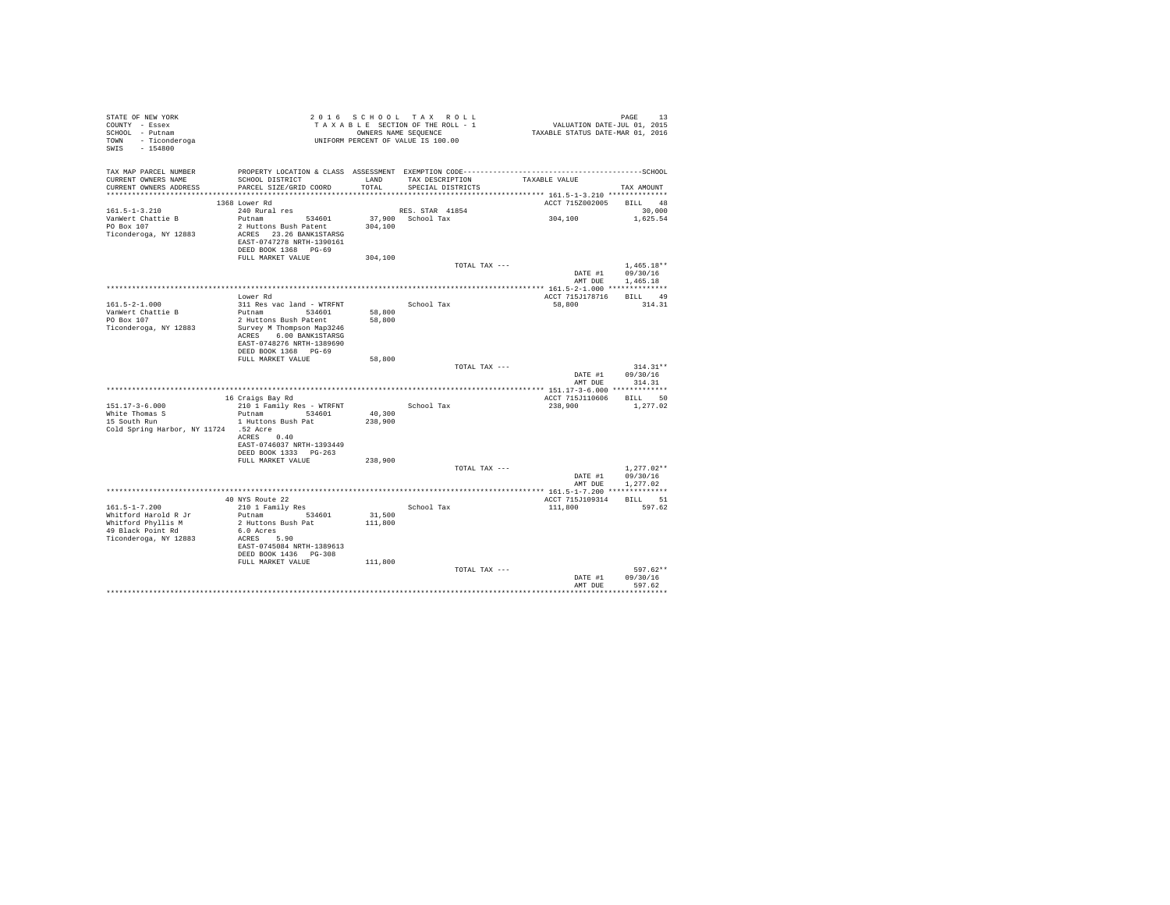| SWIS - 154800                         |                                                                                                     |         |                   |                         |                  |
|---------------------------------------|-----------------------------------------------------------------------------------------------------|---------|-------------------|-------------------------|------------------|
|                                       |                                                                                                     |         |                   |                         |                  |
|                                       |                                                                                                     |         |                   |                         |                  |
| TAX MAP PARCEL NUMBER                 |                                                                                                     |         |                   |                         |                  |
| CURRENT OWNERS NAME                   | SCHOOL DISTRICT                                                                                     | LAND    | TAX DESCRIPTION   | TAXABLE VALUE           |                  |
| CURRENT OWNERS ADDRESS                | PARCEL SIZE/GRID COORD                                                                              | TOTAL   | SPECIAL DISTRICTS |                         | TAX AMOUNT       |
|                                       |                                                                                                     |         |                   |                         |                  |
|                                       | 1368 Lower Rd                                                                                       |         |                   | ACCT 715Z002005 BILL 48 |                  |
| $161.5 - 1 - 3.210$                   | 240 Rural res<br>Putnam Pagade 194601 37,900 School Tax<br>2 Huttons Bush Patent 304,100 School Tax |         |                   | 304, 100                | 30,000           |
| VanWert Chattie B<br>PO Box 107       |                                                                                                     |         |                   |                         | 1,625.54         |
|                                       |                                                                                                     |         |                   |                         |                  |
| Ticonderoga, NY 12883                 | ACRES 23.26 BANK1STARSG                                                                             |         |                   |                         |                  |
|                                       | EAST-0747278 NRTH-1390161                                                                           |         |                   |                         |                  |
|                                       | DEED BOOK 1368 PG-69                                                                                |         |                   |                         |                  |
|                                       | FULL MARKET VALUE                                                                                   | 304,100 |                   |                         |                  |
|                                       |                                                                                                     |         | TOTAL TAX ---     |                         | $1.465.18**$     |
|                                       |                                                                                                     |         |                   |                         | DATE #1 09/30/16 |
|                                       |                                                                                                     |         |                   |                         | AMT DUE 1,465.18 |
|                                       |                                                                                                     |         |                   |                         |                  |
|                                       | Lower Rd                                                                                            |         |                   | ACCT 715J178716 BILL 49 |                  |
| $161.5 - 2 - 1.000$                   | 311 Res vac land - WTRFNT School Tax                                                                |         |                   | 58,800 314.31           |                  |
| VanWert Chattie B                     | Putnam 534601                                                                                       | 58,800  |                   |                         |                  |
| PO Box 107                            | 2 Huttons Bush Patent                                                                               | 58,800  |                   |                         |                  |
| Ticonderoga, NY 12883                 | Survey M Thompson Map3246                                                                           |         |                   |                         |                  |
|                                       | ACRES 6.00 BANK1STARSG                                                                              |         |                   |                         |                  |
|                                       | EAST-0748276 NRTH-1389690                                                                           |         |                   |                         |                  |
|                                       | DEED BOOK 1368 PG-69                                                                                |         |                   |                         |                  |
|                                       | FULL MARKET VALUE                                                                                   | 58,800  |                   |                         |                  |
|                                       |                                                                                                     |         | TOTAL TAX ---     |                         | $314.31**$       |
|                                       |                                                                                                     |         |                   | DATE #1                 | 09/30/16         |
|                                       |                                                                                                     |         |                   | AMT DUE                 | 314.31           |
|                                       |                                                                                                     |         |                   |                         |                  |
|                                       | 16 Craigs Bay Rd                                                                                    |         |                   | ACCT 715J110606 BILL 50 |                  |
| $151.17 - 3 - 6.000$                  | 210 1 Family Res - WTRFNT                                                                           |         | School Tax        | 238,900                 | 1,277.02         |
| White Thomas S                        | Putnam 534601 40,300                                                                                |         |                   |                         |                  |
| 15 South Run                          | 1 Huttons Bush Pat                                                                                  | 238,900 |                   |                         |                  |
| Cold Spring Harbor, NY 11724 .52 Acre |                                                                                                     |         |                   |                         |                  |
|                                       | ACRES 0.40                                                                                          |         |                   |                         |                  |
|                                       | EAST-0746037 NRTH-1393449                                                                           |         |                   |                         |                  |
|                                       | DEED BOOK 1333 PG-263                                                                               |         |                   |                         |                  |
|                                       | FULL MARKET VALUE                                                                                   | 238,900 |                   |                         |                  |
|                                       |                                                                                                     |         | TOTAL TAX ---     |                         | $1.277.02**$     |
|                                       |                                                                                                     |         |                   |                         | DATE #1 09/30/16 |
|                                       |                                                                                                     |         |                   |                         | AMT DUE 1,277.02 |
|                                       |                                                                                                     |         |                   |                         |                  |
|                                       | 40 NYS Route 22                                                                                     |         |                   | ACCT 715J109314 BILL 51 |                  |
| $161.5 - 1 - 7.200$                   | 210 1 Family Res<br>Putnam 534601                                                                   |         | School Tax        | 111,800 597.62          |                  |
| Whitford Harold R Jr                  |                                                                                                     | 31,500  |                   |                         |                  |
| Whitford Phyllis M                    | 2 Huttons Bush Pat                                                                                  | 111,800 |                   |                         |                  |
| 49 Black Point Rd                     | 6.0 Acres                                                                                           |         |                   |                         |                  |
| Ticonderoga, NY 12883                 | ACRES 5.90                                                                                          |         |                   |                         |                  |
|                                       | EAST-0745084 NRTH-1389613                                                                           |         |                   |                         |                  |
|                                       | DEED BOOK 1436 PG-308                                                                               |         |                   |                         |                  |
|                                       | FULL MARKET VALUE 111,800                                                                           |         |                   |                         |                  |
|                                       |                                                                                                     |         | TOTAL TAX ---     |                         | 597.62**         |
|                                       |                                                                                                     |         |                   | DATE #1                 | 09/30/16         |
|                                       |                                                                                                     |         |                   | AMT DUE                 | 597.62           |
|                                       |                                                                                                     |         |                   |                         |                  |
|                                       |                                                                                                     |         |                   |                         |                  |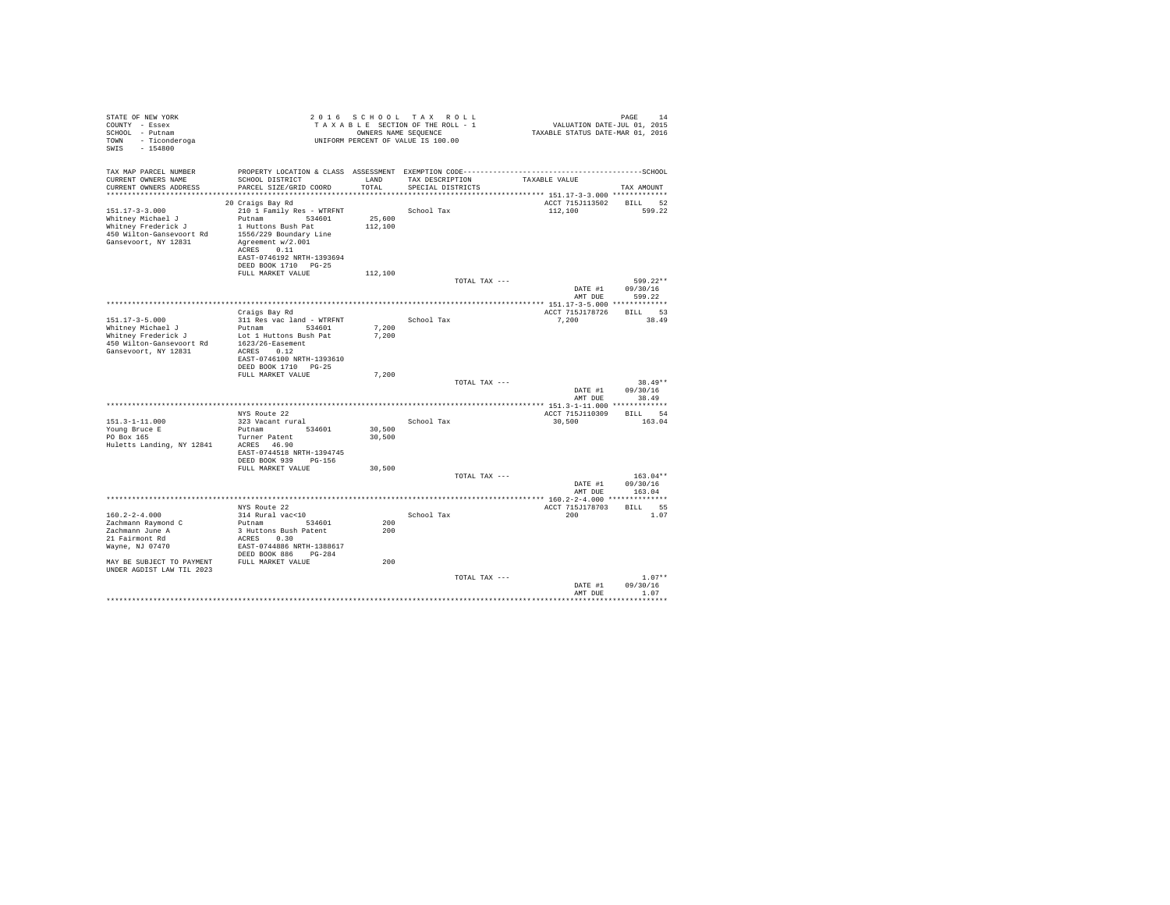| STATE OF NEW YORK<br>COUNTY - Essex<br>SCHOOL - Putnam<br>- Ticonderoga<br>TOWN<br>SWIS<br>$-154800$                 |                                                                                                                                                                                                        |                   | 2016 SCHOOL TAX ROLL<br>TAXABLE SECTION OF THE ROLL - 1<br>OWNERS NAME SEOUENCE<br>UNIFORM PERCENT OF VALUE IS 100.00 | PAGE<br>VALUATION DATE-JUL 01, 2015<br>TAXABLE STATUS DATE-MAR 01, 2016 | 14                     |
|----------------------------------------------------------------------------------------------------------------------|--------------------------------------------------------------------------------------------------------------------------------------------------------------------------------------------------------|-------------------|-----------------------------------------------------------------------------------------------------------------------|-------------------------------------------------------------------------|------------------------|
| TAX MAP PARCEL NUMBER<br>CURRENT OWNERS NAME<br>CURRENT OWNERS ADDRESS                                               | SCHOOL DISTRICT<br>PARCEL SIZE/GRID COORD                                                                                                                                                              | LAND<br>TOTAL.    | TAX DESCRIPTION<br>SPECIAL DISTRICTS                                                                                  | TAXABLE VALUE<br>TAX AMOUNT                                             |                        |
| $151.17 - 3 - 3.000$<br>Whitney Michael J<br>Whitney Frederick J<br>450 Wilton-Gansevoort Rd<br>Gansevoort, NY 12831 | 20 Craigs Bay Rd<br>210 1 Family Res - WTRFNT<br>Putnam 534601<br>1 Huttons Bush Pat<br>1556/229 Boundary Line<br>Agreement w/2.001<br>ACRES 0.11<br>EAST-0746192 NRTH-1393694<br>DEED BOOK 1710 PG-25 | 25,600<br>112,100 | School Tax                                                                                                            | ACCT 715J113502 BILL<br>112,100                                         | 52<br>599.22           |
|                                                                                                                      | FULL MARKET VALUE                                                                                                                                                                                      | 112,100           | TOTAL TAX ---                                                                                                         | 09/30/16<br>DATE #1                                                     | $599.22**$             |
|                                                                                                                      | Craigs Bay Rd                                                                                                                                                                                          |                   |                                                                                                                       | AMT DUE<br>ACCT 715J178726                                              | 599.22<br>BILL 53      |
| $151.17 - 3 - 5.000$<br>Whitney Michael J<br>Whitney Frederick J<br>450 Wilton-Gansevoort Rd<br>Gansevoort, NY 12831 | 311 Res vac land - WTRFNT<br>Putnam 534601<br>Lot 1 Huttons Bush Pat<br>1623/26-Easement<br>ACRES 0.12<br>EAST-0746100 NRTH-1393610<br>DEED BOOK 1710 PG-25                                            | 7,200<br>7.200    | School Tax                                                                                                            | 7,200                                                                   | 38.49                  |
|                                                                                                                      | FULL MARKET VALUE                                                                                                                                                                                      | 7.200             | TOTAL TAX ---                                                                                                         | DATE #1                                                                 | $38.49**$<br>09/30/16  |
|                                                                                                                      |                                                                                                                                                                                                        |                   |                                                                                                                       | AMT DUE                                                                 | 38.49                  |
| $151.3 - 1 - 11.000$<br>Young Bruce E<br>PO Box 165<br>Huletts Landing, NY 12841                                     | NYS Route 22<br>323 Vacant rural<br>Putnam 534601<br>Turner Patent<br>ACRES 46.90                                                                                                                      | 30,500<br>30,500  | School Tax                                                                                                            | ACCT 715J110309<br>30,500                                               | BTLL 54<br>163.04      |
|                                                                                                                      | EAST-0744518 NRTH-1394745<br>DEED BOOK 939 PG-156<br>FULL MARKET VALUE                                                                                                                                 | 30,500            | TOTAL TAX ---                                                                                                         | DATE #1                                                                 | $163.04**$<br>09/30/16 |
|                                                                                                                      |                                                                                                                                                                                                        |                   |                                                                                                                       | AMT DUE                                                                 | 163.04                 |
| $160.2 - 2 - 4.000$<br>Zachmann Raymond C<br>Zachmann June A<br>21 Fairmont Rd                                       | NYS Route 22<br>314 Rural vac<10<br>Putnam<br>534601<br>3 Huttons Bush Patent<br>ACRES 0.30                                                                                                            | 200<br>200        | School Tax                                                                                                            | ACCT 715J178703<br>200                                                  | BILL 55<br>1.07        |
| Wayne, NJ 07470<br>MAY BE SUBJECT TO PAYMENT<br>UNDER AGDIST LAW TIL 2023                                            | EAST-0744886 NRTH-1388617<br>DEED BOOK 886 PG-284<br>FULL MARKET VALUE                                                                                                                                 | 200               | TOTAL TAX ---                                                                                                         |                                                                         | $1.07**$               |
|                                                                                                                      |                                                                                                                                                                                                        |                   |                                                                                                                       | 09/30/16<br>DATE #1<br>AMT DUE                                          | 1.07<br>*********      |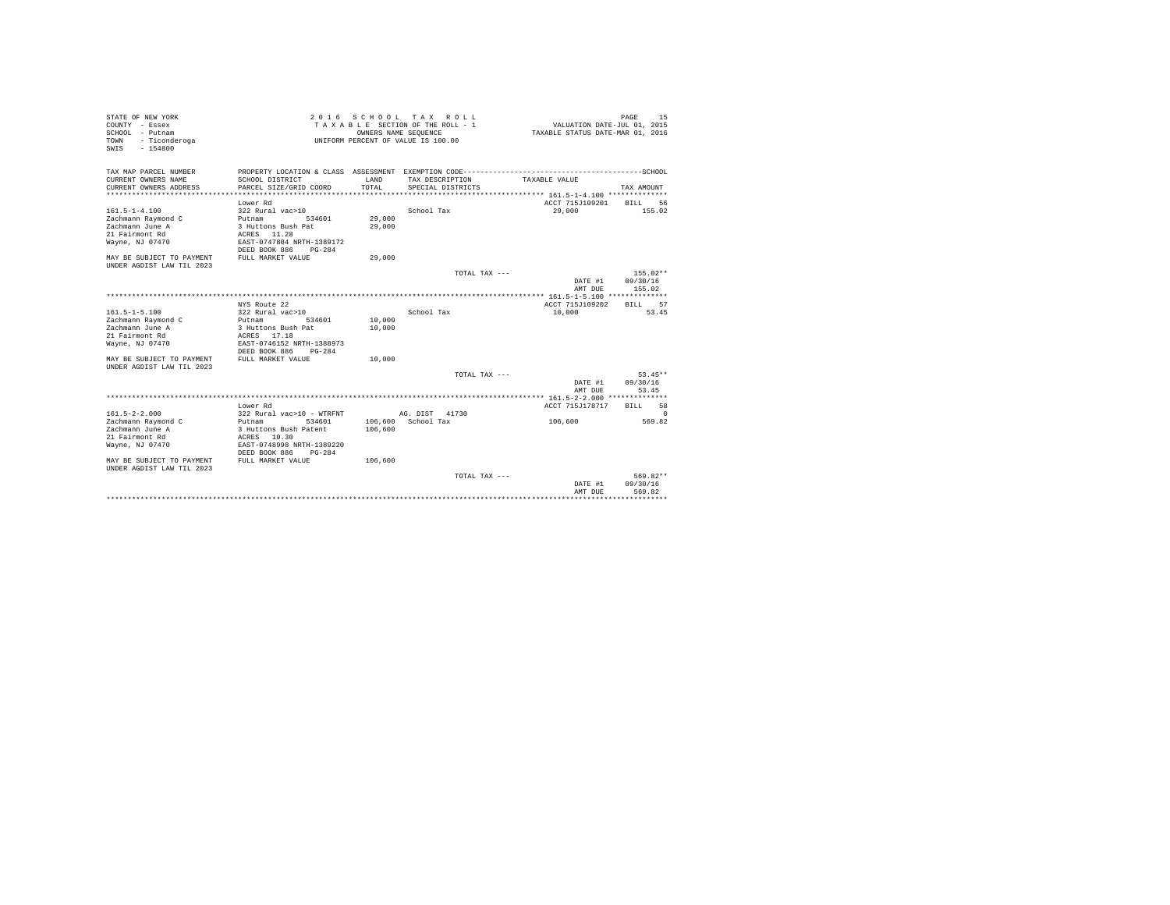| STATE OF NEW YORK<br>COUNTY - Essex<br>SCHOOL - Putnam<br>- Ticonderoga<br>TOWN<br>$-154800$<br>SWIS                                                        |                                                                                                                                                                                                            |                                          | 2016 SCHOOL TAX ROLL<br>TAXABLE SECTION OF THE ROLL - 1<br>OWNERS NAME SEQUENCE<br>UNIFORM PERCENT OF VALUE IS 100.00 | VALUATION DATE-JUL 01, 2015<br>TAXABLE STATUS DATE-MAR 01, 2016                                             | 15<br>PAGE                                                        |
|-------------------------------------------------------------------------------------------------------------------------------------------------------------|------------------------------------------------------------------------------------------------------------------------------------------------------------------------------------------------------------|------------------------------------------|-----------------------------------------------------------------------------------------------------------------------|-------------------------------------------------------------------------------------------------------------|-------------------------------------------------------------------|
| TAX MAP PARCEL NUMBER<br>CURRENT OWNERS NAME<br>CURRENT OWNERS ADDRESS<br>*************************<br>$161.5 - 1 - 4.100$<br>Zachmann Raymond C            | PROPERTY LOCATION & CLASS ASSESSMENT EXEMPTION CODE----------------------<br>SCHOOL DISTRICT<br>PARCEL SIZE/GRID COORD<br>****************************<br>Lower Rd<br>322 Rural vac>10<br>Putnam<br>534601 | LAND<br>TOTAL<br>*************<br>29,000 | TAX DESCRIPTION<br>SPECIAL DISTRICTS<br>School Tax                                                                    | TAXABLE VALUE<br>******************************** 161.5-1-4.100 **************<br>ACCT 715J109201<br>29,000 | --------------SCHOOL<br>TAX AMOUNT<br>56<br><b>BILL</b><br>155.02 |
| Zachmann June A<br>21 Fairmont Rd<br>Wayne, NJ 07470<br>MAY BE SUBJECT TO PAYMENT<br>UNDER AGDIST LAW TIL 2023                                              | 3 Huttons Bush Pat<br>ACRES 11.28<br>EAST-0747804 NRTH-1389172<br>DEED BOOK 886<br>$PG-284$<br>FULL MARKET VALUE                                                                                           | 29,000<br>29,000                         |                                                                                                                       |                                                                                                             |                                                                   |
|                                                                                                                                                             |                                                                                                                                                                                                            |                                          | TOTAL TAX ---                                                                                                         | DATE #1<br>AMT DUE                                                                                          | $155.02**$<br>09/30/16<br>155.02                                  |
|                                                                                                                                                             | NYS Route 22                                                                                                                                                                                               |                                          |                                                                                                                       | ACCT 715J109202                                                                                             | 57<br><b>BILL</b>                                                 |
| $161.5 - 1 - 5.100$<br>Zachmann Raymond C<br>Zachmann June A<br>21 Fairmont Rd<br>Wayne, NJ 07470<br>MAY BE SUBJECT TO PAYMENT<br>UNDER AGDIST LAW TIL 2023 | 322 Rural vac>10<br>534601<br>Putnam<br>3 Huttons Bush Pat<br>ACRES 17.18<br>EAST-0746152 NRTH-1388973<br>DEED BOOK 886<br>$PG-284$<br>FULL MARKET VALUE                                                   | 10,000<br>10,000<br>10,000               | School Tax                                                                                                            | 10,000                                                                                                      | 53.45                                                             |
|                                                                                                                                                             |                                                                                                                                                                                                            |                                          | TOTAL TAX ---                                                                                                         | DATE #1<br>AMT DUE                                                                                          | $53.45**$<br>09/30/16<br>53.45                                    |
|                                                                                                                                                             |                                                                                                                                                                                                            |                                          |                                                                                                                       |                                                                                                             |                                                                   |
| $161.5 - 2 - 2.000$<br>Zachmann Raymond C                                                                                                                   | Lower Rd<br>322 Rural vac>10 - WTRFNT<br>534601<br>Putnam                                                                                                                                                  |                                          | AG. DIST 41730<br>106,600 School Tax                                                                                  | ACCT 715J178717<br>106,600                                                                                  | 58<br><b>BILL</b><br>$\Omega$<br>569.82                           |
| Zachmann June A<br>21 Fairmont Rd<br>Wayne, NJ 07470<br>MAY BE SUBJECT TO PAYMENT                                                                           | 3 Huttons Bush Patent<br>ACRES 10.30<br>EAST-0748998 NRTH-1389220<br>DEED BOOK 886<br>$PG-284$<br>FULL MARKET VALUE                                                                                        | 106,600<br>106,600                       |                                                                                                                       |                                                                                                             |                                                                   |
| UNDER AGDIST LAW TIL 2023                                                                                                                                   |                                                                                                                                                                                                            |                                          | TOTAL TAX ---                                                                                                         | DATE #1<br>AMT DUE                                                                                          | 569.82**<br>09/30/16<br>569.82                                    |
|                                                                                                                                                             |                                                                                                                                                                                                            |                                          |                                                                                                                       |                                                                                                             |                                                                   |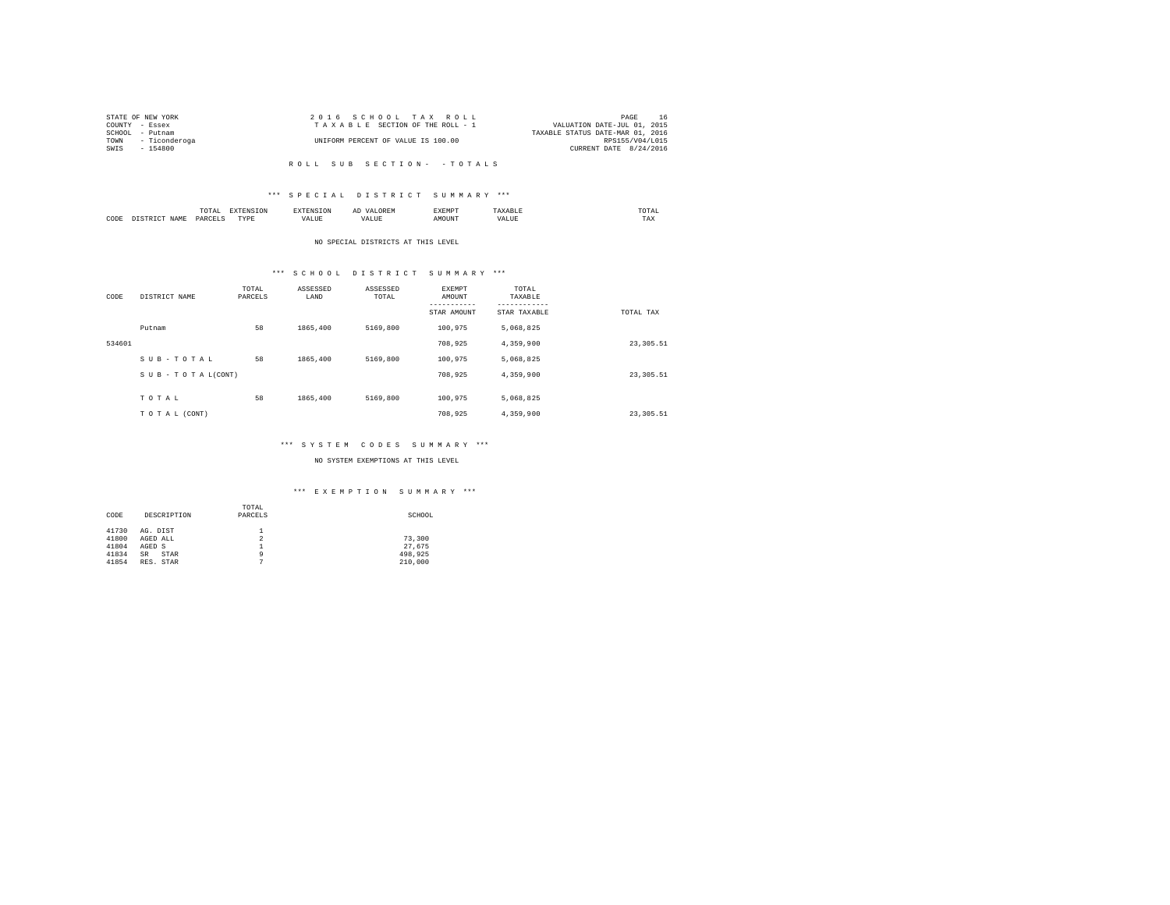|      | STATE OF NEW YORK  | 2016 SCHOOL TAX ROLL               | PAGE                             | -16 |
|------|--------------------|------------------------------------|----------------------------------|-----|
|      | COUNTY - Essex     | TAXABLE SECTION OF THE ROLL - 1    | VALUATION DATE-JUL 01, 2015      |     |
|      | SCHOOL - Putnam    |                                    | TAXABLE STATUS DATE-MAR 01, 2016 |     |
|      | TOWN - Ticonderoga | UNIFORM PERCENT OF VALUE IS 100.00 | RPS155/V04/L015                  |     |
| SWIS | - 154800           |                                    | CURRENT DATE 8/24/2016           |     |
|      |                    |                                    |                                  |     |

#### \*\*\* S P E C I A L D I S T R I C T S U M M A R Y \*\*\*

|      | mome<br>n<br>.<br>the contract of the contract of the contract of | the contract of the contract of the contract of the contract of the contract of | АΙ | <b>************</b><br>ہ دے تا |   | the contract of the contract of the contract of |  |
|------|-------------------------------------------------------------------|---------------------------------------------------------------------------------|----|--------------------------------|---|-------------------------------------------------|--|
| CODE | PARCFT                                                            | $-$<br>ZD.<br>.                                                                 |    | ۱Т                             | n | 1 M.A                                           |  |

#### NO SPECIAL DISTRICTS AT THIS LEVEL

## \*\*\* S C H O O L D I S T R I C T S U M M A R Y \*\*\*

| CODE   | DISTRICT NAME   | TOTAL<br>PARCELS | ASSESSED<br>LAND | ASSESSED<br>TOTAL | <b>EXEMPT</b><br>AMOUNT<br>STAR AMOUNT | TOTAL<br>TAXABLE<br>--------<br>STAR TAXABLE | TOTAL TAX  |
|--------|-----------------|------------------|------------------|-------------------|----------------------------------------|----------------------------------------------|------------|
|        | Putnam          | 58               | 1865,400         | 5169,800          | 100.975                                | 5.068.825                                    |            |
| 534601 |                 |                  |                  |                   | 708.925                                | 4,359,900                                    | 23, 305.51 |
|        | SUB-TOTAL       | 58               | 1865,400         | 5169,800          | 100.975                                | 5,068,825                                    |            |
|        | SUB-TOTAL(CONT) |                  |                  |                   | 708.925                                | 4,359,900                                    | 23, 305.51 |
|        |                 |                  |                  |                   |                                        |                                              |            |
|        | TOTAL           | 58               | 1865,400         | 5169,800          | 100.975                                | 5,068,825                                    |            |
|        | TO TAL (CONT)   |                  |                  |                   | 708,925                                | 4,359,900                                    | 23, 305.51 |

#### \*\*\* S Y S T E M C O D E S S U M M A R Y \*\*\*

#### NO SYSTEM EXEMPTIONS AT THIS LEVEL

|       |             | TOTAL   |         |
|-------|-------------|---------|---------|
| CODE  | DESCRIPTION | PARCELS | SCHOOL  |
|       |             |         |         |
| 41730 | AG. DIST    |         |         |
| 41800 | AGED ALL    | 2       | 73,300  |
| 41804 | AGED S      |         | 27.675  |
| 41834 | STAR<br>SR  | 9       | 498.925 |
| 41854 | RES. STAR   | n       | 210,000 |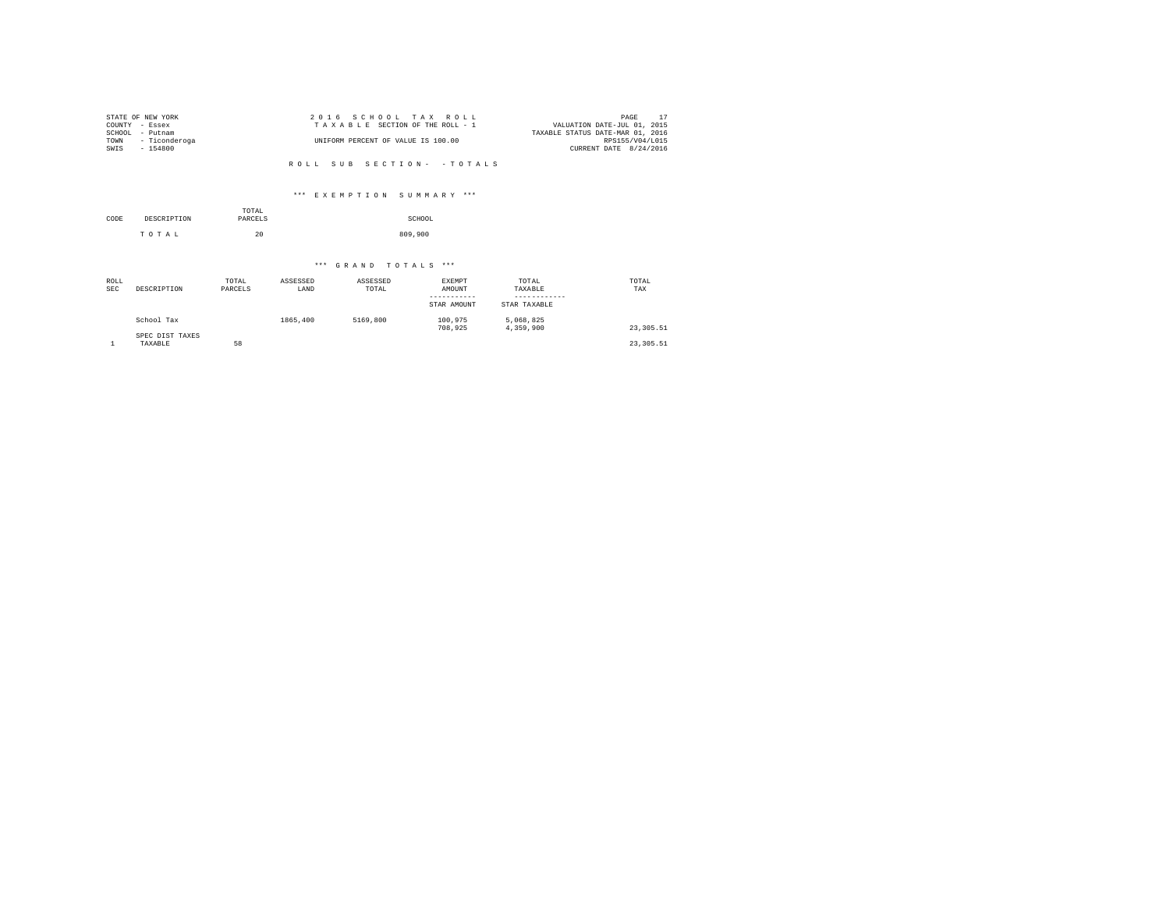|                | STATE OF NEW YORK | 2016 SCHOOL TAX ROLL               | PAGE                             |
|----------------|-------------------|------------------------------------|----------------------------------|
| COUNTY - Essex |                   | TAXABLE SECTION OF THE ROLL - 1    | VALUATION DATE-JUL 01, 2015      |
| SCHOOL         | - Putnam          |                                    | TAXABLE STATUS DATE-MAR 01, 2016 |
| TOWN           | - Ticonderoga     | UNIFORM PERCENT OF VALUE IS 100.00 | RPS155/V04/L015                  |
| SWIS           | $-154800$         |                                    | CURRENT DATE 8/24/2016           |
|                |                   |                                    |                                  |

#### \*\*\* E X E M P T I O N S U M M A R Y \*\*\*

|      |             | TOTAL   |         |
|------|-------------|---------|---------|
| CODE | DESCRIPTION | PARCELS | SCHOOL  |
|      | TOTAL       | 20      | 809,900 |

| ROLL<br><b>SEC</b> | DESCRIPTION                | TOTAL<br>PARCELS | ASSESSED<br>LAND | ASSESSED<br>TOTAL | EXEMPT<br>AMOUNT<br>STAR AMOUNT | TOTAL<br>TAXABLE<br>STAR TAXABLE | TOTAL<br>TAX |
|--------------------|----------------------------|------------------|------------------|-------------------|---------------------------------|----------------------------------|--------------|
|                    | School Tax                 |                  | 1865,400         | 5169,800          | 100,975<br>708,925              | 5.068.825<br>4,359,900           | 23, 305.51   |
|                    | SPEC DIST TAXES<br>TAXABLE | 58               |                  |                   |                                 |                                  | 23, 305.51   |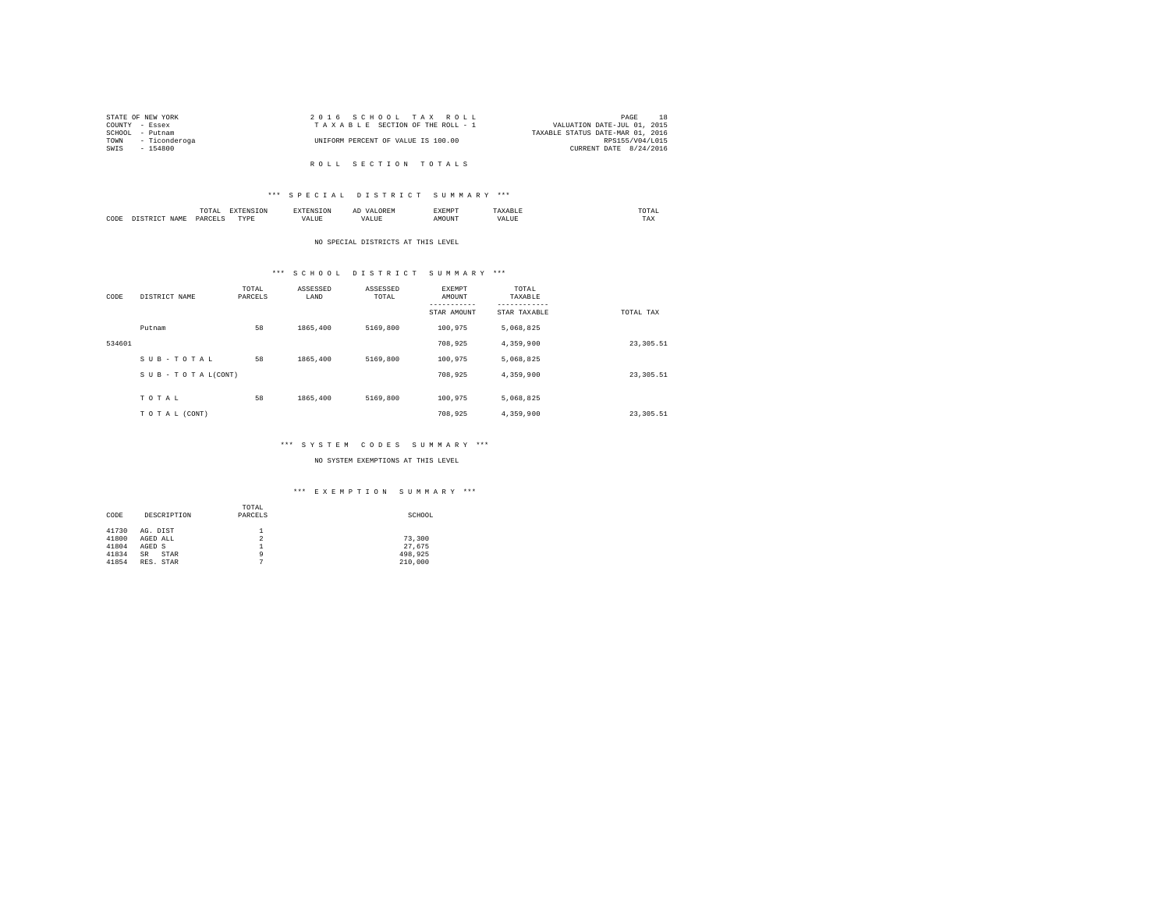|                | STATE OF NEW YORK  | 2016 SCHOOL TAX ROLL               | PAGE                             |
|----------------|--------------------|------------------------------------|----------------------------------|
| COUNTY - Essex |                    | TAXABLE SECTION OF THE ROLL - 1    | VALUATION DATE-JUL 01, 2015      |
|                | SCHOOL - Putnam    |                                    | TAXABLE STATUS DATE-MAR 01, 2016 |
|                | TOWN - Ticonderoga | UNIFORM PERCENT OF VALUE IS 100.00 | RPS155/V04/L015                  |
| SWIS           | - 154800           |                                    | CURRENT DATE 8/24/2016           |
|                |                    |                                    |                                  |
|                |                    | ROLL SECTION TOTALS                |                                  |

# \*\*\* S P E C I A L D I S T R I C T S U M M A R Y \*\*\*

|      |     | 10171<br>the contract of the contract of the contract of | the contract of the contract of the contract of the contract of the contract of |                 | -- | 11.571<br>. | -----           | UIAL<br>the contract of the contract of the contract of |
|------|-----|----------------------------------------------------------|---------------------------------------------------------------------------------|-----------------|----|-------------|-----------------|---------------------------------------------------------|
| CODE | J∆M | <b>DAR</b><br>$\sim$                                     | <b>TVD</b><br>.                                                                 | $- - - - -$<br> |    | את ר        | $\sim$ - $\sim$ | ----<br>1 A.A                                           |

#### NO SPECIAL DISTRICTS AT THIS LEVEL

## \*\*\* S C H O O L D I S T R I C T S U M M A R Y \*\*\*

| CODE   | DISTRICT NAME   | TOTAL<br>PARCELS | ASSESSED<br>LAND | ASSESSED<br>TOTAL | <b>EXEMPT</b><br>AMOUNT<br>--------<br>STAR AMOUNT | TOTAL<br>TAXABLE<br>STAR TAXABLE | TOTAL TAX  |
|--------|-----------------|------------------|------------------|-------------------|----------------------------------------------------|----------------------------------|------------|
|        | Putnam          | 58               | 1865,400         | 5169,800          | 100.975                                            | 5,068,825                        |            |
| 534601 |                 |                  |                  |                   | 708,925                                            | 4,359,900                        | 23, 305.51 |
|        | SUB-TOTAL       | 58               | 1865,400         | 5169,800          | 100.975                                            | 5,068,825                        |            |
|        | SUB-TOTAL(CONT) |                  |                  |                   | 708.925                                            | 4,359,900                        | 23, 305.51 |
|        | TOTAL           | 58               | 1865,400         | 5169,800          | 100,975                                            | 5.068.825                        |            |
|        | TO TAL (CONT)   |                  |                  |                   | 708,925                                            | 4,359,900                        | 23, 305.51 |

## \*\*\* S Y S T E M C O D E S S U M M A R Y \*\*\*

#### NO SYSTEM EXEMPTIONS AT THIS LEVEL

| CODE  | DESCRIPTION       | TOTAL<br>PARCELS | SCHOOL  |
|-------|-------------------|------------------|---------|
| 41730 | AG. DIST          |                  |         |
| 41800 | AGED ALL          | 2                | 73,300  |
| 41804 | AGED S            |                  | 27.675  |
| 41834 | <b>SR</b><br>STAR | ٩                | 498.925 |
| 41854 | RES. STAR         |                  | 210,000 |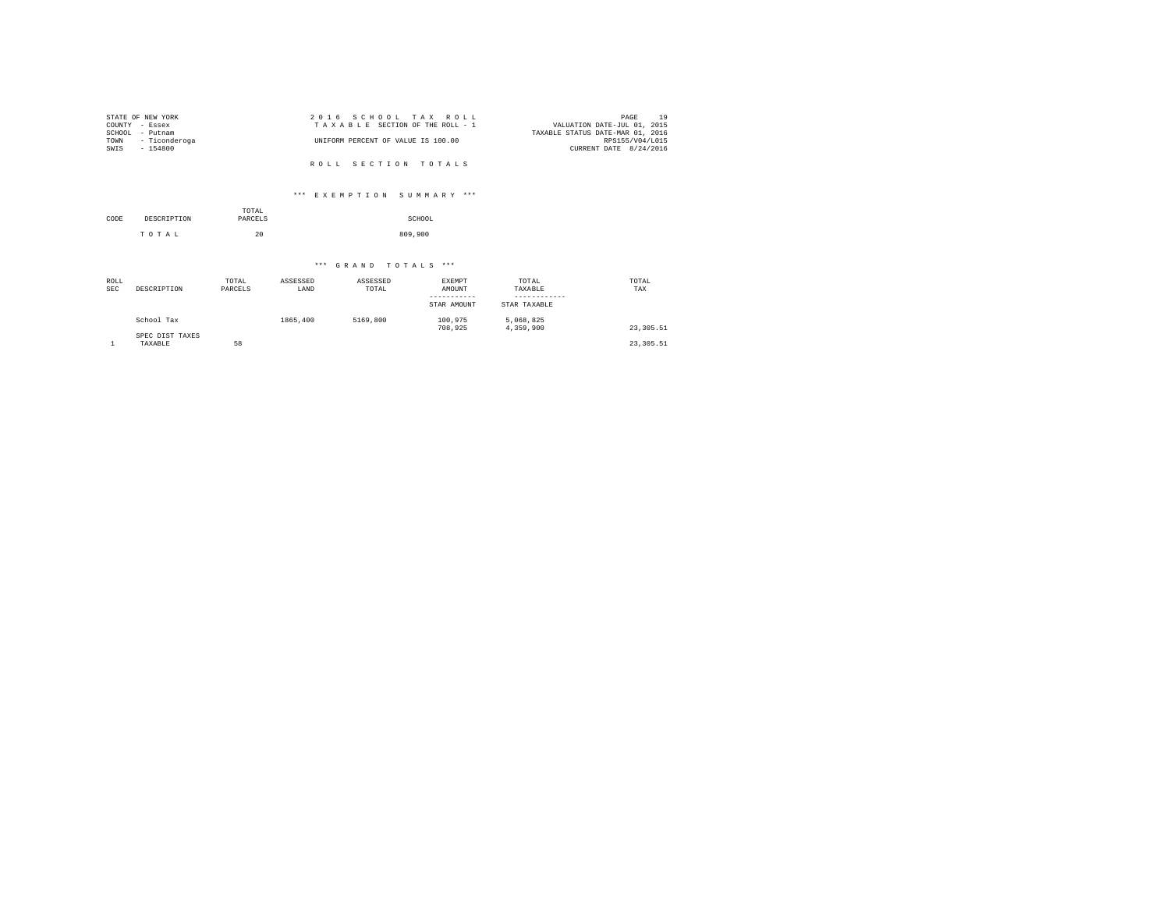| STATE OF NEW YORK  | 2016 SCHOOL TAX ROLL               | 19<br>PAGE                       |
|--------------------|------------------------------------|----------------------------------|
| COUNTY - Essex     | TAXABLE SECTION OF THE ROLL - 1    | VALUATION DATE-JUL 01, 2015      |
| SCHOOL<br>- Putnam |                                    | TAXABLE STATUS DATE-MAR 01, 2016 |
| TOWN - Ticonderoga | UNIFORM PERCENT OF VALUE IS 100.00 | RPS155/V04/L015                  |
| SWIS<br>$-154800$  |                                    | CURRENT DATE 8/24/2016           |
|                    |                                    |                                  |
|                    | ROLL SECTION TOTALS                |                                  |

## \*\*\* E X E M P T I O N S U M M A R Y \*\*\*

| CODE | DESCRIPTION | TOTAL<br>PARCELS | SCHOOL  |
|------|-------------|------------------|---------|
|      | TOTAL       | 20               | 809,900 |

| ROLL<br><b>SEC</b> | DESCRIPTION                | TOTAL<br>PARCELS | ASSESSED<br>LAND | ASSESSED<br>TOTAL | <b>EXEMPT</b><br>AMOUNT<br>-----------<br>STAR AMOUNT | TOTAL<br>TAXABLE<br>STAR TAXABLE | TOTAL<br>TAX |
|--------------------|----------------------------|------------------|------------------|-------------------|-------------------------------------------------------|----------------------------------|--------------|
|                    | School Tax                 |                  | 1865,400         | 5169,800          | 100.975<br>708,925                                    | 5,068,825<br>4,359,900           | 23, 305.51   |
|                    | SPEC DIST TAXES<br>TAXABLE | 58               |                  |                   |                                                       |                                  | 23, 305.51   |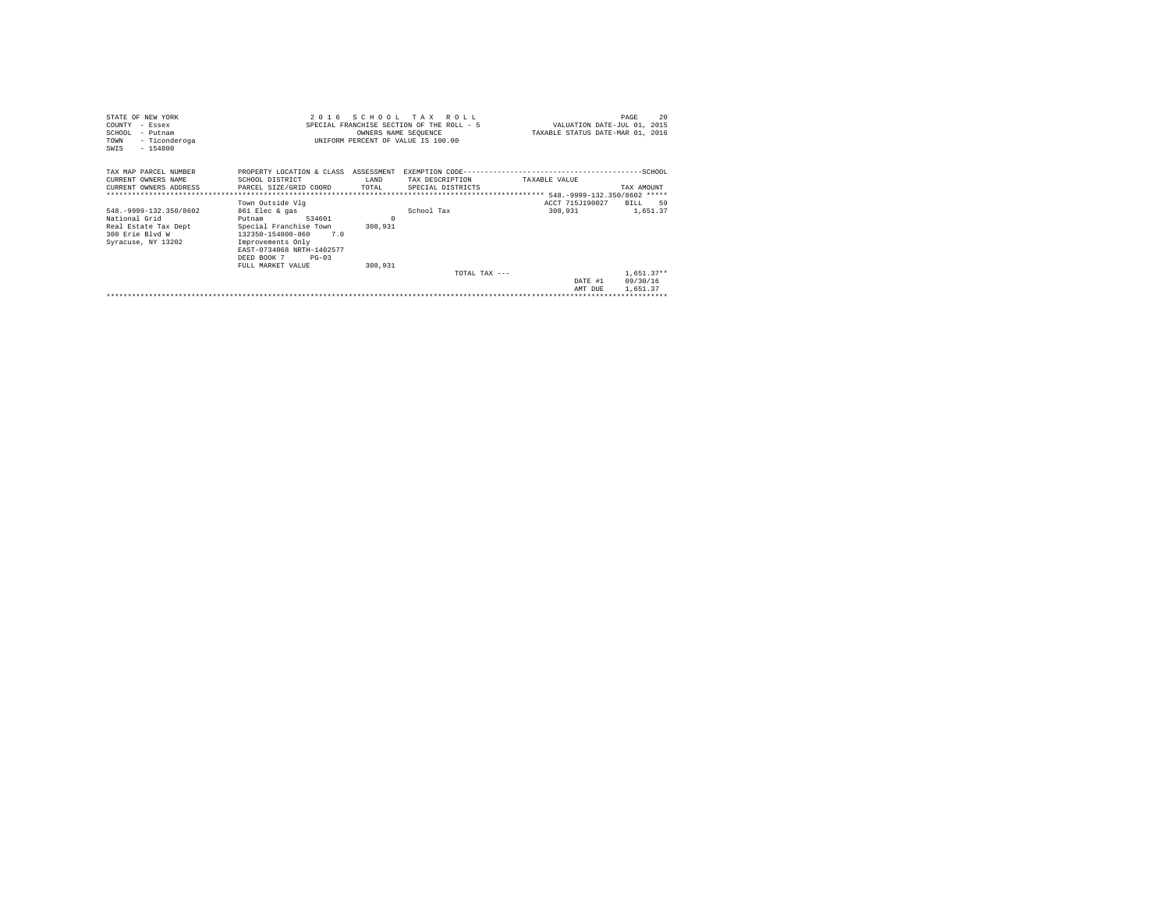| STATE OF NEW YORK                                   | 2 0 1 6                              |          | SCHOOL TAX ROLL                           |                                  | 20<br>PAGE                  |
|-----------------------------------------------------|--------------------------------------|----------|-------------------------------------------|----------------------------------|-----------------------------|
| COUNTY - Essex                                      |                                      |          | SPECIAL FRANCHISE SECTION OF THE ROLL - 5 |                                  | VALUATION DATE-JUL 01, 2015 |
| SCHOOL - Putnam                                     |                                      |          | OWNERS NAME SEQUENCE                      | TAXABLE STATUS DATE-MAR 01, 2016 |                             |
| - Ticonderoga<br>TOWN                               |                                      |          | UNIFORM PERCENT OF VALUE IS 100.00        |                                  |                             |
| $-154800$<br>SWIS                                   |                                      |          |                                           |                                  |                             |
|                                                     |                                      |          |                                           |                                  |                             |
| TAX MAP PARCEL NUMBER                               | PROPERTY LOCATION & CLASS ASSESSMENT |          |                                           |                                  |                             |
|                                                     |                                      |          |                                           |                                  |                             |
| CURRENT OWNERS NAME                                 | SCHOOL DISTRICT                      | LAND     | TAX DESCRIPTION                           | TAXABLE VALUE                    |                             |
| CURRENT OWNERS ADDRESS PARCEL SIZE/GRID COORD TOTAL |                                      |          | SPECIAL DISTRICTS                         |                                  | TAX AMOUNT                  |
|                                                     |                                      |          |                                           |                                  |                             |
|                                                     | Town Outside Vlg                     |          |                                           | ACCT 715J190027                  | BILL<br>59                  |
| 548. - 9999-132.350/8602                            | 861 Elec & gas                       |          | School Tax                                | 308,931                          | 1,651.37                    |
| National Grid                                       | 534601<br>Putnam                     | $\Omega$ |                                           |                                  |                             |
| Real Estate Tax Dept                                | Special Franchise Town               | 308,931  |                                           |                                  |                             |
| 300 Erie Blyd W                                     | 132350-154800-860 7.0                |          |                                           |                                  |                             |
| Syracuse, NY 13202                                  | Improvements Only                    |          |                                           |                                  |                             |
|                                                     | EAST-0734068 NRTH-1402577            |          |                                           |                                  |                             |
|                                                     | DEED BOOK 7 PG-03                    |          |                                           |                                  |                             |
|                                                     | FULL MARKET VALUE                    | 308,931  |                                           |                                  |                             |
|                                                     |                                      |          | TOTAL TAX $---$                           |                                  | $1,651.37**$                |
|                                                     |                                      |          |                                           | DATE #1                          | 09/30/16                    |
|                                                     |                                      |          |                                           | AMT DUR                          | 1,651.37                    |
|                                                     |                                      |          |                                           |                                  |                             |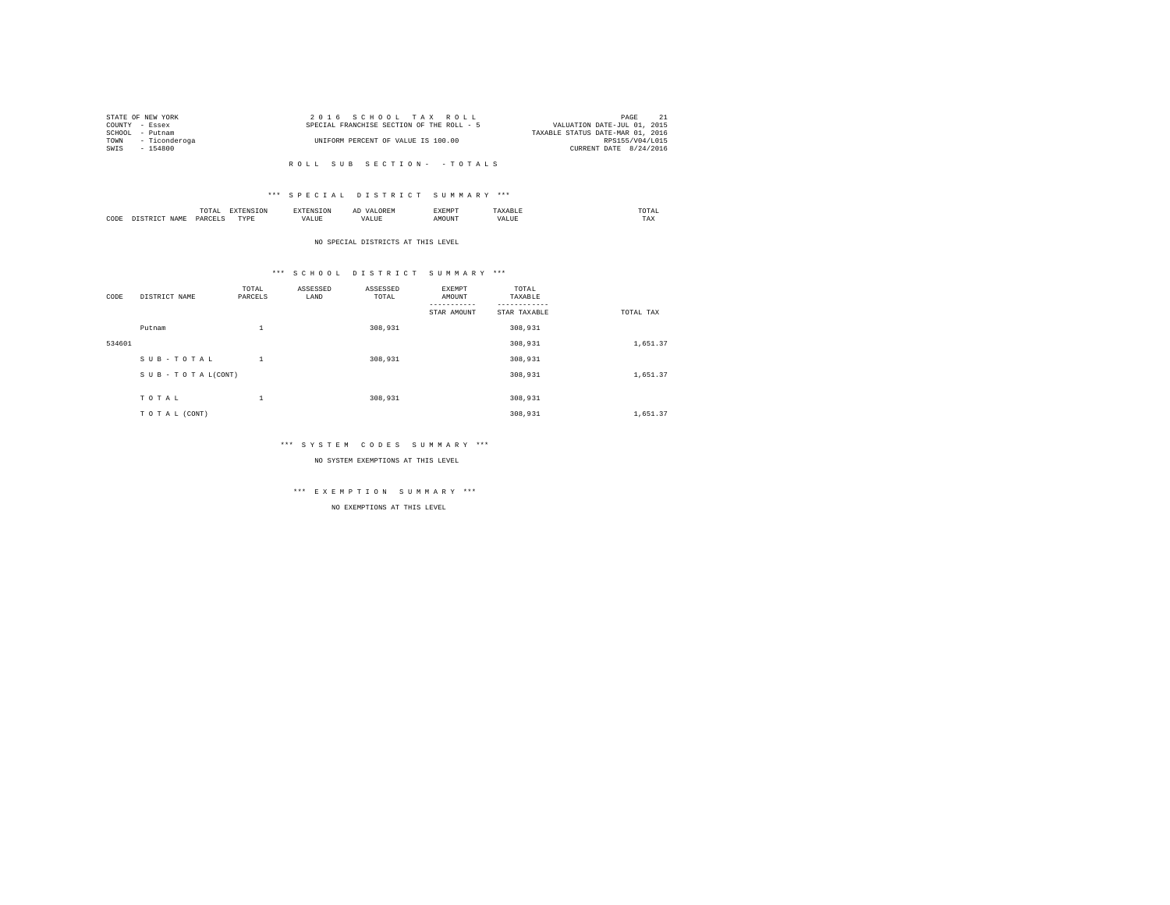|                | STATE OF NEW YORK  | 2016 SCHOOL TAX ROLL                      |                                  | PAGE            |  |
|----------------|--------------------|-------------------------------------------|----------------------------------|-----------------|--|
| COUNTY - Essex |                    | SPECIAL FRANCHISE SECTION OF THE ROLL - 5 | VALUATION DATE-JUL 01, 2015      |                 |  |
| SCHOOL         | - Putnam           |                                           | TAXABLE STATUS DATE-MAR 01, 2016 |                 |  |
|                | TOWN - Ticonderoga | UNIFORM PERCENT OF VALUE IS 100.00        |                                  | RPS155/V04/L015 |  |
| SWIS           | $-154800$          |                                           | CURRENT DATE 8/24/2016           |                 |  |
|                |                    |                                           |                                  |                 |  |

#### \*\*\* S P E C I A L D I S T R I C T S U M M A R Y \*\*\*

|      | $\cdots$<br>.<br>the contract of the contract of the contract of | the contract of the contract of the contract of the contract of the contract of |         | ▵<br>- |   | the contract of the contract of the contract of |  |
|------|------------------------------------------------------------------|---------------------------------------------------------------------------------|---------|--------|---|-------------------------------------------------|--|
| CODE | DARCEL.<br>.                                                     | $- - - -$<br>.                                                                  | ٠.<br>. |        | . | ----<br>1'A.X                                   |  |

NO SPECIAL DISTRICTS AT THIS LEVEL

#### \*\*\* S C H O O L D I S T R I C T S U M M A R Y \*\*\*

| CODE   | DISTRICT NAME      | TOTAL<br>PARCELS | ASSESSED<br>LAND | ASSESSED<br>TOTAL | <b>EXEMPT</b><br>AMOUNT | TOTAL<br>TAXABLE<br>--------- |           |
|--------|--------------------|------------------|------------------|-------------------|-------------------------|-------------------------------|-----------|
|        |                    |                  |                  |                   | STAR AMOUNT             | STAR TAXABLE                  | TOTAL TAX |
|        | Putnam             | $\mathbf{1}$     |                  | 308,931           |                         | 308,931                       |           |
| 534601 |                    |                  |                  |                   |                         | 308,931                       | 1,651.37  |
|        | SUB-TOTAL          | $\mathbf{1}$     |                  | 308,931           |                         | 308,931                       |           |
|        | SUB - TO TAL(CONT) |                  |                  |                   |                         | 308,931                       | 1,651.37  |
|        |                    |                  |                  |                   |                         |                               |           |
|        | TOTAL              | $\mathbf{1}$     |                  | 308,931           |                         | 308,931                       |           |
|        | TO TAL (CONT)      |                  |                  |                   |                         | 308,931                       | 1,651.37  |

#### \*\*\* S Y S T E M C O D E S S U M M A R Y \*\*\*

NO SYSTEM EXEMPTIONS AT THIS LEVEL

## \*\*\* E X E M P T I O N S U M M A R Y \*\*\*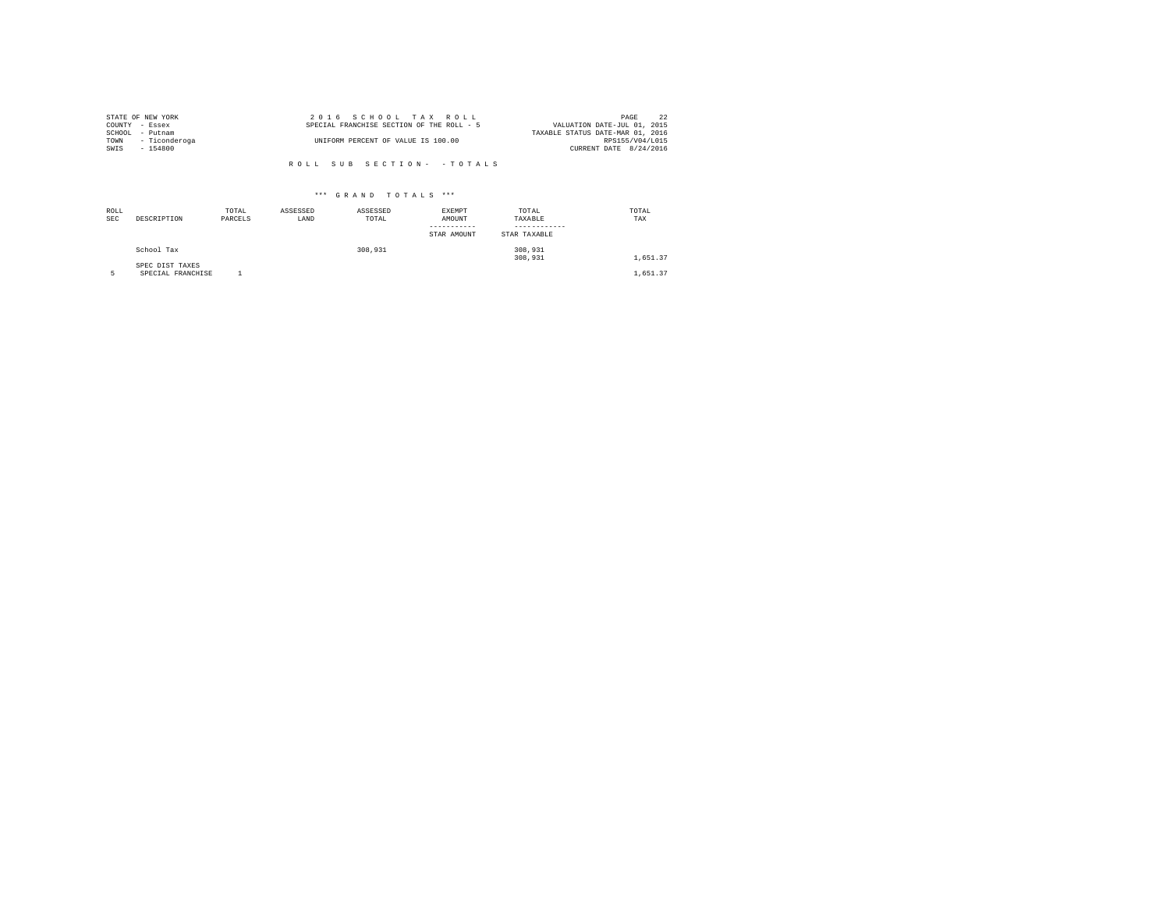|                | STATE OF NEW YORK | 2016 SCHOOL TAX ROLL                      | 22<br>PAGE                       |
|----------------|-------------------|-------------------------------------------|----------------------------------|
| COUNTY - Essex |                   | SPECIAL FRANCHISE SECTION OF THE ROLL - 5 | VALUATION DATE-JUL 01, 2015      |
| SCHOOL         | - Putnam          |                                           | TAXABLE STATUS DATE-MAR 01, 2016 |
| TOWN           | - Ticonderoga     | UNIFORM PERCENT OF VALUE IS 100.00        | RPS155/V04/L015                  |
| SWIS           | - 154800          |                                           | CURRENT DATE 8/24/2016           |
|                |                   |                                           |                                  |

| ROLL<br><b>SEC</b> | DESCRIPTION                          | TOTAL<br>PARCELS | ASSESSED<br>LAND | ASSESSED<br>TOTAL | <b>EXEMPT</b><br>AMOUNT<br>STAR AMOUNT | TOTAL<br>TAXABLE<br>STAR TAXABLE | TOTAL<br>TAX |
|--------------------|--------------------------------------|------------------|------------------|-------------------|----------------------------------------|----------------------------------|--------------|
|                    | School Tax                           |                  |                  | 308,931           |                                        | 308,931<br>308,931               | 1,651.37     |
|                    | SPEC DIST TAXES<br>SPECIAL FRANCHISE |                  |                  |                   |                                        |                                  | 1,651.37     |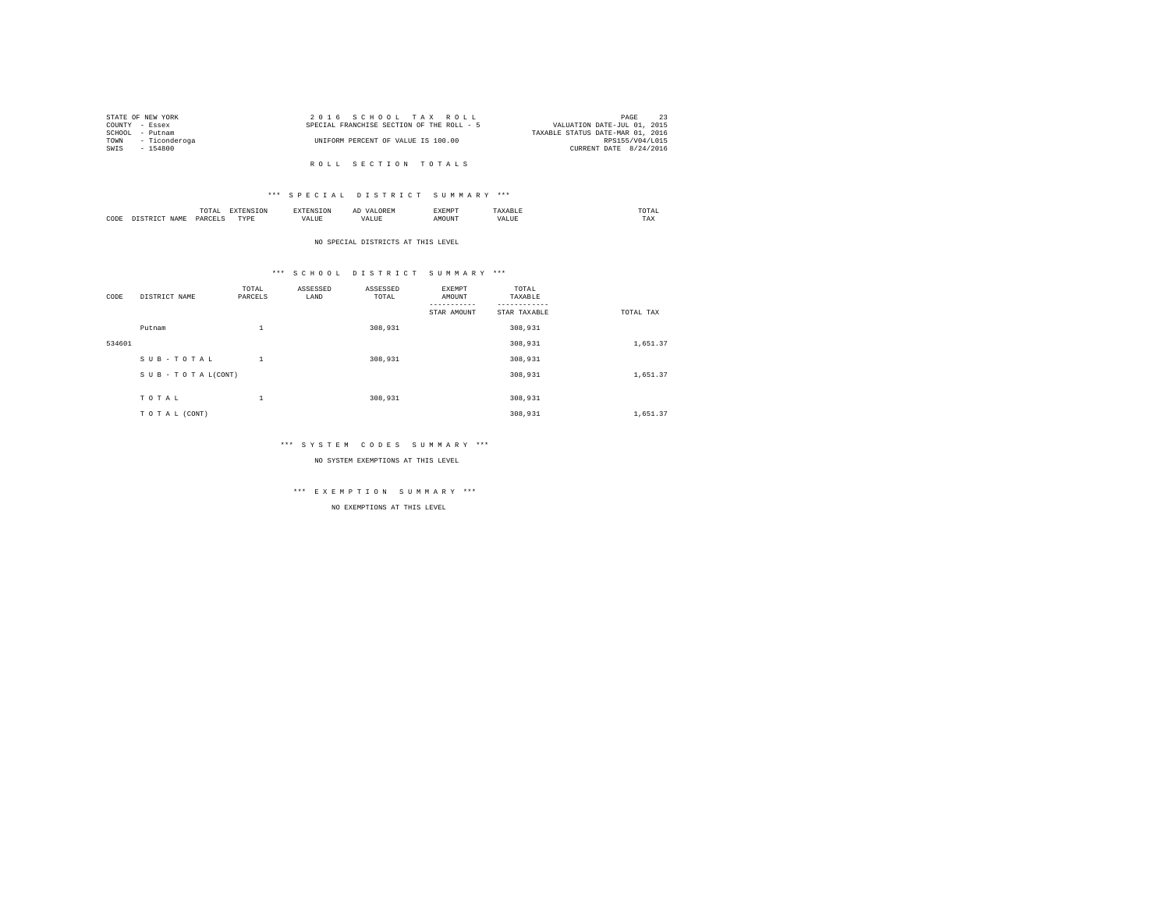|                | STATE OF NEW YORK  | 2016 SCHOOL TAX ROLL                      | PAGE                             |
|----------------|--------------------|-------------------------------------------|----------------------------------|
| COUNTY - Essex |                    | SPECIAL FRANCHISE SECTION OF THE ROLL - 5 | VALUATION DATE-JUL 01, 2015      |
| SCHOOL         | - Putnam           |                                           | TAXABLE STATUS DATE-MAR 01, 2016 |
|                | TOWN - Ticonderoga | UNIFORM PERCENT OF VALUE IS 100.00        | RPS155/V04/L015                  |
| SWIS           | $-154800$          |                                           | CURRENT DATE 8/24/2016           |
|                |                    |                                           |                                  |

R O L L S E C T I O N T O T A L S

#### \*\*\* S P E C I A L D I S T R I C T S U M M A R Y \*\*\*

|      | $\cdots$<br>.<br>the contract of the contract of the contract of | the contract of the contract of the contract of the contract of the contract of |         | ▵<br>- |   | the contract of the contract of the contract of |  |
|------|------------------------------------------------------------------|---------------------------------------------------------------------------------|---------|--------|---|-------------------------------------------------|--|
| CODE | DARCEL.<br>.                                                     | $- - - -$<br>.                                                                  | ٠.<br>. |        | . | ----<br>1'A.X                                   |  |

NO SPECIAL DISTRICTS AT THIS LEVEL

## \*\*\* S C H O O L D I S T R I C T S U M M A R Y \*\*\*

| CODE   | DISTRICT NAME   | TOTAL<br>PARCELS | ASSESSED<br>LAND | ASSESSED<br>TOTAL | EXEMPT<br>AMOUNT | TOTAL<br>TAXABLE |           |
|--------|-----------------|------------------|------------------|-------------------|------------------|------------------|-----------|
|        |                 |                  |                  |                   | STAR AMOUNT      | STAR TAXABLE     | TOTAL TAX |
|        | Putnam          | $\mathbf{1}$     |                  | 308,931           |                  | 308,931          |           |
| 534601 |                 |                  |                  |                   |                  | 308,931          | 1,651.37  |
|        | SUB-TOTAL       | 1                |                  | 308,931           |                  | 308,931          |           |
|        | SUB-TOTAL(CONT) |                  |                  |                   |                  | 308,931          | 1,651.37  |
|        |                 |                  |                  |                   |                  |                  |           |
|        | TOTAL           | $\mathbf{1}$     |                  | 308,931           |                  | 308,931          |           |
|        | TO TAL (CONT)   |                  |                  |                   |                  | 308,931          | 1,651.37  |

#### \*\*\* S Y S T E M C O D E S S U M M A R Y \*\*\*

NO SYSTEM EXEMPTIONS AT THIS LEVEL

## \*\*\* E X E M P T I O N S U M M A R Y \*\*\*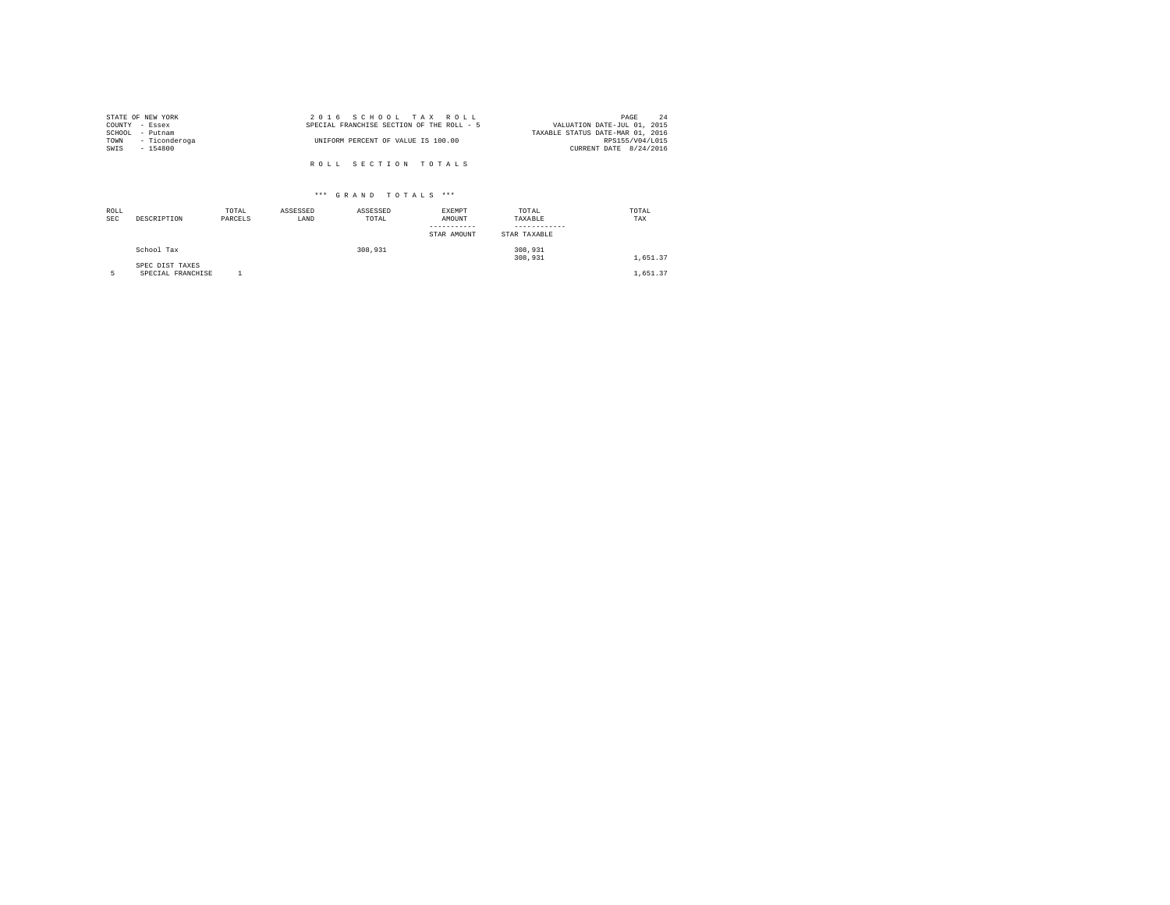|                | STATE OF NEW YORK | 2016 SCHOOL TAX ROLL                      | 2.4<br>PAGE                      |
|----------------|-------------------|-------------------------------------------|----------------------------------|
| COUNTY - Essex |                   | SPECIAL FRANCHISE SECTION OF THE ROLL - 5 | VALUATION DATE-JUL 01, 2015      |
|                | SCHOOL - Putnam   |                                           | TAXABLE STATUS DATE-MAR 01, 2016 |
| TOWN           | - Ticonderoga     | UNIFORM PERCENT OF VALUE IS 100.00        | RPS155/V04/L015                  |
| SWIS           | - 154800          |                                           | CURRENT DATE 8/24/2016           |
|                |                   |                                           |                                  |
|                |                   | ROLL SECTION TOTALS                       |                                  |

| ROLL<br><b>SEC</b> | DESCRIPTION                          | TOTAL<br>PARCELS | ASSESSED<br>LAND | ASSESSED<br>TOTAL | <b>EXEMPT</b><br>AMOUNT<br>-----------<br>STAR AMOUNT | TOTAL<br>TAXABLE<br>STAR TAXABLE | TOTAL<br>TAX |
|--------------------|--------------------------------------|------------------|------------------|-------------------|-------------------------------------------------------|----------------------------------|--------------|
|                    | School Tax                           |                  |                  | 308,931           |                                                       | 308,931<br>308,931               | 1,651.37     |
|                    | SPEC DIST TAXES<br>SPECIAL FRANCHISE |                  |                  |                   |                                                       |                                  | 1,651.37     |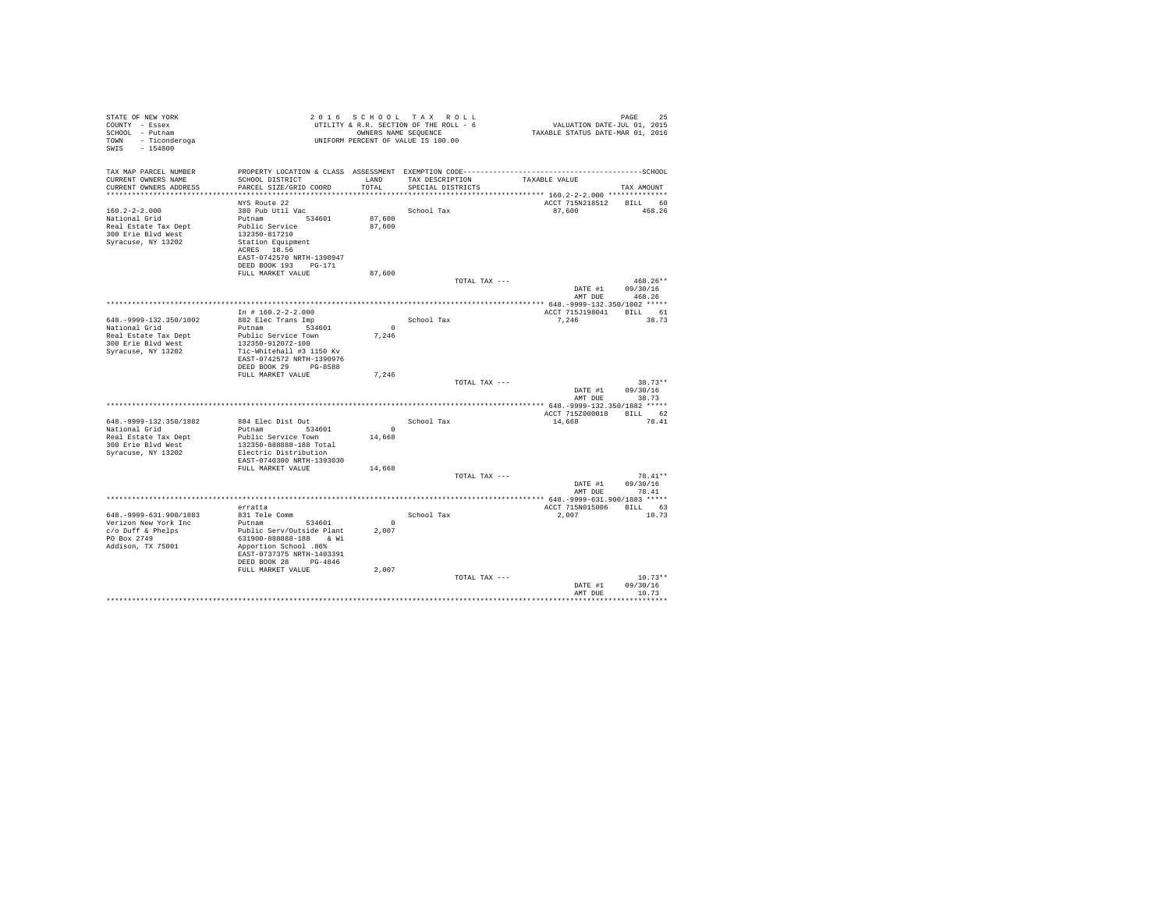| STATE OF NEW YORK<br>COUNTY - Essex<br>SCHOOL - Putnam<br>TOWN - Ticonderoga<br>$-154800$<br>SWIS                |                                                                                                                                                                                                     |                              | 2016 SCHOOL TAX ROLL<br>UTILITY & R.R. SECTION OF THE ROLL - 6<br>OWNERS NAME SEQUENCE<br>UNIFORM PERCENT OF VALUE IS 100.00 | VALUATION DATE-JUL 01, 2015<br>TAXABLE STATUS DATE-MAR 01, 2016  | PAGE<br>25                       |
|------------------------------------------------------------------------------------------------------------------|-----------------------------------------------------------------------------------------------------------------------------------------------------------------------------------------------------|------------------------------|------------------------------------------------------------------------------------------------------------------------------|------------------------------------------------------------------|----------------------------------|
| TAX MAP PARCEL NUMBER<br>CURRENT OWNERS NAME<br>CURRENT OWNERS ADDRESS                                           | SCHOOL DISTRICT<br>PARCEL SIZE/GRID COORD                                                                                                                                                           | LAND<br>TOTAL                | TAX DESCRIPTION<br>SPECIAL DISTRICTS                                                                                         | TAXABLE VALUE<br>****************** 160.2-2-2.000 ************** | TAX AMOUNT                       |
| $160.2 - 2 - 2.000$<br>National Grid<br>Real Estate Tax Dept<br>300 Erie Blvd West<br>Syracuse, NY 13202         | NYS Route 22<br>380 Pub Util Vac<br>Putnam 534601<br>Public Service<br>132350-817210<br>Station Equipment<br>ACRES 18.56<br>EAST-0742570 NRTH-1390947<br>DEED BOOK 193 PG-171                       | 87,600<br>87,600             | School Tax                                                                                                                   | ACCT 715N218512<br>87,600                                        | BILL 60<br>468.26                |
|                                                                                                                  | FULL MARKET VALUE                                                                                                                                                                                   | 87,600                       | TOTAL TAX ---                                                                                                                | DATE #1<br>AMT DUE                                               | $468.26**$<br>09/30/16<br>468.26 |
|                                                                                                                  |                                                                                                                                                                                                     |                              |                                                                                                                              |                                                                  |                                  |
| 648. - 9999 - 132. 350/1002<br>National Grid<br>Real Estate Tax Dept<br>300 Erie Blvd West<br>Syracuse, NY 13202 | In # $160.2 - 2 - 2.000$<br>882 Elec Trans Imp<br>Putnam 534601<br>Public Service Town<br>132350-912072-100<br>Tic-Whitehall #3 1150 Kv<br>EAST-0742572 NRTH-1390976                                | $\sim$ 0<br>7,246            | School Tax                                                                                                                   | ACCT 715J198041 BILL 61<br>7,246                                 | 38.73                            |
|                                                                                                                  | DEED BOOK 29 PG-8588<br>FULL MARKET VALUE                                                                                                                                                           | 7,246                        | TOTAL TAX ---                                                                                                                | DATE #1<br>AMT DUE                                               | $38.73**$<br>09/30/16<br>38.73   |
|                                                                                                                  |                                                                                                                                                                                                     |                              |                                                                                                                              |                                                                  |                                  |
| 648. - 9999-132. 350/1882<br>National Grid<br>Real Estate Tax Dept<br>300 Erie Blyd West<br>Syracuse, NY 13202   | 884 Elec Dist Out<br>Putnam 534601<br>Public Service Town<br>132350-888888-188 Total<br>Electric Distribution                                                                                       | $\sim$<br>14,668             | School Tax                                                                                                                   | ACCT 715Z000018 BILL 62<br>14,668                                | 78.41                            |
|                                                                                                                  | EAST-0740300 NRTH-1393030<br>FULL MARKET VALUE                                                                                                                                                      | 14,668                       | TOTAL TAX ---                                                                                                                | DATE #1<br>AMT DUE                                               | 78.41**<br>09/30/16<br>78.41     |
|                                                                                                                  |                                                                                                                                                                                                     |                              |                                                                                                                              |                                                                  |                                  |
| 648. - 9999-631. 900/1883<br>Verizon New York Inc<br>$c$ /o Duff & Phelps<br>PO Box 2749<br>Addison, TX 75001    | erratta<br>831 Tele Comm<br>Putnam 534601<br>Public Serv/Outside Plant<br>631900-888888-188 & Wi<br>Apportion School .86%<br>EAST-0737375 NRTH-1403391<br>DEED BOOK 28 PG-4846<br>FULL MARKET VALUE | $^{\circ}$<br>2.007<br>2,007 | School Tax                                                                                                                   | ACCT 715N015006<br>2,007                                         | BILL 63<br>10.73                 |
|                                                                                                                  |                                                                                                                                                                                                     |                              | TOTAL TAX ---                                                                                                                | DATE #1<br>AMT DUE                                               | $10.73**$<br>09/30/16<br>10.73   |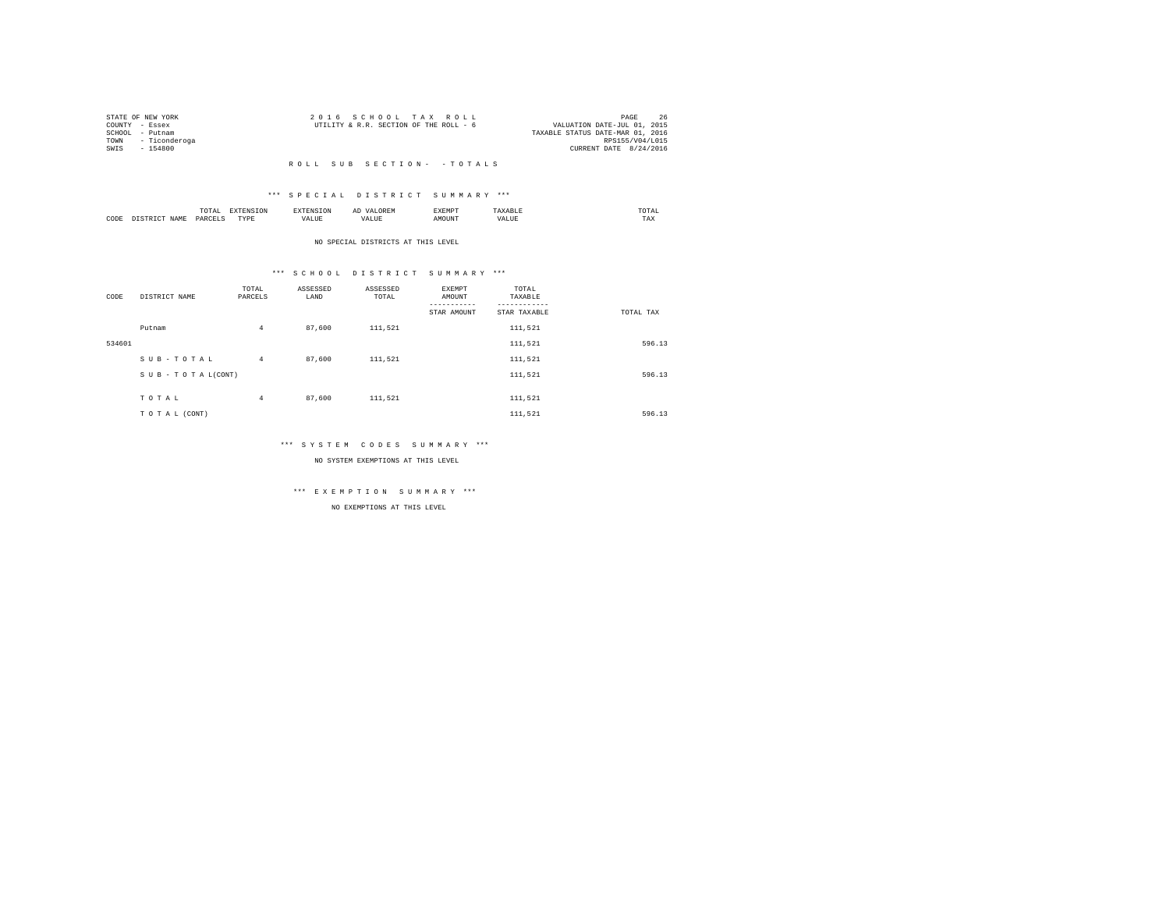|                 | STATE OF NEW YORK  | 2016 SCHOOL TAX ROLL                                                  | PAGE                   | 26 |
|-----------------|--------------------|-----------------------------------------------------------------------|------------------------|----|
| COUNTY - Essex  |                    | VALUATION DATE-JUL 01, 2015<br>UTILITY & R.R. SECTION OF THE ROLL - 6 |                        |    |
| SCHOOL - Putnam |                    | TAXABLE STATUS DATE-MAR 01, 2016                                      |                        |    |
|                 | TOWN - Ticonderoga |                                                                       | RPS155/V04/L015        |    |
| SWTS            | - 154800           |                                                                       | CURRENT DATE 8/24/2016 |    |
|                 |                    |                                                                       |                        |    |

#### \*\*\* S P E C I A L D I S T R I C T S U M M A R Y \*\*\*

|      |         | .<br>the contract of the contract of the contract of |          |    | -<br>しいじょ | 2 M L 21 |      | ∪⊥≞∟<br>the contract of the contract of the contract of |
|------|---------|------------------------------------------------------|----------|----|-----------|----------|------|---------------------------------------------------------|
| CODE | 21 A An | OAR<br>$\sim$                                        | TVD<br>. | ,, |           |          | 1111 | 1 A.A                                                   |

#### NO SPECIAL DISTRICTS AT THIS LEVEL

#### \*\*\* S C H O O L D I S T R I C T S U M M A R Y \*\*\*

| CODE   | DISTRICT NAME      | TOTAL<br>PARCELS | ASSESSED<br>LAND | ASSESSED<br>TOTAL | EXEMPT<br>AMOUNT<br>STAR AMOUNT | TOTAL<br>TAXABLE<br>--------<br>STAR TAXABLE | TOTAL TAX |
|--------|--------------------|------------------|------------------|-------------------|---------------------------------|----------------------------------------------|-----------|
|        | Putnam             | 4                | 87,600           | 111,521           |                                 | 111,521                                      |           |
| 534601 |                    |                  |                  |                   |                                 | 111,521                                      | 596.13    |
|        | SUB-TOTAL          | $\overline{4}$   | 87,600           | 111,521           |                                 | 111,521                                      |           |
|        | SUB - TO TAL(CONT) |                  |                  |                   |                                 | 111,521                                      | 596.13    |
|        | TOTAL              | $\overline{4}$   | 87,600           | 111,521           |                                 | 111,521                                      |           |
|        |                    |                  |                  |                   |                                 |                                              |           |
|        | TO TAL (CONT)      |                  |                  |                   |                                 | 111.521                                      | 596.13    |

#### \*\*\* S Y S T E M C O D E S S U M M A R Y \*\*\*

NO SYSTEM EXEMPTIONS AT THIS LEVEL

## \*\*\* E X E M P T I O N S U M M A R Y \*\*\*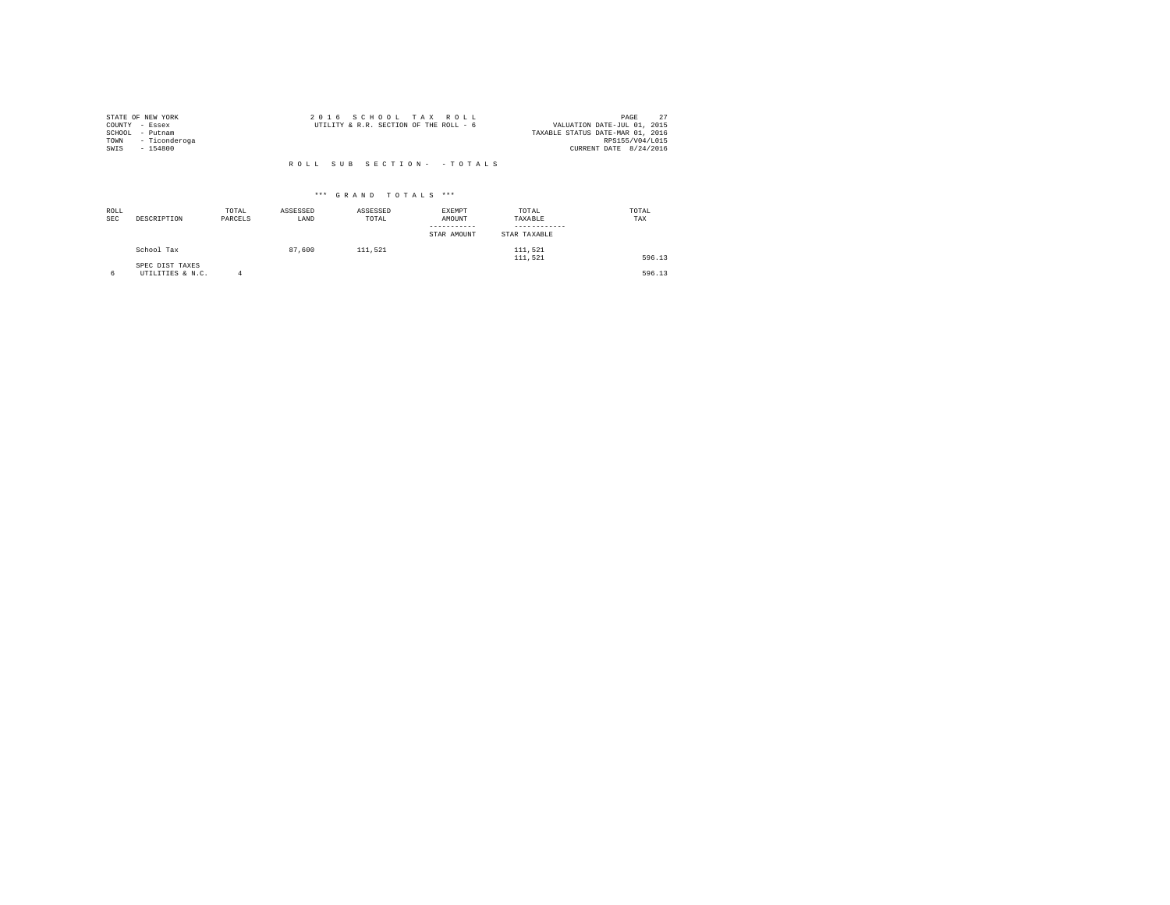| STATE OF NEW YORK     | 2016 SCHOOL TAX ROLL                                                  | PAGE            |  |
|-----------------------|-----------------------------------------------------------------------|-----------------|--|
| COUNTY - Essex        | VALUATION DATE-JUL 01, 2015<br>UTILITY & R.R. SECTION OF THE ROLL - 6 |                 |  |
| SCHOOL<br>- Putnam    | TAXABLE STATUS DATE-MAR 01, 2016                                      |                 |  |
| - Ticonderoga<br>TOWN |                                                                       | RPS155/V04/L015 |  |
| SWIS<br>$-154800$     | CURRENT DATE 8/24/2016                                                |                 |  |
|                       |                                                                       |                 |  |

| ROLL<br><b>SEC</b> | DESCRIPTION                         | TOTAL<br>PARCELS | ASSESSED<br>LAND | ASSESSED<br>TOTAL | EXEMPT<br>AMOUNT<br>STAR AMOUNT | TOTAL<br>TAXABLE<br>STAR TAXABLE | TOTAL<br>TAX |
|--------------------|-------------------------------------|------------------|------------------|-------------------|---------------------------------|----------------------------------|--------------|
|                    | School Tax                          |                  | 87.600           | 111.521           |                                 | 111.521<br>111.521               | 596.13       |
| 6                  | SPEC DIST TAXES<br>UTILITIES & N.C. |                  |                  |                   |                                 |                                  | 596.13       |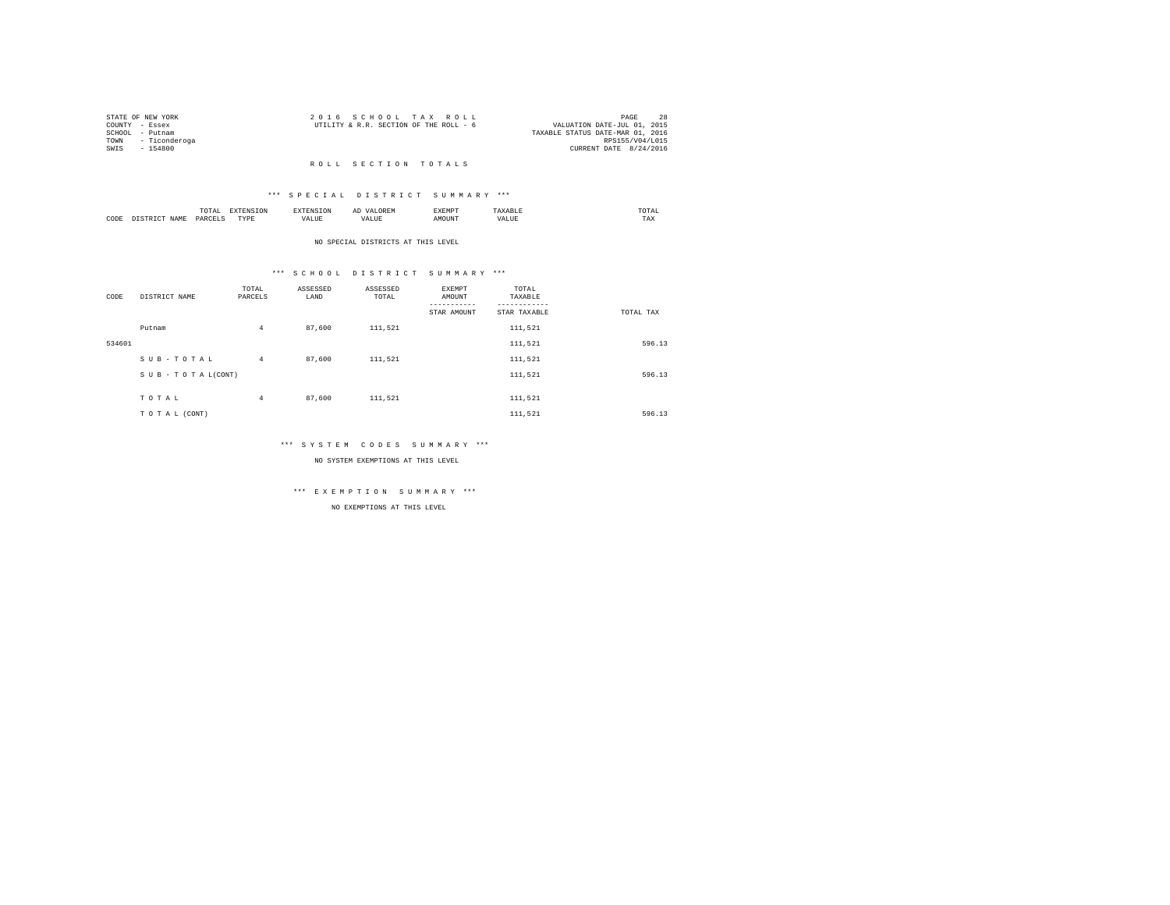|                | STATE OF NEW YORK  | 2016 SCHOOL TAX ROLL                                                  | PAGE            | 28 |
|----------------|--------------------|-----------------------------------------------------------------------|-----------------|----|
| COUNTY - Essex |                    | VALUATION DATE-JUL 01, 2015<br>UTILITY & R.R. SECTION OF THE ROLL - 6 |                 |    |
|                | SCHOOL - Putnam    | TAXABLE STATUS DATE-MAR 01, 2016                                      |                 |    |
|                | TOWN - Ticonderoga |                                                                       | RPS155/V04/L015 |    |
| SWTS           | - 154800           | CURRENT DATE 8/24/2016                                                |                 |    |
|                |                    |                                                                       |                 |    |

#### R O L L S E C T I O N T O T A L S

#### \*\*\* S P E C I A L D I S T R I C T S U M M A R Y \*\*\*

|      |       | .<br>the contract of the contract of the contract of | the contract of the contract of the contract of the contract of the contract of |          | АΙ<br>. | <b>RYEMPT</b> |              | UIAL<br>the contract of the contract of the contract of |
|------|-------|------------------------------------------------------|---------------------------------------------------------------------------------|----------|---------|---------------|--------------|---------------------------------------------------------|
| CODE | 1 A M | $0 \Delta F'$                                        | <b>TVD</b><br>.                                                                 | $\cdots$ |         | ۱UN.          | n<br>حائلاته | ----<br>1'AX                                            |

#### NO SPECIAL DISTRICTS AT THIS LEVEL

#### \*\*\* S C H O O L D I S T R I C T S U M M A R Y \*\*\*

| CODE   | DISTRICT NAME   | TOTAL<br>PARCELS | ASSESSED<br>LAND | ASSESSED<br>TOTAL | <b>EXEMPT</b><br>AMOUNT<br>STAR AMOUNT | TOTAL<br>TAXABLE<br>STAR TAXABLE | TOTAL TAX |
|--------|-----------------|------------------|------------------|-------------------|----------------------------------------|----------------------------------|-----------|
|        | Putnam          | 4                | 87,600           | 111,521           |                                        | 111,521                          |           |
| 534601 |                 |                  |                  |                   |                                        | 111,521                          | 596.13    |
|        | SUB-TOTAL       | $4^{\circ}$      | 87,600           | 111.521           |                                        | 111,521                          |           |
|        | SUB-TOTAL(CONT) |                  |                  |                   |                                        | 111,521                          | 596.13    |
|        | TOTAL           | $\overline{4}$   | 87,600           | 111,521           |                                        | 111,521                          |           |
|        |                 |                  |                  |                   |                                        |                                  |           |
|        | TO TAL (CONT)   |                  |                  |                   |                                        | 111.521                          | 596.13    |

#### \*\*\* S Y S T E M C O D E S S U M M A R Y \*\*\*

NO SYSTEM EXEMPTIONS AT THIS LEVEL

## \*\*\* E X E M P T I O N S U M M A R Y \*\*\*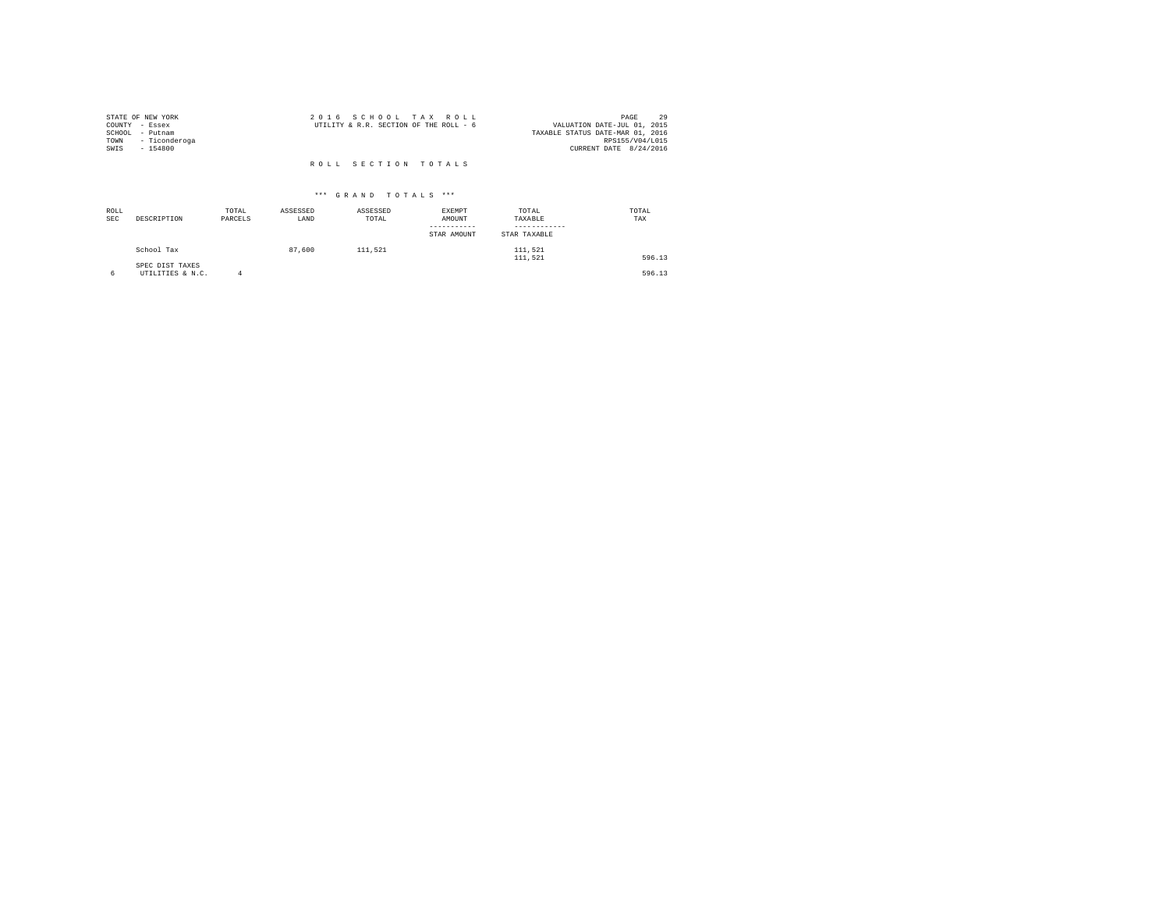| STATE OF NEW YORK<br>COUNTY - Essex<br>SCHOOL<br>- Putnam<br>- Ticonderoga<br>TOWN<br>SWIS<br>$-154800$ | 2016 SCHOOL TAX ROLL<br>UTILITY & R.R. SECTION OF THE ROLL - 6 | 29<br>PAGE<br>VALUATION DATE-JUL 01, 2015<br>TAXABLE STATUS DATE-MAR 01, 2016<br>RPS155/V04/L015<br>CURRENT DATE 8/24/2016 |
|---------------------------------------------------------------------------------------------------------|----------------------------------------------------------------|----------------------------------------------------------------------------------------------------------------------------|
|                                                                                                         | ROLL SECTION TOTALS                                            |                                                                                                                            |

| ROLL<br><b>SEC</b> | DESCRIPTION                         | TOTAL<br>PARCELS | ASSESSED<br>LAND | ASSESSED<br>TOTAL | <b>EXEMPT</b><br>AMOUNT<br>STAR AMOUNT | TOTAL<br>TAXABLE<br>STAR TAXABLE | TOTAL<br>TAX |
|--------------------|-------------------------------------|------------------|------------------|-------------------|----------------------------------------|----------------------------------|--------------|
|                    | School Tax                          |                  | 87,600           | 111.521           |                                        | 111.521<br>111.521               | 596.13       |
|                    | SPEC DIST TAXES<br>UTILITIES & N.C. | Δ                |                  |                   |                                        |                                  | 596.13       |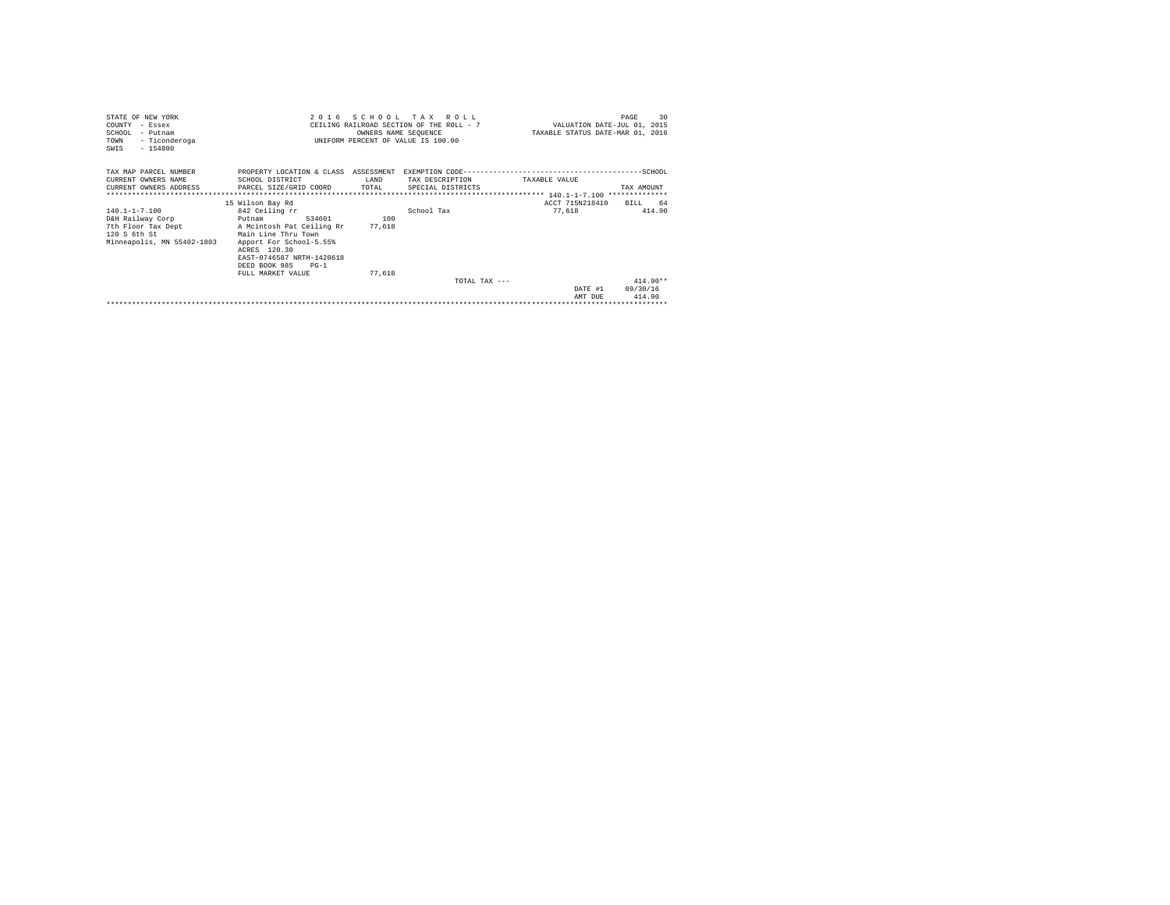| STATE OF NEW YORK<br>COUNTY - Essex<br>SCHOOL - Putnam<br>- Ticonderoga<br>TOWN<br>$-154800$<br>SWIS  | 2016<br>SCHOOL TAX ROLL<br>CEILING RAILROAD SECTION OF THE ROLL - 7<br>UNIFORM PERCENT OF VALUE IS 100.00                                                                                                                          | VALUATION DATE-JUL 01, 2015<br>TAXABLE STATUS DATE-MAR 01, 2016 | 30<br>PAGE                           |                           |                                  |
|-------------------------------------------------------------------------------------------------------|------------------------------------------------------------------------------------------------------------------------------------------------------------------------------------------------------------------------------------|-----------------------------------------------------------------|--------------------------------------|---------------------------|----------------------------------|
| TAX MAP PARCEL NUMBER<br>CURRENT OWNERS NAME<br>**************************                            | PROPERTY LOCATION & CLASS ASSESSMENT<br>SCHOOL DISTRICT<br>CURRENT OWNERS ADDRESS PARCEL SIZE/GRID COORD                                                                                                                           | T.AND<br>TOTAL                                                  | TAX DESCRIPTION<br>SPECIAL DISTRICTS | TAXARLE VALUE             | TAX AMOUNT                       |
| 140.1-1-7.100<br>D&H Railway Corp<br>7th Floor Tax Dept<br>120 S 6th St<br>Minneapolis, MN 55402-1803 | 15 Wilson Bay Rd<br>842 Ceiling rr<br>534601<br>Putnam<br>A Mcintosh Pat Ceiling Rr<br>Main Line Thru Town<br>Apport For School-5.55%<br>ACRES 120.30<br>EAST-0746587 NRTH-1420618<br>DEED BOOK 985<br>$PG-1$<br>FULL MARKET VALUE | 100<br>77.618<br>77.618                                         | School Tax                           | ACCT 715N218410<br>77.618 | 64<br>BILL.<br>414.90            |
|                                                                                                       |                                                                                                                                                                                                                                    |                                                                 | TOTAL TAX $---$                      | DATE #1<br>AMT DUE        | $414.90**$<br>09/30/16<br>414.90 |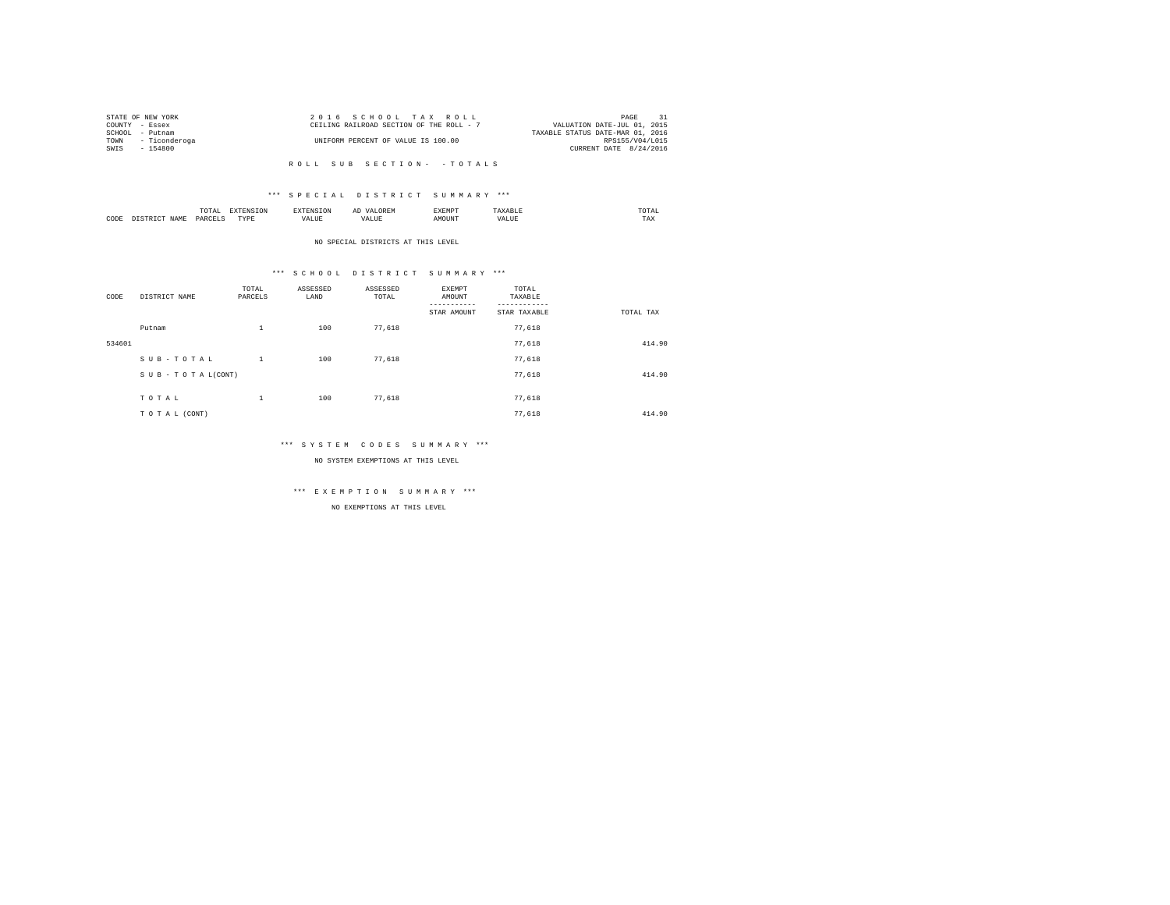|      | STATE OF NEW YORK | 2016 SCHOOL TAX ROLL                                                    | PAGE                   | 31 |
|------|-------------------|-------------------------------------------------------------------------|------------------------|----|
|      | COUNTY - Essex    | VALUATION DATE-JUL 01, 2015<br>CEILING RAILROAD SECTION OF THE ROLL - 7 |                        |    |
|      | SCHOOL - Putnam   | TAXABLE STATUS DATE-MAR 01, 2016                                        |                        |    |
| TOWN | - Ticonderoga     | UNIFORM PERCENT OF VALUE IS 100.00                                      | RPS155/V04/L015        |    |
| SWIS | - 154800          |                                                                         | CURRENT DATE 8/24/2016 |    |
|      |                   |                                                                         |                        |    |

#### \*\*\* S P E C I A L D I S T R I C T S U M M A R Y \*\*\*

|      | $\cdots$<br>.<br>the contract of the contract of the contract of | the contract of the contract of the contract of the contract of the contract of |         | ▵<br>- |   | the contract of the contract of the contract of |  |
|------|------------------------------------------------------------------|---------------------------------------------------------------------------------|---------|--------|---|-------------------------------------------------|--|
| CODE | DARCEL.<br>.                                                     | $- - - -$<br>.                                                                  | ٠.<br>. |        | . | ----<br>1'A.X                                   |  |

NO SPECIAL DISTRICTS AT THIS LEVEL

#### \*\*\* S C H O O L D I S T R I C T S U M M A R Y \*\*\*

| CODE   | DISTRICT NAME   | TOTAL<br>PARCELS | ASSESSED<br>LAND | ASSESSED<br>TOTAL | EXEMPT<br>AMOUNT | TOTAL<br>TAXABLE |           |
|--------|-----------------|------------------|------------------|-------------------|------------------|------------------|-----------|
|        |                 |                  |                  |                   | STAR AMOUNT      | STAR TAXABLE     | TOTAL TAX |
|        | Putnam          | $\mathbf{1}$     | 100              | 77.618            |                  | 77.618           |           |
| 534601 |                 |                  |                  |                   |                  | 77.618           | 414.90    |
|        | SUB-TOTAL       | $\mathbf{1}$     | 100              | 77.618            |                  | 77,618           |           |
|        | SUB-TOTAL(CONT) |                  |                  |                   |                  | 77.618           | 414.90    |
|        |                 |                  |                  |                   |                  |                  |           |
|        | TOTAL           | $\,1\,$          | 100              | 77,618            |                  | 77,618           |           |
|        | TO TAL (CONT)   |                  |                  |                   |                  | 77.618           | 414.90    |

#### \*\*\* S Y S T E M C O D E S S U M M A R Y \*\*\*

NO SYSTEM EXEMPTIONS AT THIS LEVEL

## \*\*\* E X E M P T I O N S U M M A R Y \*\*\*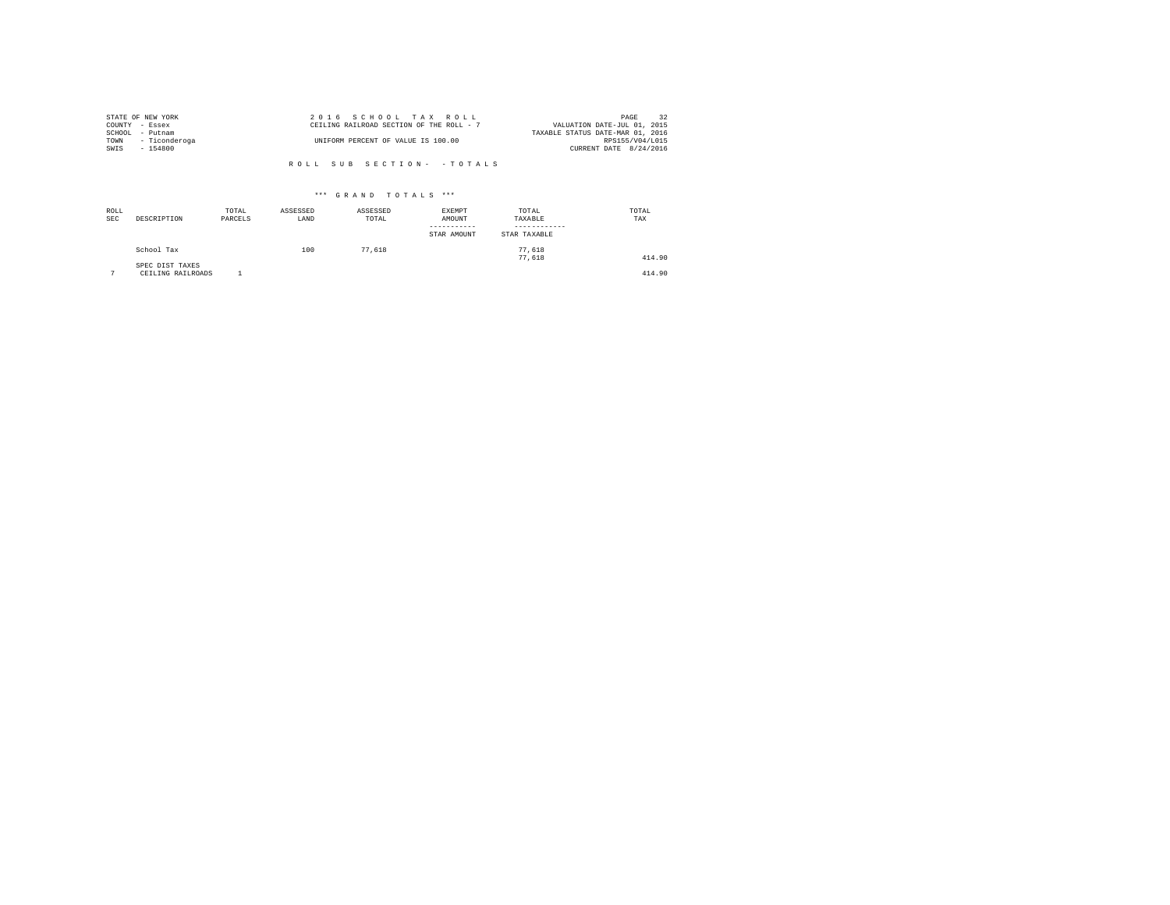| STATE OF NEW YORK     | 2016 SCHOOL TAX ROLL                     | 32<br>PAGE                       |
|-----------------------|------------------------------------------|----------------------------------|
| COUNTY - Essex        | CEILING RAILROAD SECTION OF THE ROLL - 7 | VALUATION DATE-JUL 01, 2015      |
| SCHOOL - Putnam       |                                          | TAXABLE STATUS DATE-MAR 01, 2016 |
| - Ticonderoga<br>TOWN | UNIFORM PERCENT OF VALUE IS 100.00       | RPS155/V04/L015                  |
| SWIS<br>$-154800$     |                                          | CURRENT DATE 8/24/2016           |
|                       |                                          |                                  |
|                       | ROLL SUB SECTION- - TOTALS               |                                  |

|             | *** GRAND TOTALS ***                 |                  |                  |                   |                                 |                                  |              |  |  |  |  |
|-------------|--------------------------------------|------------------|------------------|-------------------|---------------------------------|----------------------------------|--------------|--|--|--|--|
| ROLL<br>SEC | DESCRIPTION                          | TOTAL<br>PARCELS | ASSESSED<br>LAND | ASSESSED<br>TOTAL | EXEMPT<br>AMOUNT<br>STAR AMOUNT | TOTAL<br>TAXABLE<br>STAR TAXABLE | TOTAL<br>TAX |  |  |  |  |
|             | School Tax                           |                  | 100              | 77.618            |                                 | 77.618<br>77.618                 | 414.90       |  |  |  |  |
|             | SPEC DIST TAXES<br>CEILING RAILROADS |                  |                  |                   |                                 |                                  | 414.90       |  |  |  |  |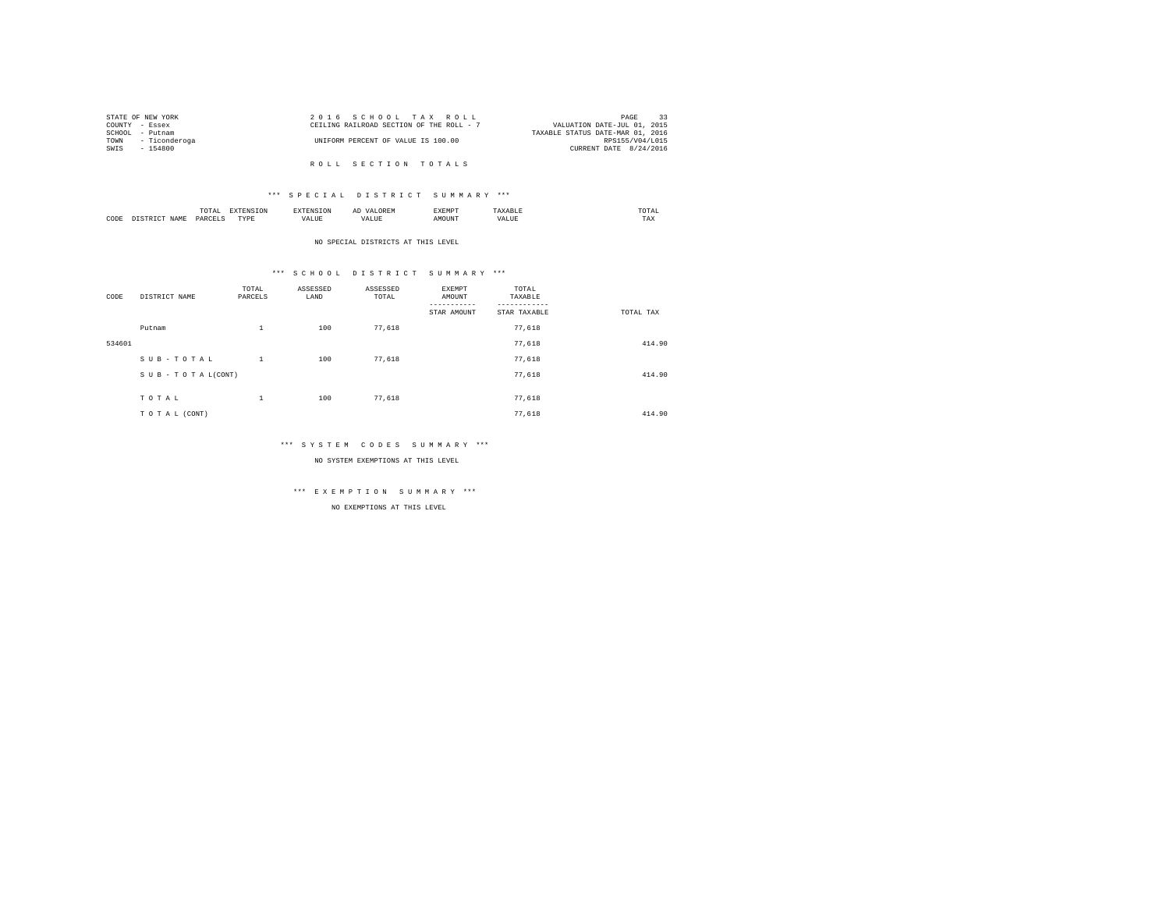| STATE OF NEW YORK |                    | 2016 SCHOOL TAX ROLL                     |  |  |                                  | PAGE                        | 33 |
|-------------------|--------------------|------------------------------------------|--|--|----------------------------------|-----------------------------|----|
| COUNTY - Essex    |                    | CEILING RAILROAD SECTION OF THE ROLL - 7 |  |  |                                  | VALUATION DATE-JUL 01, 2015 |    |
| SCHOOL - Putnam   |                    |                                          |  |  | TAXABLE STATUS DATE-MAR 01, 2016 |                             |    |
|                   | TOWN - Ticonderoga | UNIFORM PERCENT OF VALUE IS 100.00       |  |  |                                  | RPS155/V04/L015             |    |
| SWIS              | - 154800           |                                          |  |  |                                  | CURRENT DATE 8/24/2016      |    |
|                   |                    |                                          |  |  |                                  |                             |    |
|                   |                    | ROLL SECTION TOTALS                      |  |  |                                  |                             |    |

### \*\*\* S P E C I A L D I S T R I C T S U M M A R Y \*\*\*

|      | mome<br>n<br>.<br>the contract of the contract of the contract of | the contract of the contract of the contract of the contract of the contract of | АΙ | <b>************</b><br>ہ دے تا |   | the contract of the contract of the contract of |  |
|------|-------------------------------------------------------------------|---------------------------------------------------------------------------------|----|--------------------------------|---|-------------------------------------------------|--|
| CODE | PARCFT                                                            | $-$<br>ZD.<br>.                                                                 |    | ۱Т                             | n | 1 M.A                                           |  |

NO SPECIAL DISTRICTS AT THIS LEVEL

## \*\*\* S C H O O L D I S T R I C T S U M M A R Y \*\*\*

| CODE   | DISTRICT NAME      | TOTAL<br>PARCELS | ASSESSED<br>LAND | ASSESSED<br>TOTAL | EXEMPT<br>AMOUNT<br>STAR AMOUNT | TOTAL<br>TAXABLE<br>STAR TAXABLE | TOTAL TAX |
|--------|--------------------|------------------|------------------|-------------------|---------------------------------|----------------------------------|-----------|
|        | Putnam             | $\mathbf{1}$     | 100              | 77.618            |                                 | 77,618                           |           |
| 534601 |                    |                  |                  |                   |                                 | 77,618                           | 414.90    |
|        | SUB-TOTAL          | $\mathbf{1}$     | 100              | 77.618            |                                 | 77,618                           |           |
|        | SUB - TO TAL(CONT) |                  |                  |                   |                                 | 77.618                           | 414.90    |
|        | TOTAL              | $\mathbf{1}$     | 100              | 77,618            |                                 | 77,618                           |           |
|        | TO TAL (CONT)      |                  |                  |                   |                                 | 77.618                           | 414.90    |

#### \*\*\* S Y S T E M C O D E S S U M M A R Y \*\*\*

NO SYSTEM EXEMPTIONS AT THIS LEVEL

## \*\*\* E X E M P T I O N S U M M A R Y \*\*\*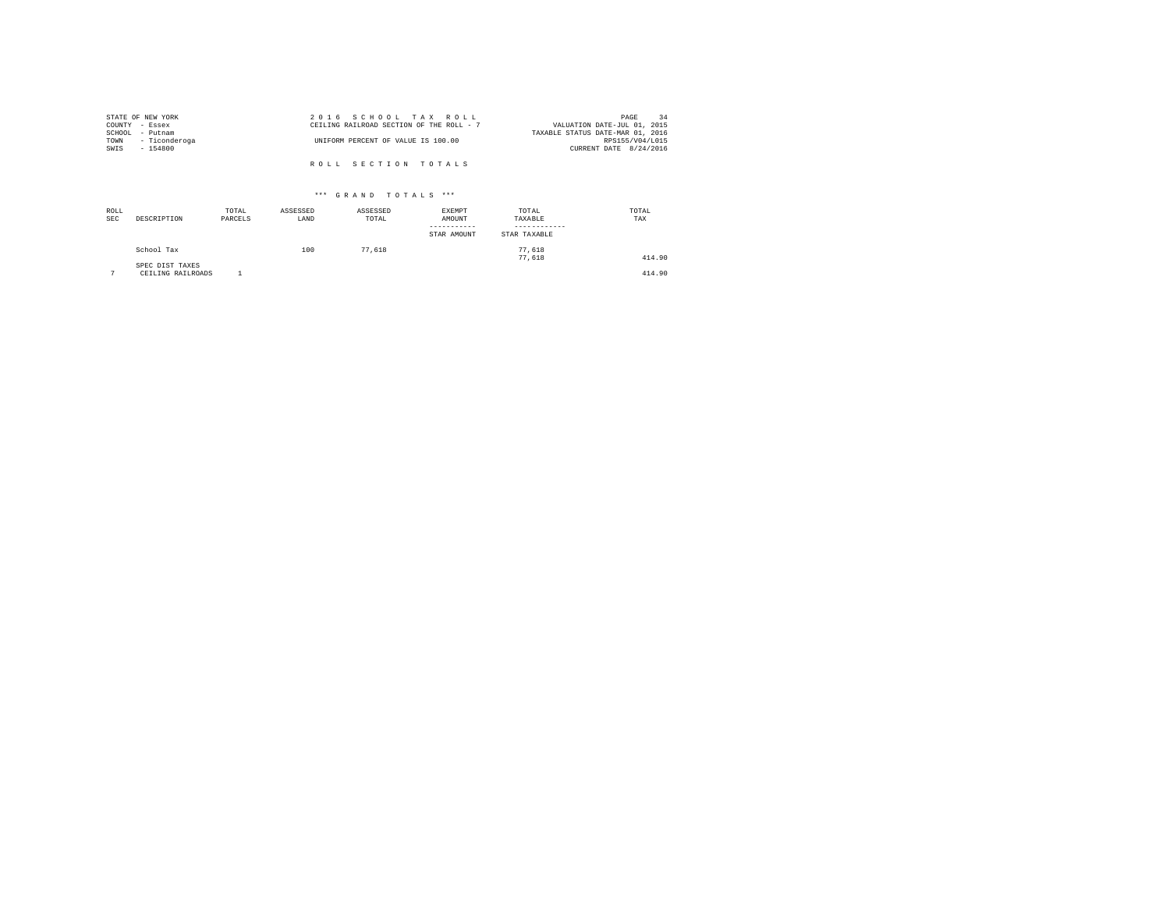|                | STATE OF NEW YORK | 2016 SCHOOL TAX ROLL                     | PAGE                        | 34 |
|----------------|-------------------|------------------------------------------|-----------------------------|----|
| COUNTY - Essex |                   | CEILING RAILROAD SECTION OF THE ROLL - 7 | VALUATION DATE-JUL 01, 2015 |    |
|                | SCHOOL - Putnam   | TAXABLE STATUS DATE-MAR 01, 2016         |                             |    |
| TOWN           | - Ticonderoga     | UNIFORM PERCENT OF VALUE IS 100.00       | RPS155/V04/L015             |    |
| SWIS           | - 154800          |                                          | CURRENT DATE 8/24/2016      |    |
|                |                   |                                          |                             |    |
|                |                   | ROLL SECTION TOTALS                      |                             |    |

| ROLL<br><b>SEC</b> | DESCRIPTION                          | TOTAL<br>PARCELS | ASSESSED<br>LAND | ASSESSED<br>TOTAL | <b>EXEMPT</b><br>AMOUNT<br>-----------<br>STAR AMOUNT | TOTAL<br>TAXABLE<br>STAR TAXABLE | TOTAL<br>TAX |
|--------------------|--------------------------------------|------------------|------------------|-------------------|-------------------------------------------------------|----------------------------------|--------------|
|                    | School Tax                           |                  | 100              | 77.618            |                                                       | 77.618<br>77.618                 | 414.90       |
| $\sim$             | SPEC DIST TAXES<br>CEILING RAILROADS |                  |                  |                   |                                                       |                                  | 414.90       |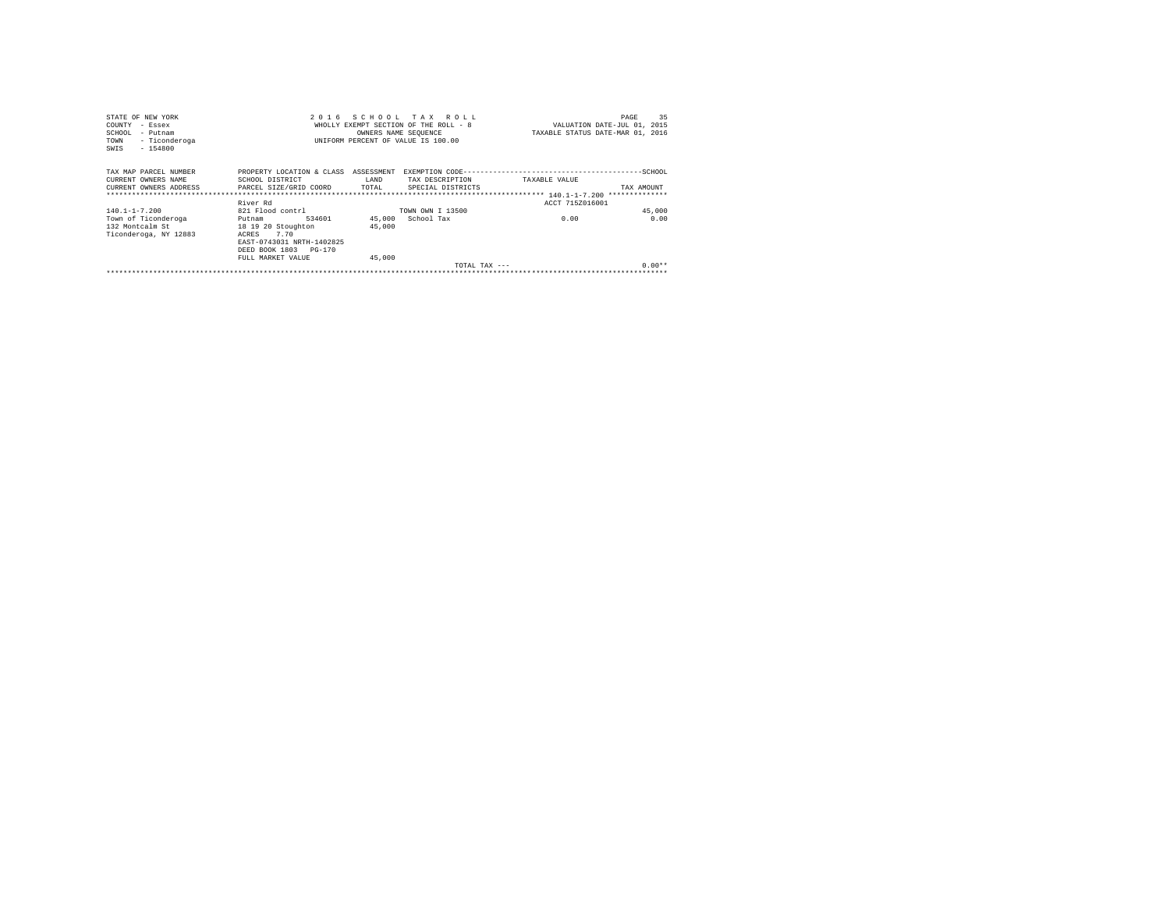| STATE OF NEW YORK                          | 2016                      |                      | SCHOOL TAX ROLL                       |                 | 35<br>PAGE                       |
|--------------------------------------------|---------------------------|----------------------|---------------------------------------|-----------------|----------------------------------|
| COUNTY<br>- Essex                          |                           |                      | WHOLLY EXEMPT SECTION OF THE ROLL - 8 |                 | VALUATION DATE-JUL 01, 2015      |
| SCHOOL<br>- Putnam                         |                           | OWNERS NAME SEOUENCE |                                       |                 | TAXABLE STATUS DATE-MAR 01, 2016 |
| - Ticonderoga<br>TOWN<br>$-154800$<br>SWIS |                           |                      | UNIFORM PERCENT OF VALUE IS 100.00    |                 |                                  |
| TAX MAP PARCEL NUMBER                      | PROPERTY LOCATION & CLASS | ASSESSMENT           |                                       |                 |                                  |
| CURRENT OWNERS NAME                        | SCHOOL DISTRICT           | LAND                 | TAX DESCRIPTION                       | TAXABLE VALUE   |                                  |
| CURRENT OWNERS ADDRESS                     | PARCEL SIZE/GRID COORD    | TOTAL                | SPECIAL DISTRICTS                     |                 | TAX AMOUNT                       |
|                                            |                           |                      |                                       |                 |                                  |
|                                            | River Rd                  |                      |                                       | ACCT 715Z016001 |                                  |
| $140.1 - 1 - 7.200$                        | 821 Flood contrl          |                      | TOWN OWN I 13500                      |                 | 45,000                           |
| Town of Ticonderoga                        | 534601<br>Putnam          | 45,000               | School Tax                            | 0.00            | 0.00                             |
| 132 Montcalm St                            | 18 19 20 Stoughton        | 45,000               |                                       |                 |                                  |
| Ticonderoga, NY 12883                      | ACRES<br>7.70             |                      |                                       |                 |                                  |
|                                            | EAST-0743031 NRTH-1402825 |                      |                                       |                 |                                  |
|                                            | DEED BOOK 1803 PG-170     |                      |                                       |                 |                                  |
|                                            | FULL MARKET VALUE         | 45,000               |                                       |                 |                                  |
|                                            |                           |                      |                                       | TOTAL TAX ---   | $0.00**$                         |
|                                            |                           |                      |                                       |                 |                                  |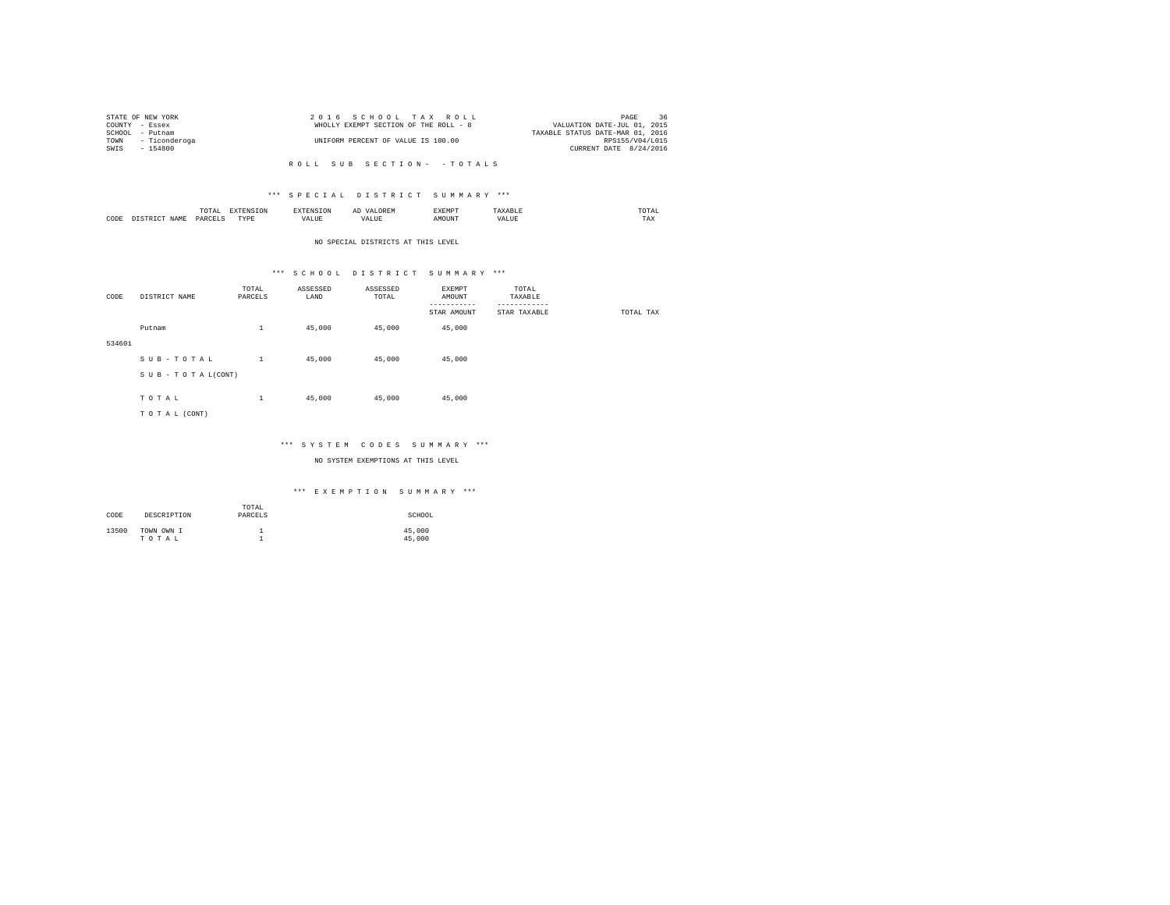|                 | STATE OF NEW YORK  | 2016 SCHOOL TAX ROLL                                                 | PAGE            | 36 |
|-----------------|--------------------|----------------------------------------------------------------------|-----------------|----|
| COUNTY - Essex  |                    | VALUATION DATE-JUL 01, 2015<br>WHOLLY EXEMPT SECTION OF THE ROLL - 8 |                 |    |
| SCHOOL - Putnam |                    | TAXABLE STATUS DATE-MAR 01, 2016                                     |                 |    |
|                 | TOWN - Ticonderoga | UNIFORM PERCENT OF VALUE IS 100.00                                   | RPS155/V04/L015 |    |
| SWIS            | $-154800$          | CURRENT DATE 8/24/2016                                               |                 |    |
|                 |                    |                                                                      |                 |    |

#### \*\*\* S P E C I A L D I S T R I C T S U M M A R Y \*\*\*

|      |   | moms<br>TAI<br>the contract of the contract of the contract of | the contract of the contract of the contract of the contract of the contract of | SION  | д١ | <b>************</b><br>ہ دے تا | .      | the contract of the contract of the contract of |
|------|---|----------------------------------------------------------------|---------------------------------------------------------------------------------|-------|----|--------------------------------|--------|-------------------------------------------------|
| CODE | . | PARCEL                                                         | <b>TVDL</b><br>.                                                                | 'ALUL | .  | MOTIN'                         | $\sim$ | 1 M.A                                           |

#### NO SPECIAL DISTRICTS AT THIS LEVEL

#### \*\*\* S C H O O L D I S T R I C T S U M M A R Y \*\*\*

| CODE   | DISTRICT NAME      | TOTAL<br>PARCELS | ASSESSED<br>LAND | ASSESSED<br>TOTAL | EXEMPT<br>AMOUNT        | TOTAL<br>TAXABLE         |           |
|--------|--------------------|------------------|------------------|-------------------|-------------------------|--------------------------|-----------|
|        |                    |                  |                  |                   | --------<br>STAR AMOUNT | --------<br>STAR TAXABLE | TOTAL TAX |
|        | Putnam             | $\mathbf{1}$     | 45,000           | 45,000            | 45,000                  |                          |           |
| 534601 |                    |                  |                  |                   |                         |                          |           |
|        | SUB-TOTAL          | $\mathbf{1}$     | 45,000           | 45,000            | 45,000                  |                          |           |
|        | SUB - TO TAL(CONT) |                  |                  |                   |                         |                          |           |
|        | TOTAL              | $\mathbf{1}$     | 45,000           | 45,000            | 45,000                  |                          |           |
|        | TO TAL (CONT)      |                  |                  |                   |                         |                          |           |
|        |                    |                  |                  |                   |                         |                          |           |

#### \*\*\* S Y S T E M C O D E S S U M M A R Y \*\*\*

#### NO SYSTEM EXEMPTIONS AT THIS LEVEL

| CODE  | DESCRIPTION         | TOTAL<br>PARCELS | SCHOOL           |
|-------|---------------------|------------------|------------------|
| 13500 | TOWN OWN I<br>TOTAL |                  | 45,000<br>45,000 |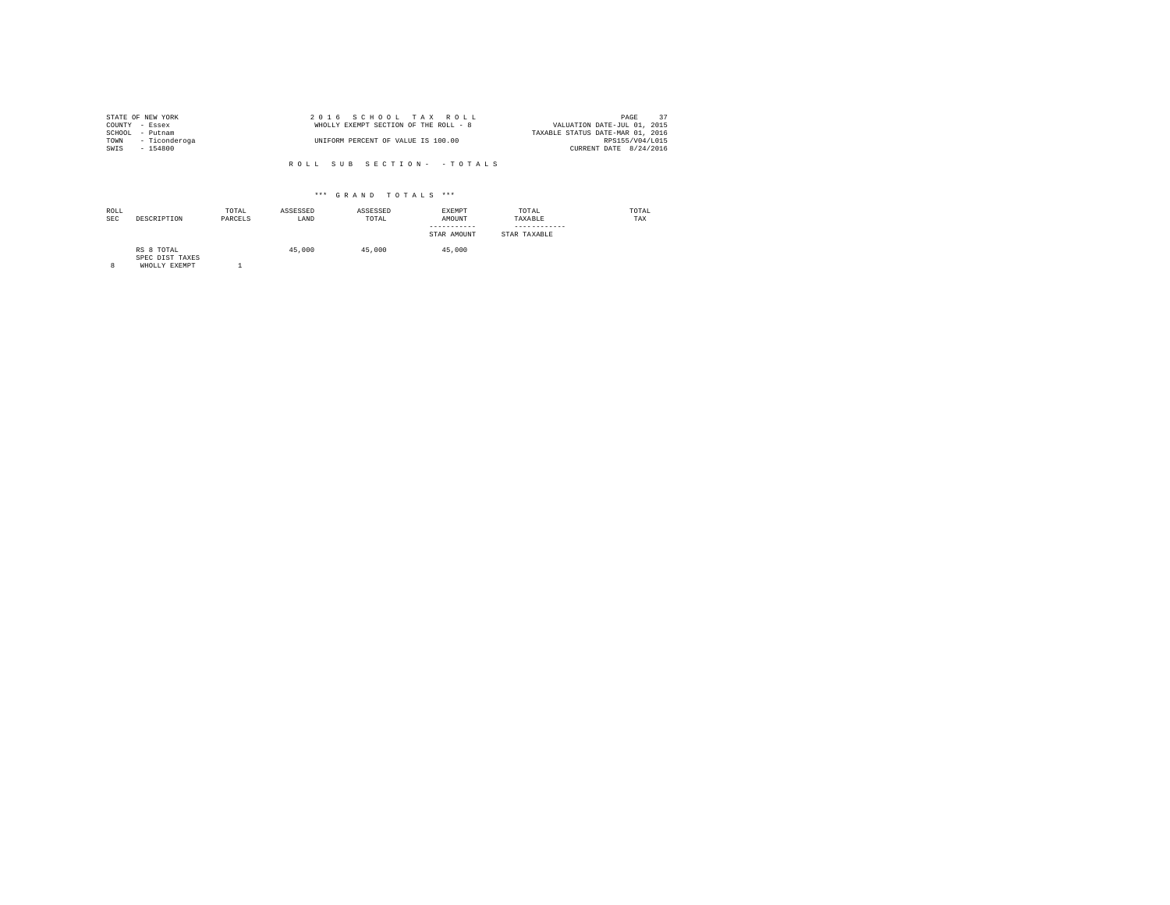|                | STATE OF NEW YORK  | 2016 SCHOOL TAX ROLL                  | 37<br>PAGE                       |
|----------------|--------------------|---------------------------------------|----------------------------------|
| COUNTY - Essex |                    | WHOLLY EXEMPT SECTION OF THE ROLL - 8 | VALUATION DATE-JUL 01, 2015      |
| SCHOOL         | - Putnam           |                                       | TAXABLE STATUS DATE-MAR 01, 2016 |
|                | TOWN - Ticonderoga | UNIFORM PERCENT OF VALUE IS 100.00    | RPS155/V04/L015                  |
| SWIS           | - 154800           |                                       | CURRENT DATE 8/24/2016           |

| ROLL<br><b>SEC</b> | DESCRIPTION                                    | TOTAL<br>PARCELS | ASSESSED<br>LAND | ASSESSED<br>TOTAL | <b>EXEMPT</b><br>AMOUNT<br>-----------<br>STAR AMOUNT | TOTAL<br>TAXABLE<br>STAR TAXABLE | TOTAL<br>TAX |
|--------------------|------------------------------------------------|------------------|------------------|-------------------|-------------------------------------------------------|----------------------------------|--------------|
| 8                  | RS 8 TOTAL<br>SPEC DIST TAXES<br>WHOLLY EXEMPT |                  | 45,000           | 45,000            | 45,000                                                |                                  |              |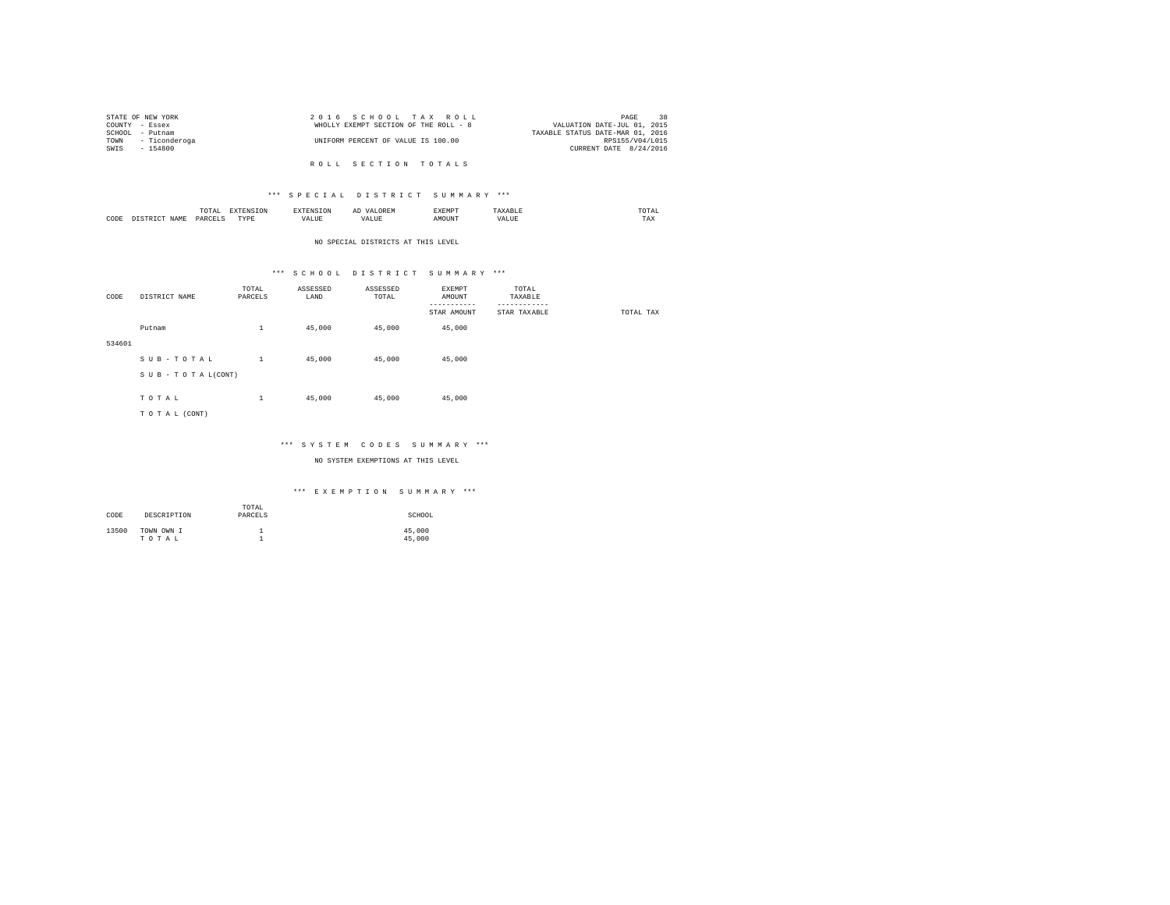|                | STATE OF NEW YORK  | 2016 SCHOOL TAX ROLL                  | 38<br>PAGE                       |
|----------------|--------------------|---------------------------------------|----------------------------------|
| COUNTY - Essex |                    | WHOLLY EXEMPT SECTION OF THE ROLL - 8 | VALUATION DATE-JUL 01, 2015      |
|                | SCHOOL - Putnam    |                                       | TAXABLE STATUS DATE-MAR 01, 2016 |
|                | TOWN - Ticonderoga | UNIFORM PERCENT OF VALUE IS 100.00    | RPS155/V04/L015                  |
| SWTS           | - 154800           |                                       | CURRENT DATE 8/24/2016           |
|                |                    |                                       |                                  |

R O L L S E C T I O N T O T A L S

#### \*\*\* S P E C I A L D I S T R I C T S U M M A R Y \*\*\*

|      | $m \wedge m$<br>.<br>the contract of the contract of the contract of | the contract of the contract of the contract of the contract of the contract of | $\cdots$<br>and the contract of the contract of the contract of the contract of the contract of the contract of the contract of the contract of the contract of the contract of the contract of the contract of the contract of the contra | . | , , , ,<br>the contract of the contract of the contract of |
|------|----------------------------------------------------------------------|---------------------------------------------------------------------------------|--------------------------------------------------------------------------------------------------------------------------------------------------------------------------------------------------------------------------------------------|---|------------------------------------------------------------|
| CODE | YAR                                                                  | <b>TVD</b><br>.                                                                 | uUi                                                                                                                                                                                                                                        |   | 77.3.37<br>⊥n∧                                             |

#### NO SPECIAL DISTRICTS AT THIS LEVEL

## \*\*\* S C H O O L D I S T R I C T S U M M A R Y \*\*\*

| CODE   | DISTRICT NAME      | TOTAL<br>PARCELS | ASSESSED<br>LAND | ASSESSED<br>TOTAL | EXEMPT<br>AMOUNT        | TOTAL<br>TAXABLE         |           |
|--------|--------------------|------------------|------------------|-------------------|-------------------------|--------------------------|-----------|
|        |                    |                  |                  |                   | --------<br>STAR AMOUNT | --------<br>STAR TAXABLE | TOTAL TAX |
|        | Putnam             | $\mathbf{1}$     | 45,000           | 45,000            | 45,000                  |                          |           |
| 534601 |                    |                  |                  |                   |                         |                          |           |
|        | SUB-TOTAL          | $\mathbf{1}$     | 45,000           | 45,000            | 45,000                  |                          |           |
|        | SUB - TO TAL(CONT) |                  |                  |                   |                         |                          |           |
|        | TOTAL              | $\mathbf{1}$     | 45,000           | 45,000            | 45,000                  |                          |           |
|        | TO TAL (CONT)      |                  |                  |                   |                         |                          |           |
|        |                    |                  |                  |                   |                         |                          |           |

#### \*\*\* S Y S T E M C O D E S S U M M A R Y \*\*\*

NO SYSTEM EXEMPTIONS AT THIS LEVEL

| CODE  | DESCRIPTION         | TOTAL<br>PARCELS | SCHOOL           |
|-------|---------------------|------------------|------------------|
| 13500 | TOWN OWN I<br>TOTAL |                  | 45,000<br>45,000 |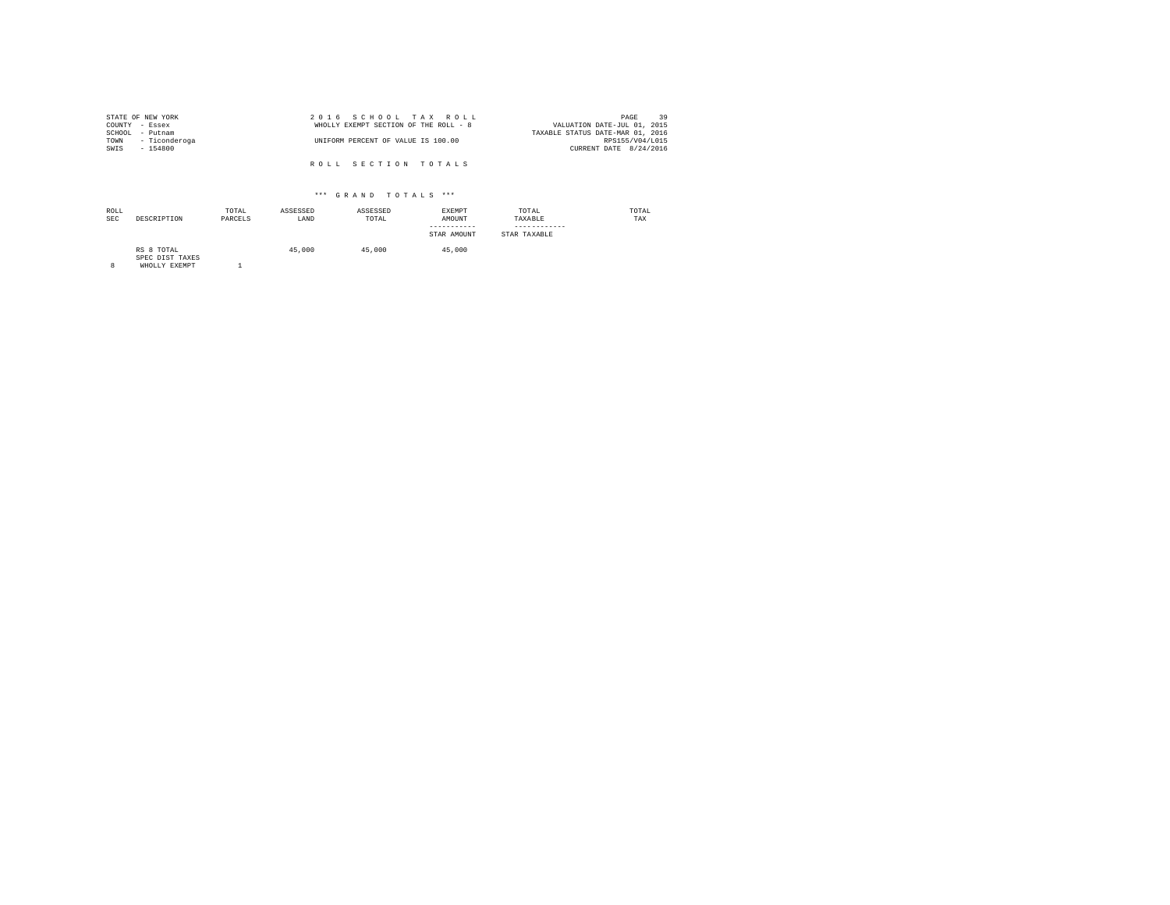| STATE OF NEW YORK  | 2016 SCHOOL TAX ROLL                  | 39<br>PAGE                       |
|--------------------|---------------------------------------|----------------------------------|
| COUNTY - Essex     | WHOLLY EXEMPT SECTION OF THE ROLL - 8 | VALUATION DATE-JUL 01, 2015      |
| SCHOOL - Putnam    |                                       | TAXABLE STATUS DATE-MAR 01, 2016 |
| TOWN - Ticonderoga | UNIFORM PERCENT OF VALUE IS 100.00    | RPS155/V04/L015                  |
| SWIS<br>$-154800$  |                                       | CURRENT DATE 8/24/2016           |
|                    |                                       |                                  |
|                    | ROLL SECTION TOTALS                   |                                  |

## \*\*\* G R A N D T O T A L S \*\*\*

| ROLL<br><b>SEC</b> | DESCRIPTION                   | TOTAL<br>PARCELS | ASSESSED<br>LAND | ASSESSED<br>TOTAL | <b>EXEMPT</b><br>AMOUNT<br>-----------<br>STAR AMOUNT | TOTAL<br>TAXABLE<br>------------<br>STAR TAXABLE | TOTAL<br>TAX |
|--------------------|-------------------------------|------------------|------------------|-------------------|-------------------------------------------------------|--------------------------------------------------|--------------|
|                    | RS 8 TOTAL<br>SPEC DIST TAXES |                  | 45,000           | 45,000            | 45,000                                                |                                                  |              |

SPEC DIST TAXES 8 WHOLLY EXEMPT 1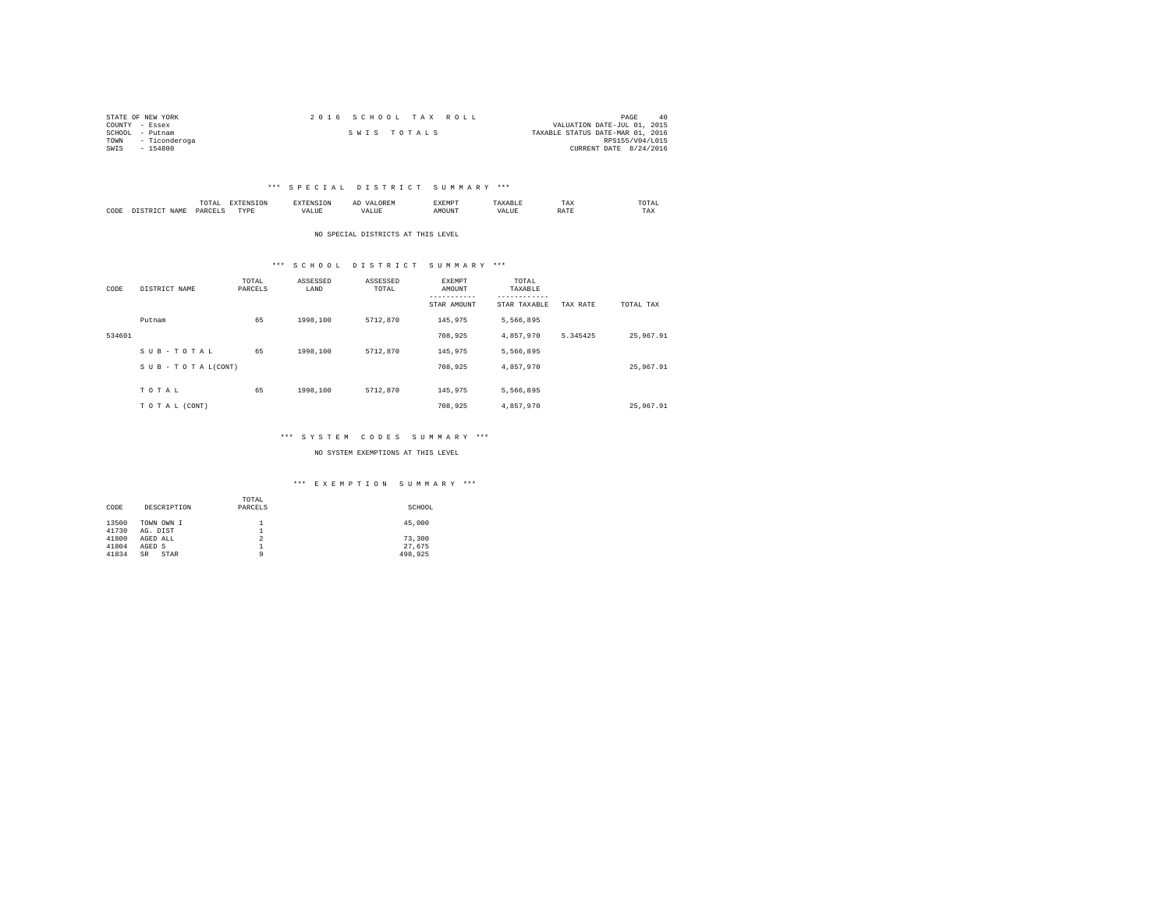| STATE OF NEW YORK     | 2016 SCHOOL TAX ROLL | PAGE<br>40                       |
|-----------------------|----------------------|----------------------------------|
| COUNTY - Essex        |                      | VALUATION DATE-JUL 01, 2015      |
| SCHOOL<br>- Putnam    | SWIS TOTALS          | TAXABLE STATUS DATE-MAR 01, 2016 |
| - Ticonderoga<br>TOWN |                      | RPS155/V04/L015                  |
| SWIS<br>$-154800$     |                      | CURRENT DATE 8/24/2016           |

#### \*\*\* S P E C I A L D I S T R I C T S U M M A R Y \*\*\*

|           |                     | moms.<br>I U L'AI<br>the contract of the contract of the contract of | <b>PERSONAL</b> |      | --   | EXEMP? |      | TAX | <b>OTAL</b><br>the contract of the contract of the contract of |
|-----------|---------------------|----------------------------------------------------------------------|-----------------|------|------|--------|------|-----|----------------------------------------------------------------|
| CODE<br>. | <b>AMT</b><br>11.12 | DΔRΓ                                                                 | TVDE<br>.       | ALUE | ALUE |        | ALUE |     | TAX                                                            |

NO SPECIAL DISTRICTS AT THIS LEVEL

#### \*\*\* S C H O O L D I S T R I C T S U M M A R Y \*\*\*

| CODE   | DISTRICT NAME   | TOTAL<br>PARCELS | ASSESSED<br>LAND | ASSESSED<br>TOTAL | <b>EXEMPT</b><br>AMOUNT<br>STAR AMOUNT | TOTAL<br>TAXABLE<br>---------<br>STAR TAXABLE | TAX RATE | TOTAL TAX |
|--------|-----------------|------------------|------------------|-------------------|----------------------------------------|-----------------------------------------------|----------|-----------|
|        | Putnam          | 65               | 1998,100         | 5712,870          | 145.975                                | 5.566.895                                     |          |           |
| 534601 |                 |                  |                  |                   | 708.925                                | 4,857,970                                     | 5.345425 | 25,967.91 |
|        | SUB-TOTAL       | 65               | 1998,100         | 5712,870          | 145.975                                | 5.566.895                                     |          |           |
|        | SUB-TOTAL(CONT) |                  |                  |                   | 708.925                                | 4.857.970                                     |          | 25,967.91 |
|        | TOTAL           | 65               | 1998,100         | 5712,870          | 145.975                                | 5.566.895                                     |          |           |
|        | TO TAL (CONT)   |                  |                  |                   | 708.925                                | 4.857.970                                     |          | 25,967.91 |

#### \*\*\* S Y S T E M C O D E S S U M M A R Y \*\*\*

NO SYSTEM EXEMPTIONS AT THIS LEVEL

|       |                   | TOTAL   |         |
|-------|-------------------|---------|---------|
| CODE  | DESCRIPTION       | PARCELS | SCHOOL  |
|       |                   |         |         |
| 13500 | TOWN OWN I        |         | 45,000  |
| 41730 | AG. DIST          | ≖       |         |
| 41800 | AGED ALL          | 2       | 73,300  |
| 41804 | AGED S            | ≖       | 27.675  |
| 41834 | STAR<br><b>SR</b> | ۹       | 498.925 |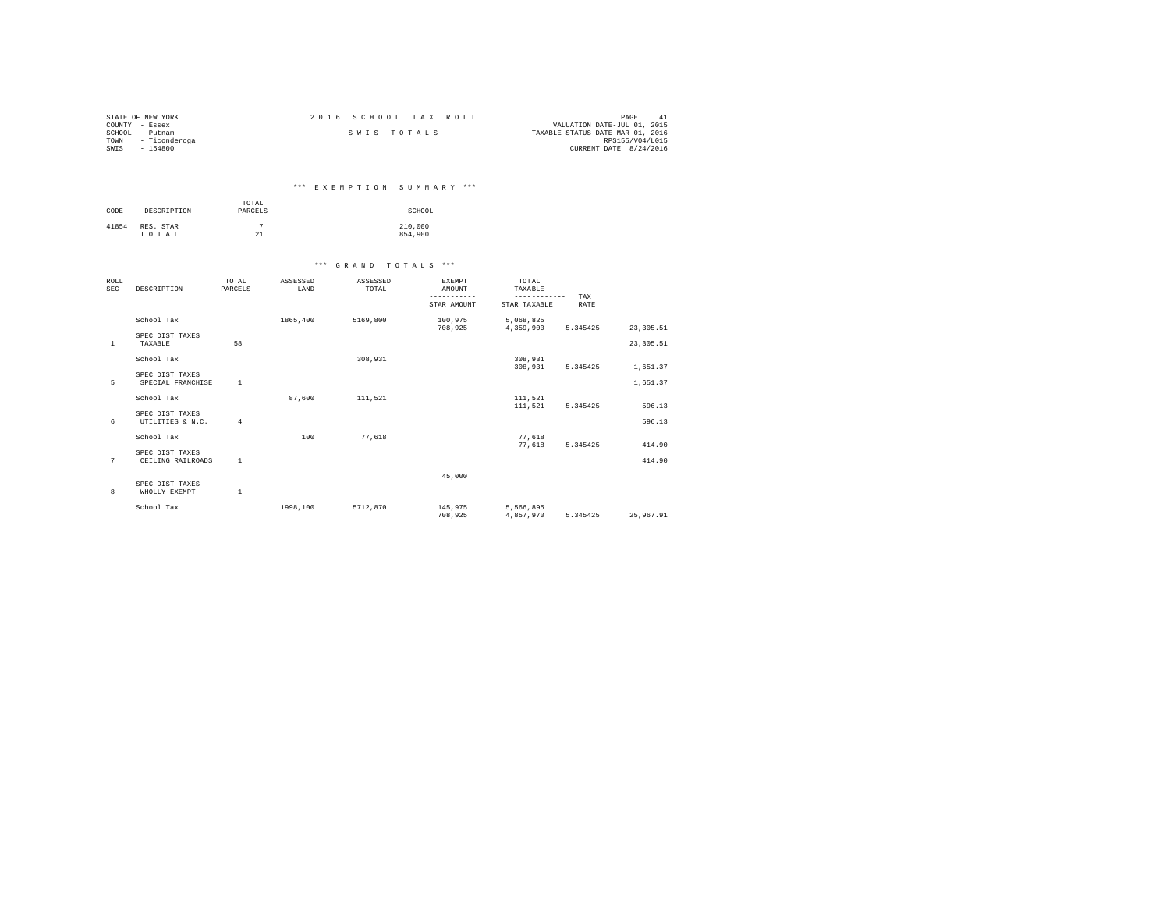| STATE OF NEW YORK     | 2016 SCHOOL TAX ROLL | PAGE<br>-41                      |
|-----------------------|----------------------|----------------------------------|
| COUNTY - Essex        |                      | VALUATION DATE-JUL 01, 2015      |
| SCHOOL<br>- Putnam    | SWIS TOTALS          | TAXABLE STATUS DATE-MAR 01, 2016 |
| - Ticonderoga<br>TOWN |                      | RPS155/V04/L015                  |
| SWIS<br>$-154800$     |                      | CURRENT DATE 8/24/2016           |

## \*\*\* E X E M P T I O N S U M M A R Y \*\*\*

| CODE  | DESCRIPTION        | TOTAL<br>PARCELS | SCHOOL             |
|-------|--------------------|------------------|--------------------|
| 41854 | RES. STAR<br>TOTAL | 21               | 210,000<br>854,900 |

| ROLL<br><b>SEC</b> | DESCRIPTION                          | TOTAL<br>PARCELS | ASSESSED<br>LAND | ASSESSED<br>TOTAL | <b>EXEMPT</b><br>AMOUNT<br>----------- | TOTAL<br>TAXABLE<br>------------ | TAX      |            |
|--------------------|--------------------------------------|------------------|------------------|-------------------|----------------------------------------|----------------------------------|----------|------------|
|                    |                                      |                  |                  |                   | STAR AMOUNT                            | STAR TAXABLE                     | RATE     |            |
|                    | School Tax                           |                  | 1865,400         | 5169,800          | 100,975<br>708,925                     | 5,068,825<br>4,359,900           | 5.345425 | 23, 305.51 |
| <sup>1</sup>       | SPEC DIST TAXES<br>TAXABLE           | 58               |                  |                   |                                        |                                  |          | 23, 305.51 |
|                    | School Tax                           |                  |                  | 308,931           |                                        | 308,931<br>308,931               | 5.345425 | 1,651.37   |
| 5                  | SPEC DIST TAXES<br>SPECIAL FRANCHISE | <sup>1</sup>     |                  |                   |                                        |                                  |          | 1,651.37   |
|                    | School Tax                           |                  | 87.600           | 111,521           |                                        | 111.521<br>111,521               | 5.345425 | 596.13     |
| 6                  | SPEC DIST TAXES<br>UTILITIES & N.C.  | $\overline{4}$   |                  |                   |                                        |                                  |          | 596.13     |
|                    | School Tax                           |                  | 100              | 77.618            |                                        | 77.618<br>77.618                 | 5.345425 | 414.90     |
| 7                  | SPEC DIST TAXES<br>CEILING RAILROADS | <sup>1</sup>     |                  |                   |                                        |                                  |          | 414.90     |
|                    |                                      |                  |                  |                   | 45,000                                 |                                  |          |            |
| 8                  | SPEC DIST TAXES<br>WHOLLY EXEMPT     | $\mathbf{1}$     |                  |                   |                                        |                                  |          |            |
|                    | School Tax                           |                  | 1998,100         | 5712.870          | 145,975<br>708,925                     | 5,566,895<br>4.857.970           | 5.345425 | 25,967.91  |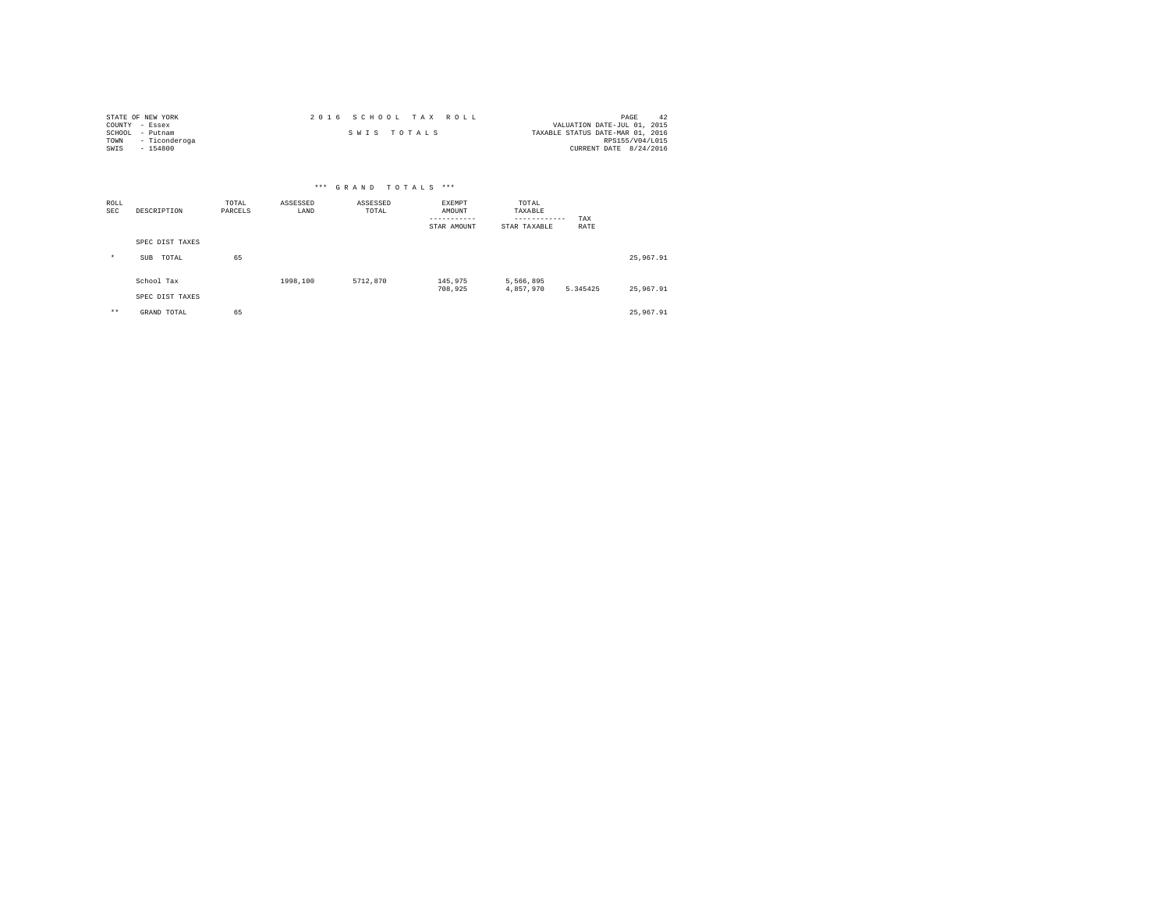| STATE OF NEW YORK     | 2016 SCHOOL TAX ROLL | PAGE<br>-42                      |
|-----------------------|----------------------|----------------------------------|
| COUNTY - Essex        |                      | VALUATION DATE-JUL 01, 2015      |
| SCHOOL<br>- Putnam    | SWIS TOTALS          | TAXABLE STATUS DATE-MAR 01, 2016 |
| - Ticonderoga<br>TOWN |                      | RPS155/V04/L015                  |
| SWIS<br>$-154800$     |                      | CURRENT DATE 8/24/2016           |

|                    | *** GRAND TOTALS<br>$***$ |                  |                  |                   |                                             |                                                  |             |           |
|--------------------|---------------------------|------------------|------------------|-------------------|---------------------------------------------|--------------------------------------------------|-------------|-----------|
| ROLL<br><b>SEC</b> | DESCRIPTION               | TOTAL<br>PARCELS | ASSESSED<br>LAND | ASSESSED<br>TOTAL | EXEMPT<br>AMOUNT<br>--------<br>STAR AMOUNT | TOTAL<br>TAXABLE<br>------------<br>STAR TAXABLE | TAX<br>RATE |           |
|                    | SPEC DIST TAXES           |                  |                  |                   |                                             |                                                  |             |           |
| $\star$            | TOTAL<br><b>SUB</b>       | 65               |                  |                   |                                             |                                                  |             | 25,967.91 |
|                    | School Tax                |                  | 1998,100         | 5712,870          | 145,975<br>708,925                          | 5,566,895<br>4,857,970                           | 5.345425    | 25,967.91 |
|                    | SPEC DIST TAXES           |                  |                  |                   |                                             |                                                  |             |           |
| $***$              | GRAND TOTAL               | 65               |                  |                   |                                             |                                                  |             | 25,967.91 |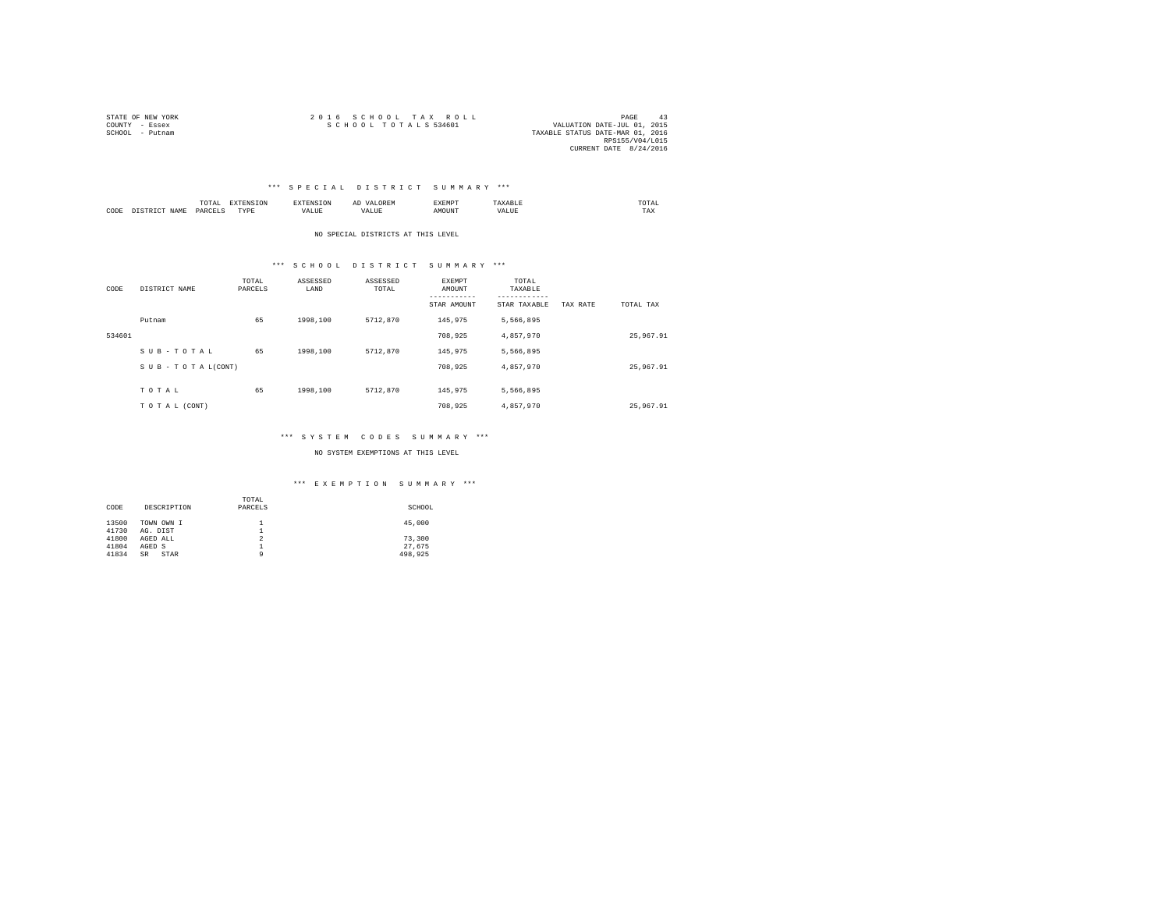| STATE OF NEW YORK | 2016 SCHOOL TAX ROLL<br>PAGE                        | 43 |
|-------------------|-----------------------------------------------------|----|
| COUNTY - Essex    | SCHOOL TOTALS 534601<br>VALUATION DATE-JUL 01, 2015 |    |
| SCHOOL - Putnam   | TAXABLE STATUS DATE-MAR 01, 2016                    |    |
|                   | RPS155/V04/L015                                     |    |
|                   | CURRENT DATE 8/24/2016                              |    |

#### \*\*\* S P E C I A L D I S T R I C T S U M M A R Y \*\*\*

|           |       | -<br><br>the contract of the contract of the contract of |      |           | <br>n<br>$1.001$ and $1.001$ | --------<br>2 M D<br>⊶∆DPir |      | TA.<br>the contract of the contract of the contract of |
|-----------|-------|----------------------------------------------------------|------|-----------|------------------------------|-----------------------------|------|--------------------------------------------------------|
| CODE<br>. | .7.14 | DARCE"<br>.                                              | TYPE | .<br>ALUE |                              | אנופי                       | ALU. | $- - - -$<br>1 A.A                                     |

NO SPECIAL DISTRICTS AT THIS LEVEL

#### \*\*\* S C H O O L D I S T R I C T S U M M A R Y \*\*\*

| CODE   | DISTRICT NAME      | TOTAL<br>PARCELS | ASSESSED<br>LAND | ASSESSED<br>TOTAL | <b>EXEMPT</b><br>AMOUNT<br>-----------<br>STAR AMOUNT | TOTAL<br>TAXABLE<br>---------<br>STAR TAXABLE | TAX RATE | TOTAL TAX |
|--------|--------------------|------------------|------------------|-------------------|-------------------------------------------------------|-----------------------------------------------|----------|-----------|
|        | Putnam             | 65               | 1998,100         | 5712,870          | 145.975                                               | 5,566,895                                     |          |           |
| 534601 |                    |                  |                  |                   | 708,925                                               | 4,857,970                                     |          | 25,967.91 |
|        | SUB-TOTAL          | 65               | 1998,100         | 5712,870          | 145.975                                               | 5.566.895                                     |          |           |
|        | SUB - TO TAL(CONT) |                  |                  |                   | 708,925                                               | 4.857.970                                     |          | 25,967.91 |
|        | TOTAL              | 65               | 1998,100         | 5712,870          | 145.975                                               | 5.566.895                                     |          |           |
|        | TO TAL (CONT)      |                  |                  |                   | 708,925                                               | 4.857.970                                     |          | 25,967.91 |

#### \*\*\* S Y S T E M C O D E S S U M M A R Y \*\*\*

NO SYSTEM EXEMPTIONS AT THIS LEVEL

|       |             | TOTAL          |         |
|-------|-------------|----------------|---------|
| CODE  | DESCRIPTION | PARCELS        | SCHOOL  |
|       |             |                |         |
| 13500 | TOWN OWN I  |                | 45,000  |
| 41730 | AG. DIST    | ≖              |         |
| 41800 | AGED ALL    | $\overline{2}$ | 73,300  |
| 41804 | AGED S      | <b>.</b>       | 27.675  |
| 41834 | STAR<br>SR  | ٥              | 498.925 |